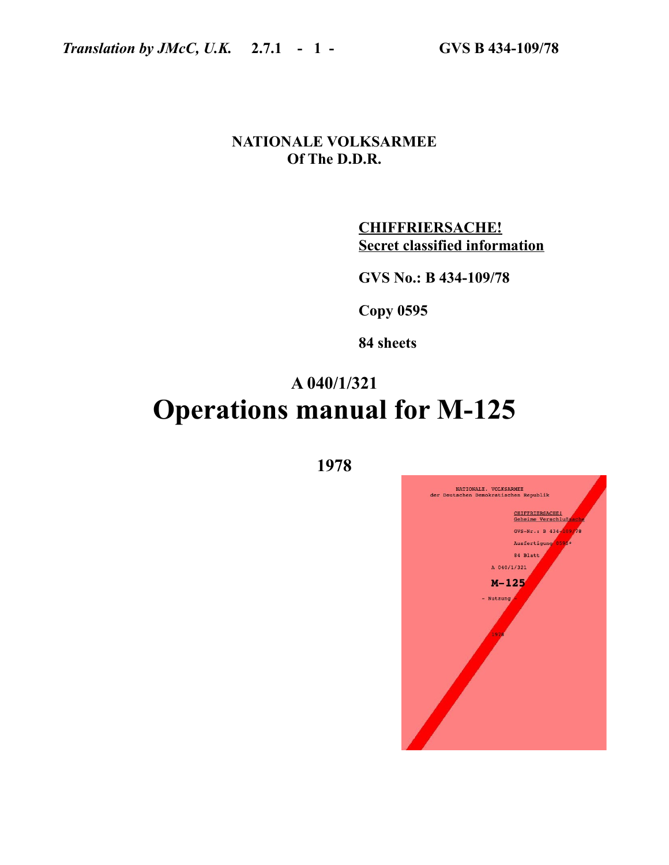# **NATIONALE VOLKSARMEE Of The D.D.R.**

**CHIFFRIERSACHE! Secret classified information**

**GVS No.: B 434-109/78**

**Copy 0595**

**84 sheets**

# **A 040/1/321 Operations manual for M-125**

| NATIONALE. VOLKSARMEE<br>der Deutschen Demokratischen Republik |
|----------------------------------------------------------------|
| CHIFFRIERSACHE!<br>Geheime Verschlußsache                      |
| GVS-Nr.: B $434 - 109/78$                                      |
| Ausfertigung 0595*                                             |
| 84 Blatt<br>A 040/1/321                                        |
| $M - 125$                                                      |
| - Nutzung<br>1978                                              |
|                                                                |
|                                                                |

**1978**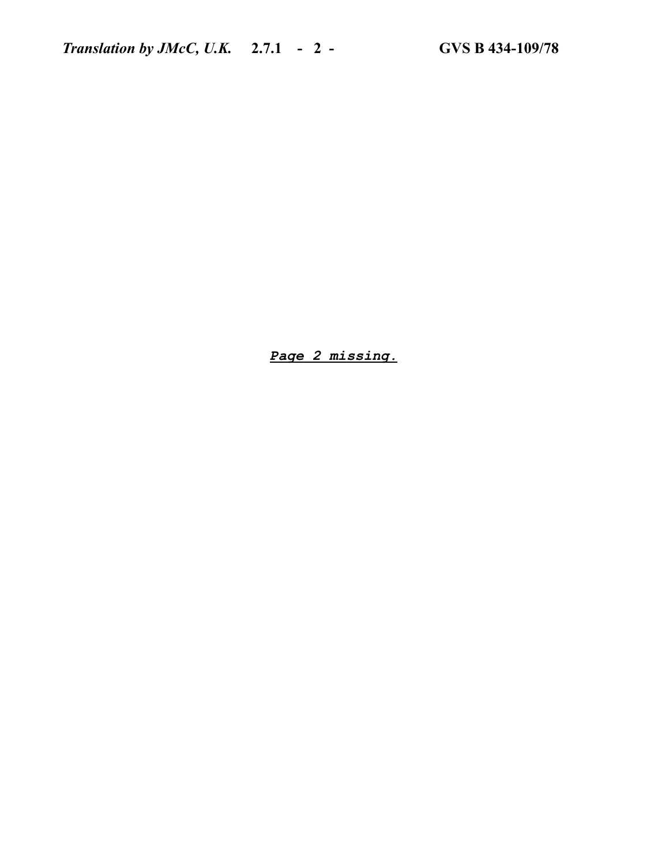*Page 2 missing.*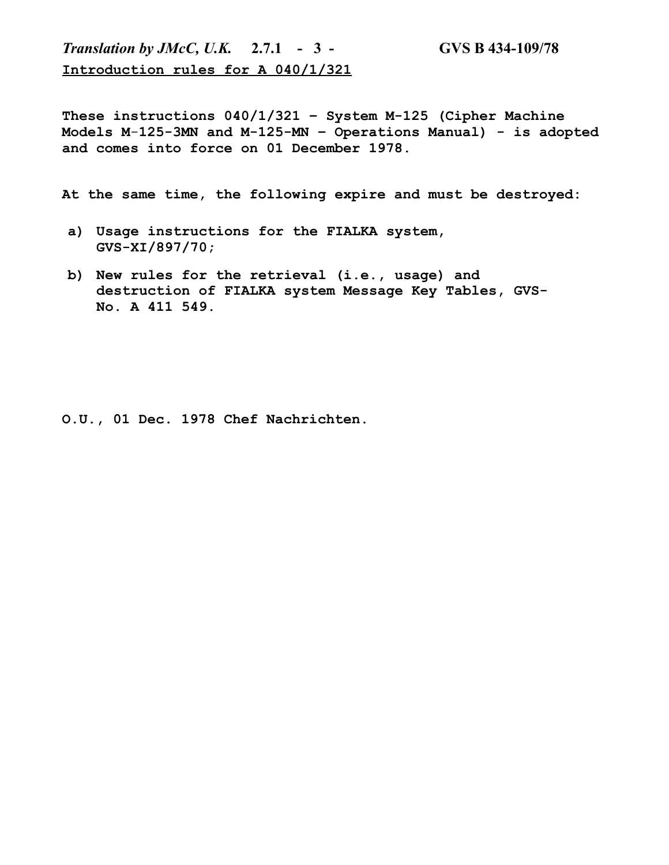*Translation by JMcC, U.K.* **2.7.1 - 3 - GVS B 434-109/78 Introduction rules for A 040/1/321**

**These instructions 040/1/321 – System M-125 (Cipher Machine Models M**-**125-3MN and M-125-MN – Operations Manual) - is adopted and comes into force on 01 December 1978.**

**At the same time, the following expire and must be destroyed:**

- **a) Usage instructions for the FIALKA system, GVS-XI/897/70;**
- **b) New rules for the retrieval (i.e., usage) and destruction of FIALKA system Message Key Tables, GVS-No. A 411 549.**

**O.U., 01 Dec. 1978 Chef Nachrichten.**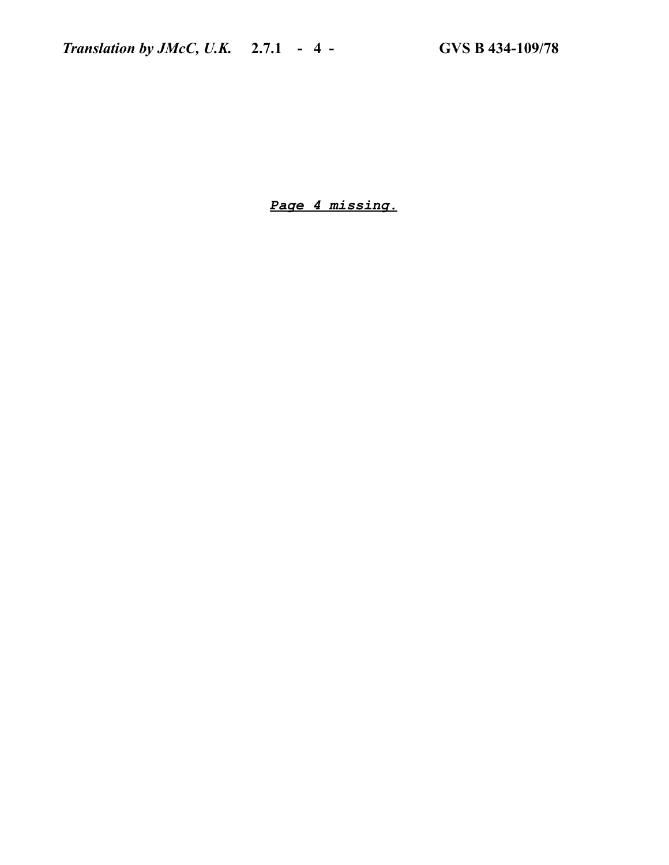*Page 4 missing.*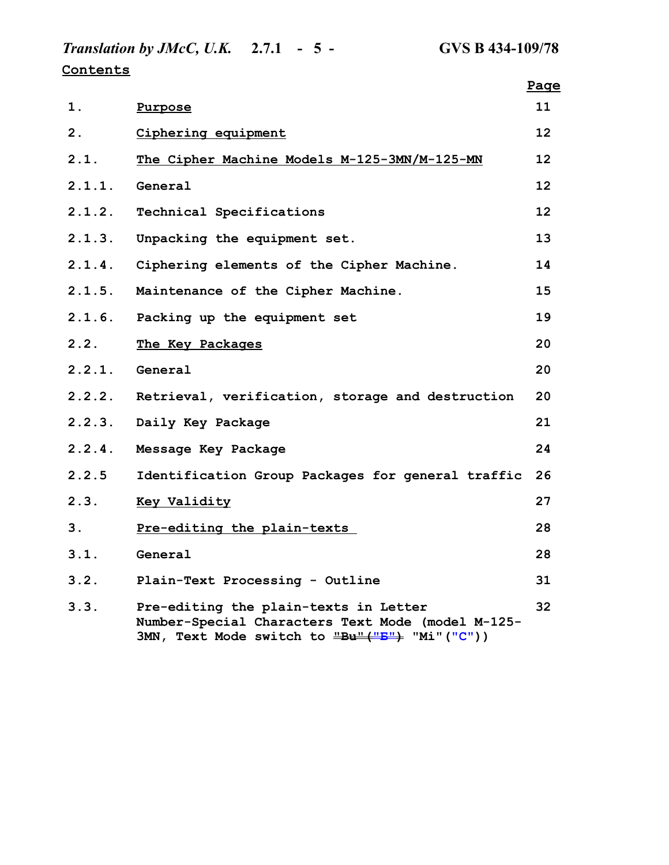*Translation by JMcC, U.K.* **2.7.1 - 5 - GVS B 434-109/78 Contents**

|        |                                                                                                                                             | Page |
|--------|---------------------------------------------------------------------------------------------------------------------------------------------|------|
| 1.     | Purpose                                                                                                                                     | 11   |
| 2.     | Ciphering equipment                                                                                                                         | 12   |
| 2.1.   | The Cipher Machine Models M-125-3MN/M-125-MN                                                                                                | 12   |
| 2.1.1. | General                                                                                                                                     | 12   |
| 2.1.2. | Technical Specifications                                                                                                                    | 12   |
| 2.1.3. | Unpacking the equipment set.                                                                                                                | 13   |
| 2.1.4. | Ciphering elements of the Cipher Machine.                                                                                                   | 14   |
| 2.1.5. | Maintenance of the Cipher Machine.                                                                                                          | 15   |
| 2.1.6. | Packing up the equipment set                                                                                                                | 19   |
| 2.2.   | The Key Packages                                                                                                                            | 20   |
| 2.2.1. | General                                                                                                                                     | 20   |
| 2.2.2. | Retrieval, verification, storage and destruction                                                                                            | 20   |
| 2.2.3. | Daily Key Package                                                                                                                           | 21   |
| 2.2.4. | Message Key Package                                                                                                                         | 24   |
| 2.2.5  | Identification Group Packages for general traffic                                                                                           | 26   |
| 2.3.   | <b>Key Validity</b>                                                                                                                         | 27   |
| 3.     | Pre-editing the plain-texts                                                                                                                 | 28   |
| 3.1.   | General                                                                                                                                     | 28   |
| 3.2.   | Plain-Text Processing - Outline                                                                                                             | 31   |
| 3.3.   | Pre-editing the plain-texts in Letter<br>Number-Special Characters Text Mode (model M-125-<br>3MN, Text Mode switch to "Bu"("B") "Mi"("C")) | 32   |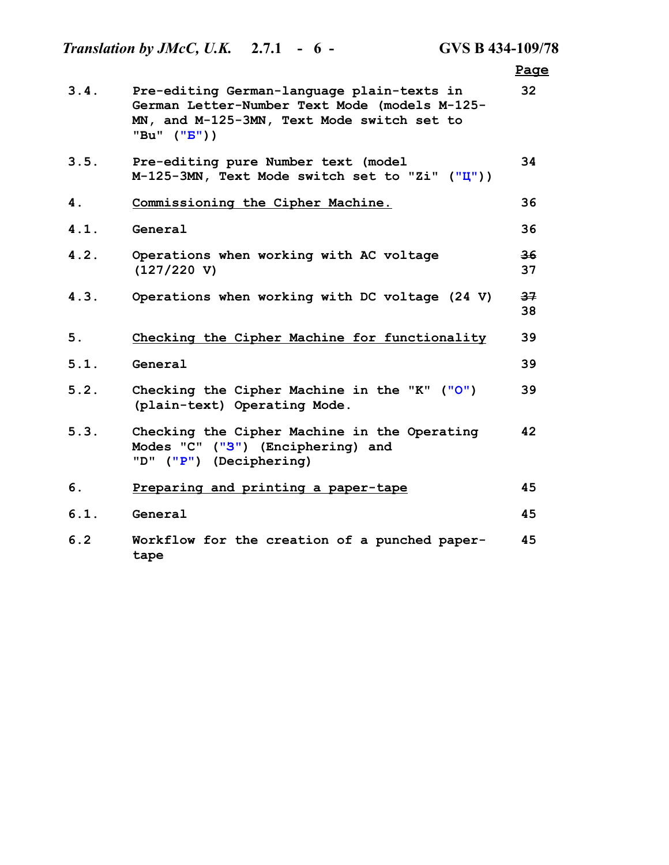|      | <i>Translation by JMcC, U.K.</i> 2.7.1 - $6 -$                                                                                                                                  | <b>GVS B 434-109/78</b> |          |
|------|---------------------------------------------------------------------------------------------------------------------------------------------------------------------------------|-------------------------|----------|
|      |                                                                                                                                                                                 |                         | Page     |
| 3.4. | Pre-editing German-language plain-texts in<br>German Letter-Number Text Mode (models M-125-<br>MN, and M-125-3MN, Text Mode switch set to<br>"Bu" $(\mathbf{''}B\mathbf{''})$ ) |                         | 32       |
| 3.5. | Pre-editing pure Number text (model<br>$M-125-3MN$ , Text Mode switch set to "Zi" ("I"))                                                                                        |                         | 34       |
| 4.   | Commissioning the Cipher Machine.                                                                                                                                               |                         | 36       |
| 4.1. | General                                                                                                                                                                         |                         | 36       |
| 4.2. | Operations when working with AC voltage<br>(127/220 V)                                                                                                                          |                         | 36<br>37 |
| 4.3. | Operations when working with DC voltage (24 V)                                                                                                                                  |                         | 37<br>38 |
| 5.   | Checking the Cipher Machine for functionality                                                                                                                                   |                         | 39       |
| 5.1. | General                                                                                                                                                                         |                         | 39       |
| 5.2. | Checking the Cipher Machine in the "K" ("O")<br>(plain-text) Operating Mode.                                                                                                    |                         | 39       |
| 5.3. | Checking the Cipher Machine in the Operating<br>Modes "C" ("3") (Enciphering) and<br>"D" ("P") (Deciphering)                                                                    |                         | 42       |
| 6.   | Preparing and printing a paper-tape                                                                                                                                             |                         | 45       |
| 6.1. | General                                                                                                                                                                         |                         | 45       |
| 6.2  | Workflow for the creation of a punched paper-<br>tape                                                                                                                           |                         | 45       |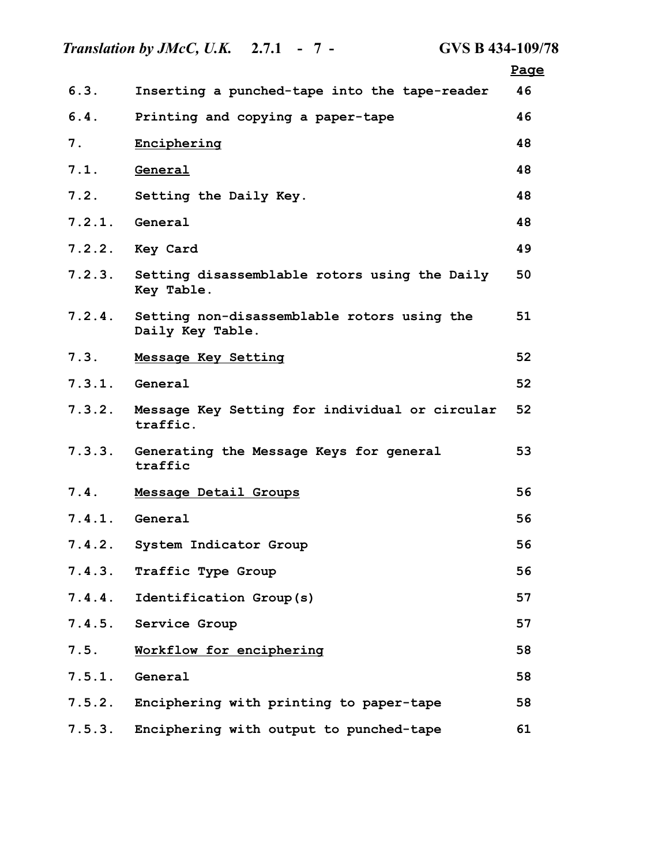*Translation by JMcC, U.K.* **2.7.1 - 7 - GVS B 434-109/78 Page 6.3. Inserting a punched-tape into the tape-reader 46 6.4. Printing and copying a paper-tape 46 7. Enciphering 48 7.1. General 48 7.2. Setting the Daily Key. 48 7.2.1. General 48 7.2.2. Key Card 49 7.2.3. Setting disassemblable rotors using the Daily Key Table. 50 7.2.4. Setting non-disassemblable rotors using the Daily Key Table. 51 7.3. Message Key Setting 52 7.3.1. General 52 7.3.2. Message Key Setting for individual or circular traffic. 52 7.3.3. Generating the Message Keys for general traffic 53 7.4. Message Detail Groups 56 7.4.1. General 56 7.4.2. System Indicator Group 56 7.4.3. Traffic Type Group 56 7.4.4. Identification Group(s) 57 7.4.5. Service Group 57 7.5. Workflow for enciphering 58 7.5.1. General 58 7.5.2. Enciphering with printing to paper-tape 58 7.5.3. Enciphering with output to punched-tape 61**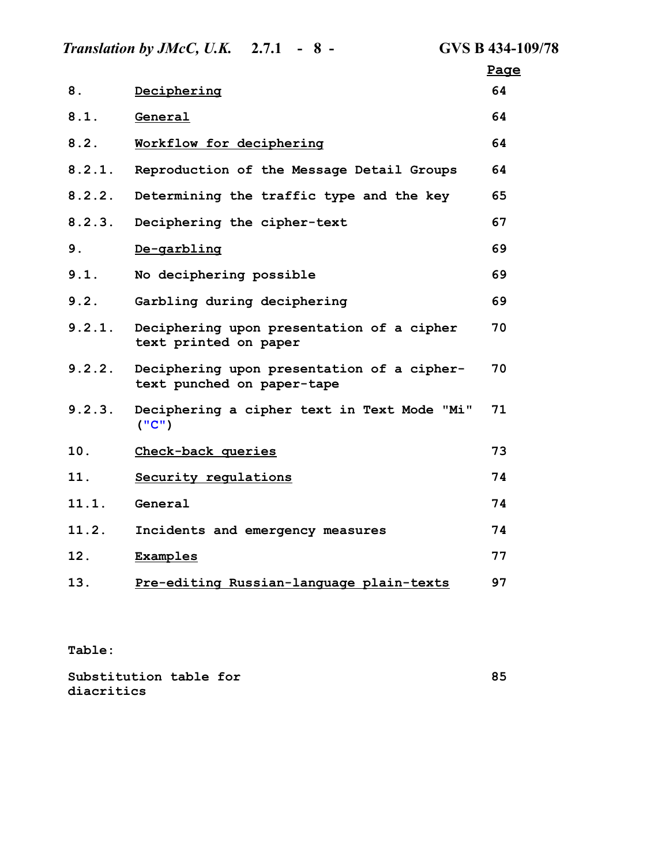|        | <i>Translation by JMcC, U.K.</i> 2.7.1 - $8 -$                           | <b>GVS B 434-109/78</b> |
|--------|--------------------------------------------------------------------------|-------------------------|
|        |                                                                          | Page                    |
| 8.     | Deciphering                                                              | 64                      |
| 8.1.   | General                                                                  | 64                      |
| 8.2.   | Workflow for deciphering                                                 | 64                      |
| 8.2.1. | Reproduction of the Message Detail Groups                                | 64                      |
| 8.2.2. | Determining the traffic type and the key                                 | 65                      |
| 8.2.3. | Deciphering the cipher-text                                              | 67                      |
| 9.     | De-garbling                                                              | 69                      |
| 9.1.   | No deciphering possible                                                  | 69                      |
| 9.2.   | Garbling during deciphering                                              | 69                      |
| 9.2.1. | Deciphering upon presentation of a cipher<br>text printed on paper       | 70                      |
| 9.2.2. | Deciphering upon presentation of a cipher-<br>text punched on paper-tape | 70                      |
| 9.2.3. | Deciphering a cipher text in Text Mode "Mi"<br>("C")                     | 71                      |
| 10.    | Check-back queries                                                       | 73                      |
| 11.    | Security regulations                                                     | 74                      |
| 11.1.  | General                                                                  | 74                      |
| 11.2.  | Incidents and emergency measures                                         | 74                      |
| 12.    | <b>Examples</b>                                                          | 77                      |
| 13.    | Pre-editing Russian-language plain-texts                                 | 97                      |

**Table:**

| Substitution table for |  |  |
|------------------------|--|--|
| diacritics             |  |  |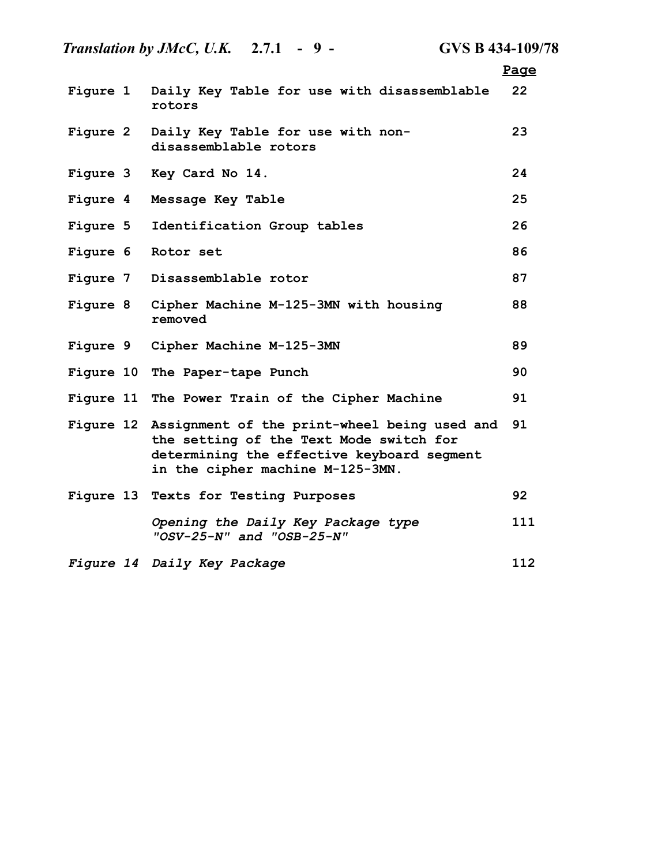|                 | Translation by JMcC, U.K. $2.7.1 - 9 -$<br><b>GVS B 434-109/78</b>                                                                                                                  |      |
|-----------------|-------------------------------------------------------------------------------------------------------------------------------------------------------------------------------------|------|
|                 |                                                                                                                                                                                     | Page |
| Figure 1        | Daily Key Table for use with disassemblable<br>rotors                                                                                                                               | 22   |
| <b>Figure 2</b> | Daily Key Table for use with non-<br>disassemblable rotors                                                                                                                          | 23   |
|                 | Figure 3 Key Card No 14.                                                                                                                                                            | 24   |
| Figure 4        | Message Key Table                                                                                                                                                                   | 25   |
| <b>Figure 5</b> | Identification Group tables                                                                                                                                                         | 26   |
|                 | Figure 6 Rotor set                                                                                                                                                                  | 86   |
|                 | Figure 7 Disassemblable rotor                                                                                                                                                       | 87   |
|                 | Figure 8 Cipher Machine M-125-3MN with housing<br>removed                                                                                                                           | 88   |
|                 | Figure 9 Cipher Machine M-125-3MN                                                                                                                                                   | 89   |
|                 | Figure 10 The Paper-tape Punch                                                                                                                                                      | 90   |
|                 | Figure 11 The Power Train of the Cipher Machine                                                                                                                                     | 91   |
|                 | Figure 12 Assignment of the print-wheel being used and<br>the setting of the Text Mode switch for<br>determining the effective keyboard segment<br>in the cipher machine M-125-3MN. | 91   |
|                 | Figure 13 Texts for Testing Purposes                                                                                                                                                | 92   |
|                 | Opening the Daily Key Package type<br>"OSV-25-N" and "OSB-25-N"                                                                                                                     | 111  |
|                 | Figure 14 Daily Key Package                                                                                                                                                         | 112  |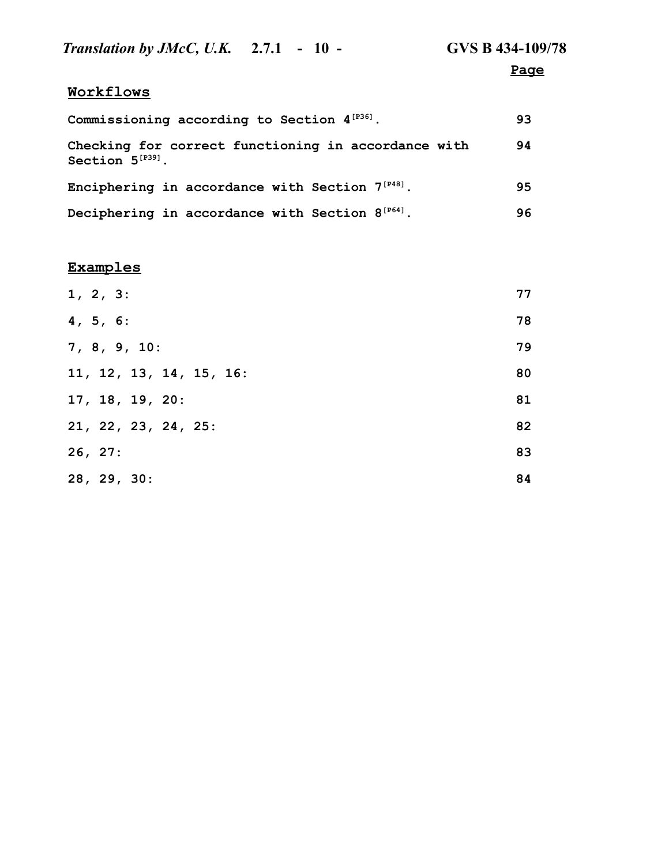| <i>Translation by JMcC, U.K.</i> 2.7.1 - 10 -                                | GVS B 434-109/78 |
|------------------------------------------------------------------------------|------------------|
|                                                                              | Page             |
| Workflows                                                                    |                  |
| Commissioning according to Section $4^{[P36]}$ .                             | 93               |
| Checking for correct functioning in accordance with<br>Section $5^{[P39]}$ . | 94               |
| Enciphering in accordance with Section $7^{[P48]}$ .                         | 95               |
| Deciphering in accordance with Section $8^{[P64]}$ .                         | 96               |

# **Examples**

| 1, 2, 3:                | 77 |
|-------------------------|----|
| 4, 5, 6:                | 78 |
| 7, 8, 9, 10:            | 79 |
| 11, 12, 13, 14, 15, 16: | 80 |
| 17, 18, 19, 20:         | 81 |
| 21, 22, 23, 24, 25:     | 82 |
| 26, 27:                 | 83 |
| 28, 29, 30:             | 84 |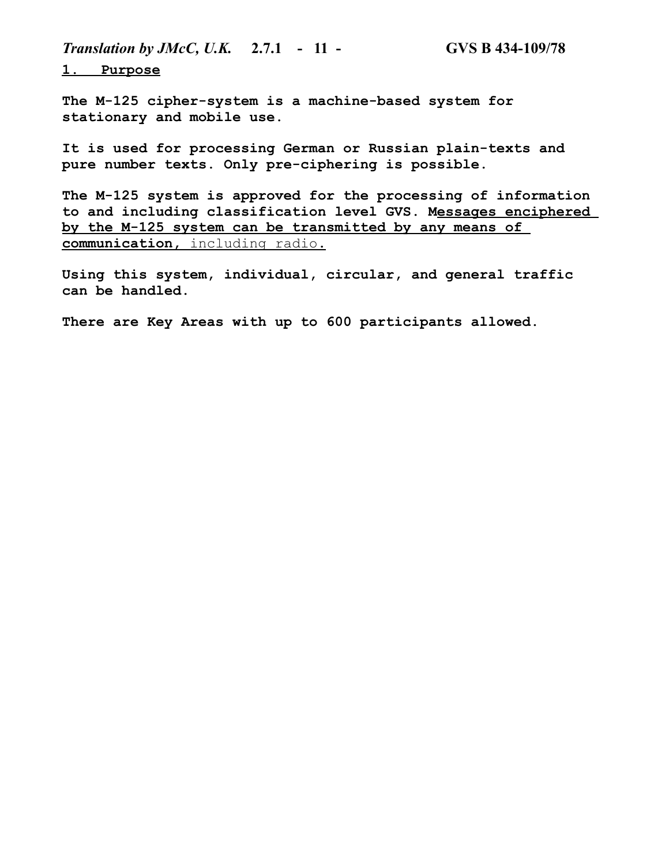*Translation by JMcC, U.K.* **2.7.1 - 11 - GVS B 434-109/78**

 **1. Purpose**

**The M-125 cipher-system is a machine-based system for stationary and mobile use.**

**It is used for processing German or Russian plain-texts and pure number texts. Only pre-ciphering is possible.**

**The M-125 system is approved for the processing of information to and including classification level GVS. Messages enciphered by the M-125 system can be transmitted by any means of communication,** including radio**.**

**Using this system, individual, circular, and general traffic can be handled.**

**There are Key Areas with up to 600 participants allowed.**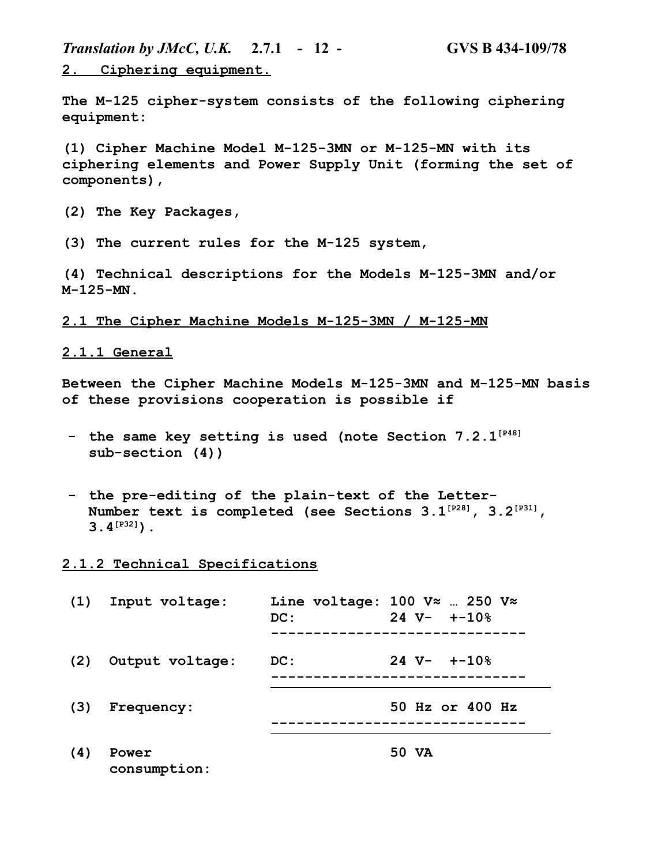*Translation by JMcC, U.K.* **2.7.1 - 12 - GVS B 434-109/78 2. Ciphering equipment.**

**The M-125 cipher-system consists of the following ciphering equipment:**

**(1) Cipher Machine Model M-125-3MN or M-125-MN with its ciphering elements and Power Supply Unit (forming the set of components),**

**(2) The Key Packages,**

**(3) The current rules for the M-125 system,**

**(4) Technical descriptions for the Models M-125-3MN and/or M-125-MN.**

**2.1 The Cipher Machine Models M-125-3MN / M-125-MN**

# **2.1.1 General**

**Between the Cipher Machine Models M-125-3MN and M-125-MN basis of these provisions cooperation is possible if**

- **- the same key setting is used (note Section 7.2.1[P48] sub-section (4))**
- **- the pre-editing of the plain-text of the Letter-Number text is completed (see Sections 3.1[P28], 3.2[P31], 3.4[P32]).**

#### **2.1.2 Technical Specifications**

| (1) | Input voltage:        | DC: | Line voltage: 100 $V \approx$ 250 $V \approx$<br>$24 \text{ V} - + -10\%$ |
|-----|-----------------------|-----|---------------------------------------------------------------------------|
| (2) | Output voltage:       | DC: | $24 \text{ V} - + -10\%$                                                  |
| (3) | Frequency:            |     | 50 Hz or 400 Hz                                                           |
| (4) | Power<br>consumption: |     | 50 VA                                                                     |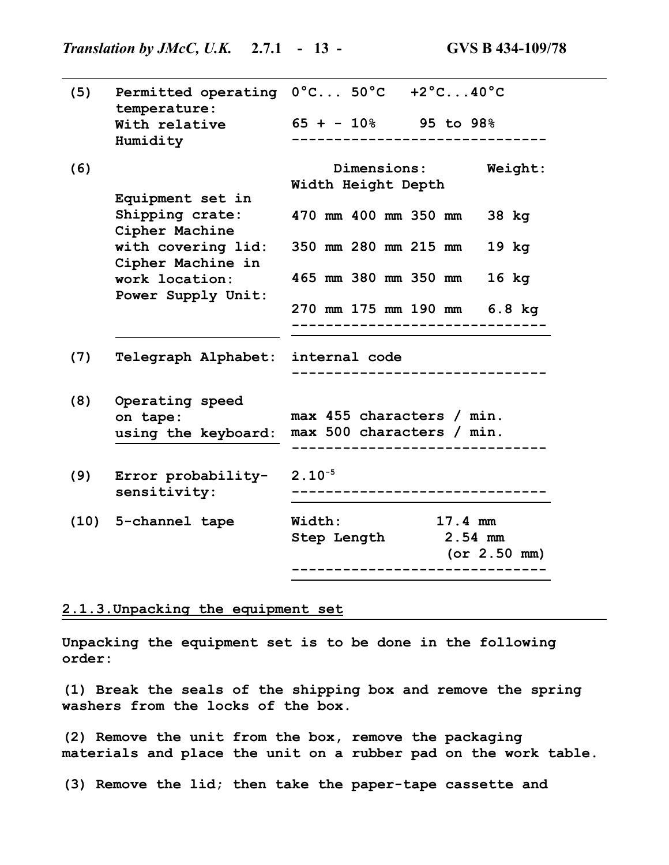| (5) | temperature:                            | Permitted operating $0^{\circ}$ C $50^{\circ}$ C +2°C40°C |
|-----|-----------------------------------------|-----------------------------------------------------------|
|     | With relative<br>Humidity               | $65 + -10$ 95 to 98%                                      |
| (6) |                                         | <b>Dimensions:</b><br>Weight:<br>Width Height Depth       |
|     | Equipment set in                        |                                                           |
|     | Shipping crate:<br>Cipher Machine       | 470 mm 400 mm 350 mm<br>38 kg                             |
|     | with covering lid:<br>Cipher Machine in | 350 mm 280 mm 215 mm<br>$19$ kg                           |
|     | work location:<br>Power Supply Unit:    | 465 mm 380 mm 350 mm<br>$16$ kg                           |
|     |                                         | 270 mm 175 mm 190 mm 6.8 kg                               |
| (7) | Telegraph Alphabet:                     | internal code                                             |
|     |                                         |                                                           |
| (8) | Operating speed                         |                                                           |
|     | on tape:                                | max 455 characters / min.                                 |
|     | using the keyboard:                     | max 500 characters / min.                                 |
| (9) | Error probability-                      | $2.10^{-5}$                                               |
|     | sensitivity:                            |                                                           |
|     | (10) 5-channel tape                     | $17.4$ mm<br><b>Width:</b>                                |
|     |                                         | Step Length 2.54 mm                                       |
|     |                                         | (or 2.50 mm)                                              |

# **2.1.3.Unpacking the equipment set**

**Unpacking the equipment set is to be done in the following order:**

**(1) Break the seals of the shipping box and remove the spring washers from the locks of the box.**

**(2) Remove the unit from the box, remove the packaging materials and place the unit on a rubber pad on the work table.**

**(3) Remove the lid; then take the paper-tape cassette and**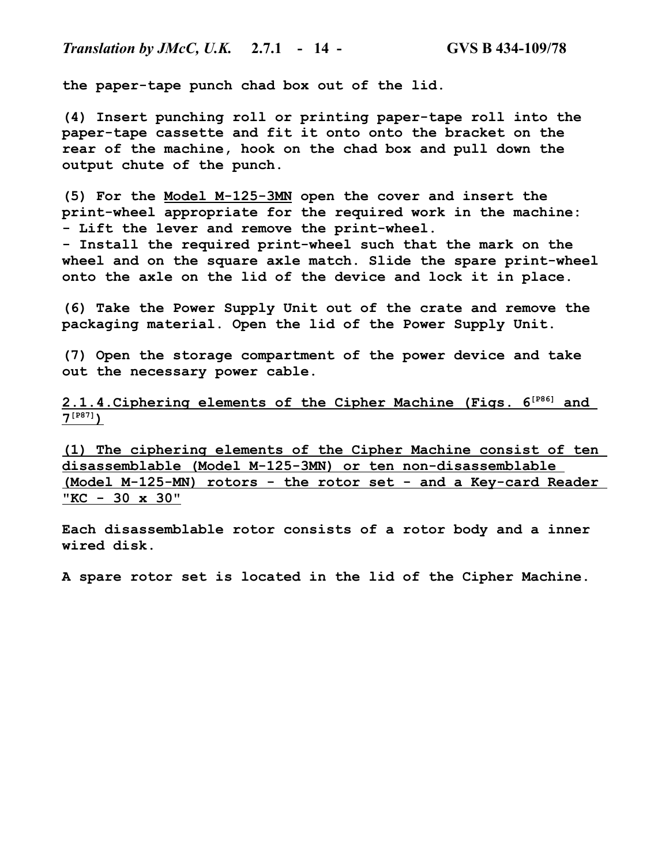**the paper-tape punch chad box out of the lid.**

**(4) Insert punching roll or printing paper-tape roll into the paper-tape cassette and fit it onto onto the bracket on the rear of the machine, hook on the chad box and pull down the output chute of the punch.**

**(5) For the Model M-125-3MN open the cover and insert the print-wheel appropriate for the required work in the machine: - Lift the lever and remove the print-wheel.**

**- Install the required print-wheel such that the mark on the wheel and on the square axle match. Slide the spare print-wheel onto the axle on the lid of the device and lock it in place.**

**(6) Take the Power Supply Unit out of the crate and remove the packaging material. Open the lid of the Power Supply Unit.**

**(7) Open the storage compartment of the power device and take out the necessary power cable.**

 **2.1.4.Ciphering elements of the Cipher Machine (Figs. 6[P86] and 7 [P87] )**

**(1) The ciphering elements of the Cipher Machine consist of ten disassemblable (Model M-125-3MN) or ten non-disassemblable (Model M-125-MN) rotors - the rotor set - and a Key-card Reader "KC - 30 x 30"**

**Each disassemblable rotor consists of a rotor body and a inner wired disk.**

**A spare rotor set is located in the lid of the Cipher Machine.**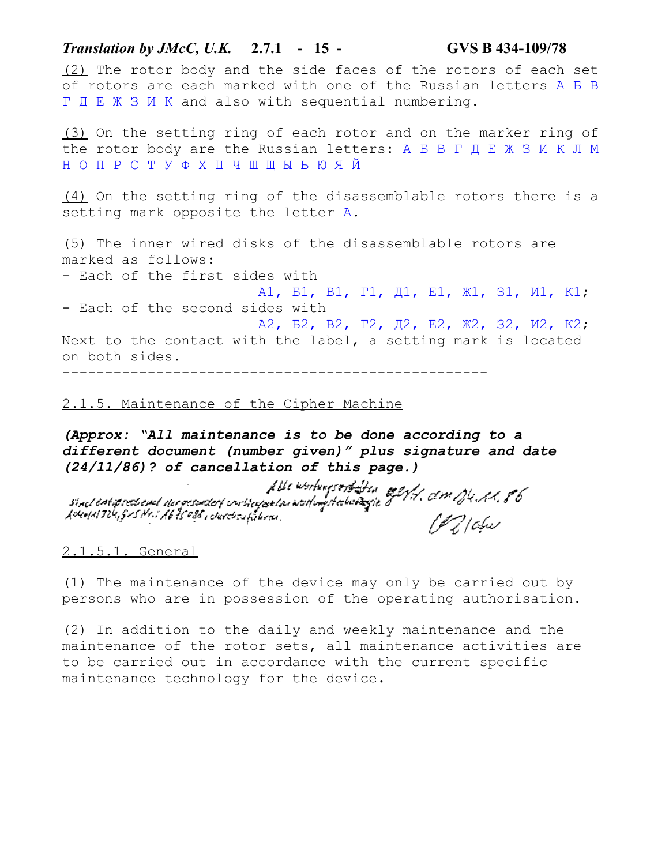*Translation by JMcC, U.K.* **2.7.1 - 15 - GVS B 434-109/78** (2) The rotor body and the side faces of the rotors of each set of rotors are each marked with one of the Russian letters А Б В Г Д Е Ж З И К and also with sequential numbering. (3) On the setting ring of each rotor and on the marker ring of the rotor body are the Russian letters: А Б В Г Д Е Ж З И К Л М Н О П Р С Т У Ф Х Ц Ч Ш Щ Ы Ь Ю Я Й (4) On the setting ring of the disassemblable rotors there is a setting mark opposite the letter А. (5) The inner wired disks of the disassemblable rotors are marked as follows: - Each of the first sides with А1, Б1, В1, Г1, Д1, Е1, Ж1, З1, И1, К1; - Each of the second sides with А2, Б2, В2, Г2, Д2, Е2, Ж2, З2, И2, К2; Next to the contact with the label, a setting mark is located on both sides. --------------------------------------------------

# 2.1.5. Maintenance of the Cipher Machine

*(Approx: "All maintenance is to be done according to a different document (number given)" plus signature and date* 

*(24/11/86)? of cancellation of this page.)* Lowell 724, SVS Nr. : 1675 486, cherchsubshiren,

#### 2.1.5.1. General

(1) The maintenance of the device may only be carried out by persons who are in possession of the operating authorisation.

(2) In addition to the daily and weekly maintenance and the maintenance of the rotor sets, all maintenance activities are to be carried out in accordance with the current specific maintenance technology for the device.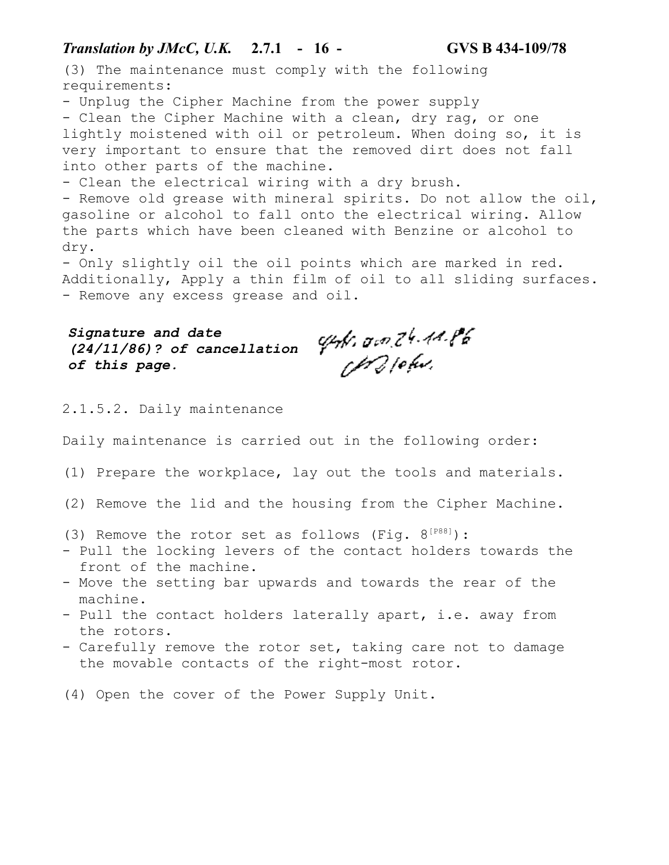# *Translation by JMcC, U.K.* **2.7.1 - 16 - GVS B 434-109/78**

(3) The maintenance must comply with the following requirements:

- Unplug the Cipher Machine from the power supply

- Clean the Cipher Machine with a clean, dry rag, or one lightly moistened with oil or petroleum. When doing so, it is very important to ensure that the removed dirt does not fall into other parts of the machine.

- Clean the electrical wiring with a dry brush.

- Remove old grease with mineral spirits. Do not allow the oil, gasoline or alcohol to fall onto the electrical wiring. Allow the parts which have been cleaned with Benzine or alcohol to dry.

- Only slightly oil the oil points which are marked in red. Additionally, Apply a thin film of oil to all sliding surfaces. - Remove any excess grease and oil.

*Signature and date (24/11/86)? of cancellation of this page.*

epfi, am 24.44.1%<br>CM21efui,

# 2.1.5.2. Daily maintenance

Daily maintenance is carried out in the following order:

- (1) Prepare the workplace, lay out the tools and materials.
- (2) Remove the lid and the housing from the Cipher Machine.
- (3) Remove the rotor set as follows (Fig.  $8^{[P88]}$ ):
- Pull the locking levers of the contact holders towards the front of the machine.
- Move the setting bar upwards and towards the rear of the machine.
- Pull the contact holders laterally apart, i.e. away from the rotors.
- Carefully remove the rotor set, taking care not to damage the movable contacts of the right-most rotor.
- (4) Open the cover of the Power Supply Unit.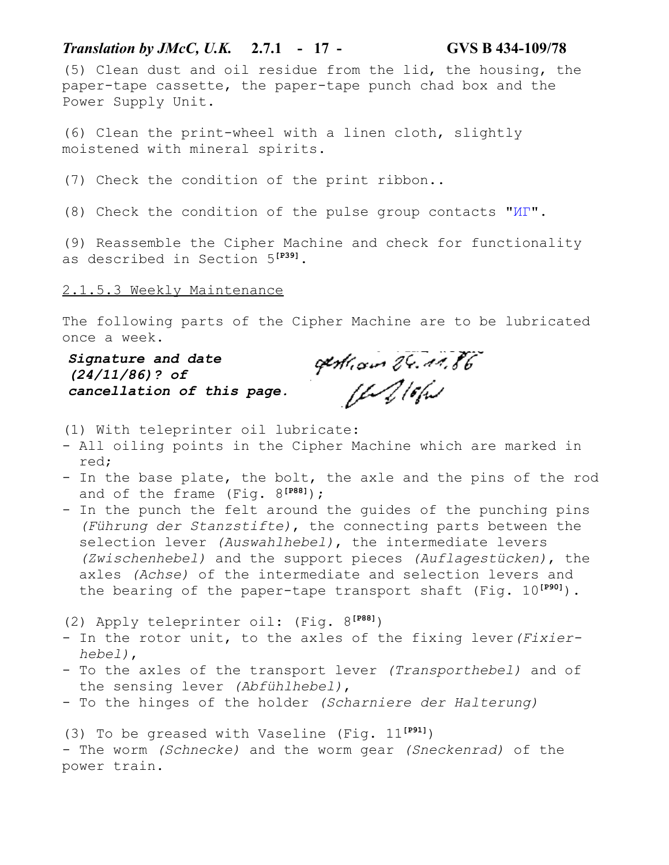# *Translation by JMcC, U.K.* **2.7.1 - 17 - GVS B 434-109/78**

(5) Clean dust and oil residue from the lid, the housing, the paper-tape cassette, the paper-tape punch chad box and the Power Supply Unit.

(6) Clean the print-wheel with a linen cloth, slightly moistened with mineral spirits.

(7) Check the condition of the print ribbon..

(8) Check the condition of the pulse group contacts "ИГ".

(9) Reassemble the Cipher Machine and check for functionality as described in Section 5**[P39]**.

2.1.5.3 Weekly Maintenance

The following parts of the Cipher Machine are to be lubricated once a week.

*Signature and date (24/11/86)? of cancellation of this page.*

gestions 24.01.86<br>[ft 2/6fis

(1) With teleprinter oil lubricate:

- All oiling points in the Cipher Machine which are marked in red;
- In the base plate, the bolt, the axle and the pins of the rod and of the frame (Fig. 8**[P88]**);
- In the punch the felt around the quides of the punching pins *(Führung der Stanzstifte)*, the connecting parts between the selection lever *(Auswahlhebel)*, the intermediate levers *(Zwischenhebel)* and the support pieces *(Auflagestücken)*, the axles *(Achse)* of the intermediate and selection levers and the bearing of the paper-tape transport shaft (Fig. 10**[P90]**).

(2) Apply teleprinter oil: (Fig. 8**[P88]**)

- In the rotor unit, to the axles of the fixing lever*(Fixier hebel)*,
- To the axles of the transport lever *(Transporthebel)* and of the sensing lever *(Abfühlhebel)*,
- To the hinges of the holder *(Scharniere der Halterung)*

(3) To be greased with Vaseline (Fig. 11**[P91]**) - The worm *(Schnecke)* and the worm gear *(Sneckenrad)* of the power train.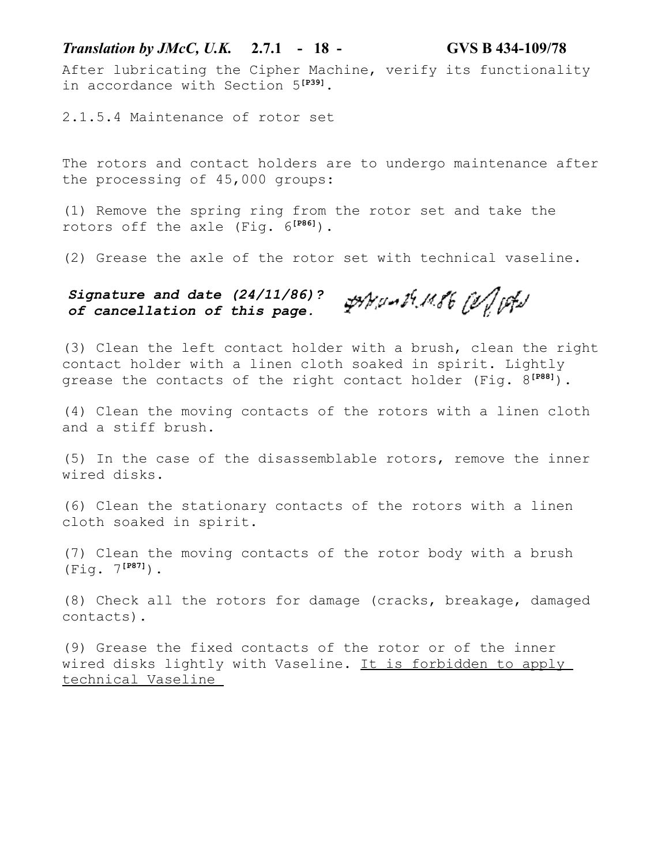After lubricating the Cipher Machine, verify its functionality in accordance with Section 5**[P39]**.

2.1.5.4 Maintenance of rotor set

The rotors and contact holders are to undergo maintenance after the processing of 45,000 groups:

(1) Remove the spring ring from the rotor set and take the rotors off the axle (Fig. 6**[P86]**).

(2) Grease the axle of the rotor set with technical vaseline.

ANUMER & Of P *Signature and date (24/11/86)? of cancellation of this page.*

(3) Clean the left contact holder with a brush, clean the right contact holder with a linen cloth soaked in spirit. Lightly grease the contacts of the right contact holder (Fig. 8**[P88]**).

(4) Clean the moving contacts of the rotors with a linen cloth and a stiff brush.

(5) In the case of the disassemblable rotors, remove the inner wired disks.

(6) Clean the stationary contacts of the rotors with a linen cloth soaked in spirit.

(7) Clean the moving contacts of the rotor body with a brush (Fig. 7**[P87]**).

(8) Check all the rotors for damage (cracks, breakage, damaged contacts).

(9) Grease the fixed contacts of the rotor or of the inner wired disks lightly with Vaseline. It is forbidden to apply technical Vaseline

# *Translation by JMcC, U.K.* **2.7.1 - 18 - GVS B 434-109/78**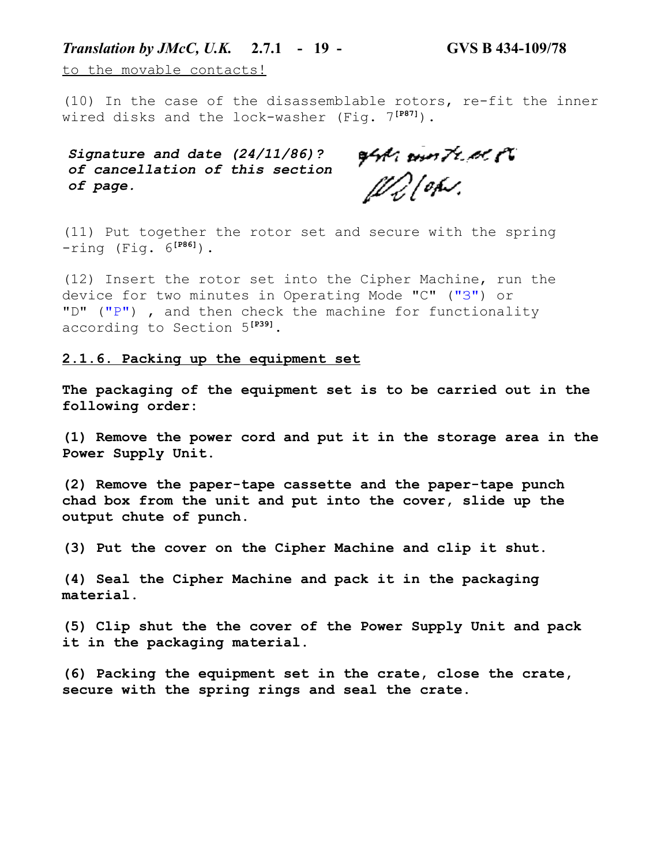# *Translation by JMcC, U.K.* **2.7.1 - 19 - GVS B 434-109/78**

to the movable contacts!

(10) In the case of the disassemblable rotors, re-fit the inner wired disks and the lock-washer (Fig. 7**[P87]**).

*Signature and date (24/11/86)? of cancellation of this section of page.*

opper omn Franc e<sup>n</sup><br>[f/g] op*v*.

(11) Put together the rotor set and secure with the spring -ring (Fig. 6**[P86]**).

(12) Insert the rotor set into the Cipher Machine, run the device for two minutes in Operating Mode "C" ("З") or "D" ("P"), and then check the machine for functionality according to Section 5**[P39]**.

#### **2.1.6. Packing up the equipment set**

**The packaging of the equipment set is to be carried out in the following order:**

**(1) Remove the power cord and put it in the storage area in the Power Supply Unit.**

**(2) Remove the paper-tape cassette and the paper-tape punch chad box from the unit and put into the cover, slide up the output chute of punch.**

**(3) Put the cover on the Cipher Machine and clip it shut.**

**(4) Seal the Cipher Machine and pack it in the packaging material.**

**(5) Clip shut the the cover of the Power Supply Unit and pack it in the packaging material.**

**(6) Packing the equipment set in the crate, close the crate, secure with the spring rings and seal the crate.**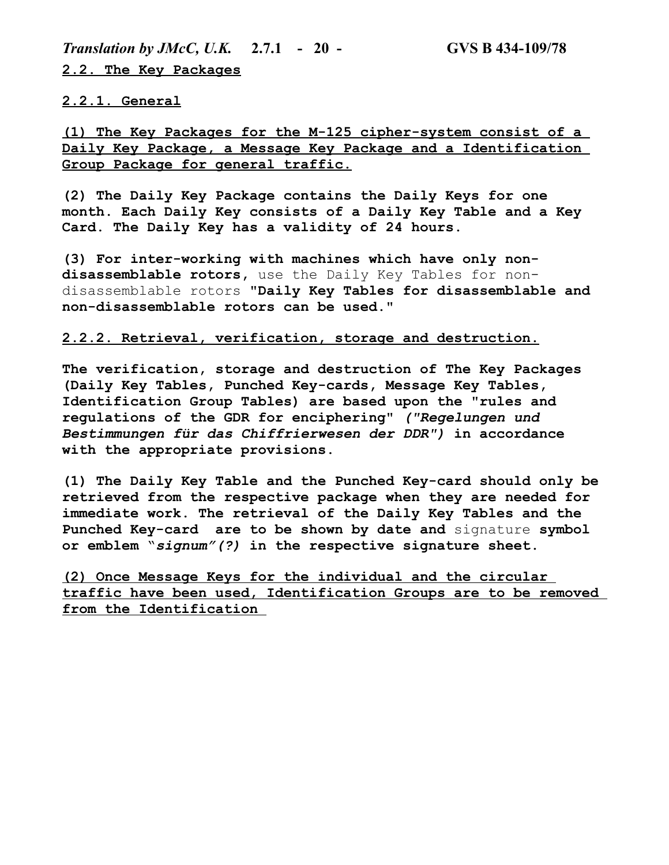*Translation by JMcC, U.K.* **2.7.1 - 20 - GVS B 434-109/78 2.2. The Key Packages**

**2.2.1. General**

**(1) The Key Packages for the M-125 cipher-system consist of a Daily Key Package, a Message Key Package and a Identification Group Package for general traffic.**

**(2) The Daily Key Package contains the Daily Keys for one month. Each Daily Key consists of a Daily Key Table and a Key Card. The Daily Key has a validity of 24 hours.**

**(3) For inter-working with machines which have only nondisassemblable rotors,** use the Daily Key Tables for nondisassemblable rotors **"Daily Key Tables for disassemblable and non-disassemblable rotors can be used."**

#### **2.2.2. Retrieval, verification, storage and destruction.**

**The verification, storage and destruction of The Key Packages (Daily Key Tables, Punched Key-cards, Message Key Tables, Identification Group Tables) are based upon the "rules and regulations of the GDR for enciphering"** *("Regelungen und Bestimmungen für das Chiffrierwesen der DDR")* **in accordance with the appropriate provisions.**

**(1) The Daily Key Table and the Punched Key-card should only be retrieved from the respective package when they are needed for immediate work. The retrieval of the Daily Key Tables and the Punched Key-card are to be shown by date and** signature **symbol or emblem** "*signum"(?)* **in the respective signature sheet.**

**(2) Once Message Keys for the individual and the circular traffic have been used, Identification Groups are to be removed from the Identification**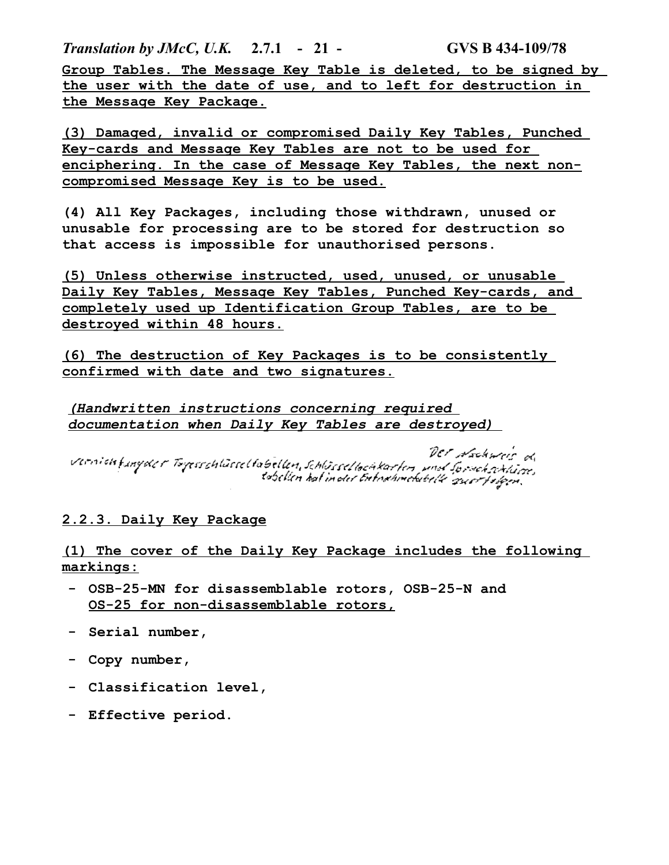*Translation by JMcC, U.K.* **2.7.1 - 21 - GVS B 434-109/78 Group Tables. The Message Key Table is deleted, to be signed by the user with the date of use, and to left for destruction in the Message Key Package.**

**(3) Damaged, invalid or compromised Daily Key Tables, Punched Key-cards and Message Key Tables are not to be used for enciphering. In the case of Message Key Tables, the next noncompromised Message Key is to be used.**

**(4) All Key Packages, including those withdrawn, unused or unusable for processing are to be stored for destruction so that access is impossible for unauthorised persons.**

**(5) Unless otherwise instructed, used, unused, or unusable Daily Key Tables, Message Key Tables, Punched Key-cards, and completely used up Identification Group Tables, are to be destroyed within 48 hours.**

**(6) The destruction of Key Packages is to be consistently confirmed with date and two signatures.**

*(Handwritten instructions concerning required documentation when Daily Key Tables are destroyed)* 

DET Nochweis d og versichtungsder Togesephüsselhobellen, Schlösselhochkorten und Tordeburge.<br>Schlen kat in der Erhokhmelalde zuerstäßen.

# **2.2.3. Daily Key Package**

**(1) The cover of the Daily Key Package includes the following markings:**

- **- OSB-25-MN for disassemblable rotors, OSB-25-N and OS-25 for non-disassemblable rotors,**
- **- Serial number,**
- **- Copy number,**
- **- Classification level,**
- **- Effective period.**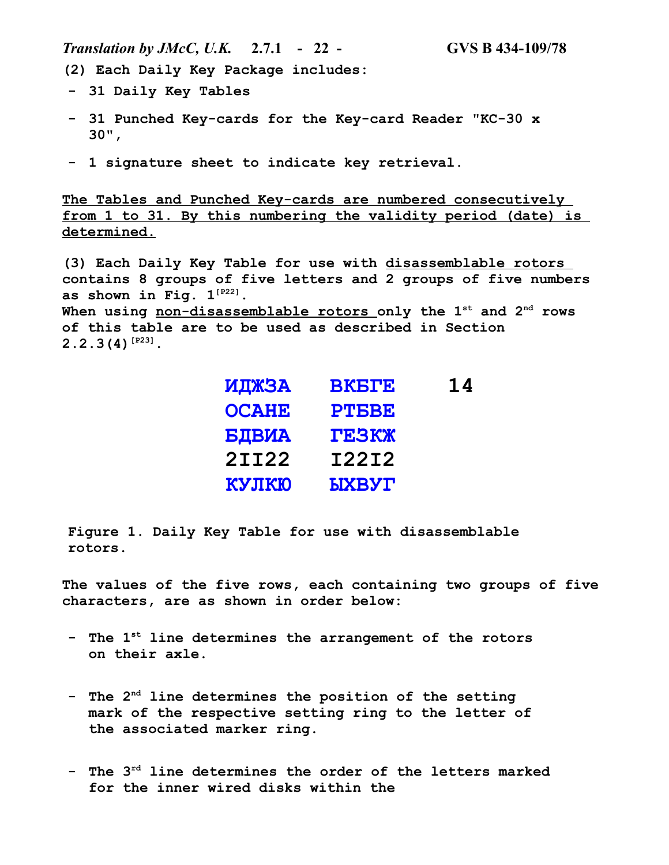*Translation by JMcC, U.K.* **2.7.1 - 22 - GVS B 434-109/78**

**(2) Each Daily Key Package includes:**

- **- 31 Daily Key Tables**
- **- 31 Punched Key-cards for the Key-card Reader "KC-30 x 30",**
- **- 1 signature sheet to indicate key retrieval.**

**The Tables and Punched Key-cards are numbered consecutively from 1 to 31. By this numbering the validity period (date) is determined.**

**(3) Each Daily Key Table for use with disassemblable rotors contains 8 groups of five letters and 2 groups of five numbers as shown in Fig. 1[P22]. When using non-disassemblable rotors only the 1st and 2nd rows of this table are to be used as described in Section 2.2.3(4)[P23].**

| <b>BKETE</b>  | 14 |
|---------------|----|
| <b>PTBBE</b>  |    |
| <b>TESKX</b>  |    |
| I22I2         |    |
| <b>LIXBYT</b> |    |
|               |    |

**Figure 1. Daily Key Table for use with disassemblable rotors.**

**The values of the five rows, each containing two groups of five characters, are as shown in order below:**

- **- The 1st line determines the arrangement of the rotors on their axle.**
- **- The 2nd line determines the position of the setting mark of the respective setting ring to the letter of the associated marker ring.**
- **- The 3rd line determines the order of the letters marked for the inner wired disks within the**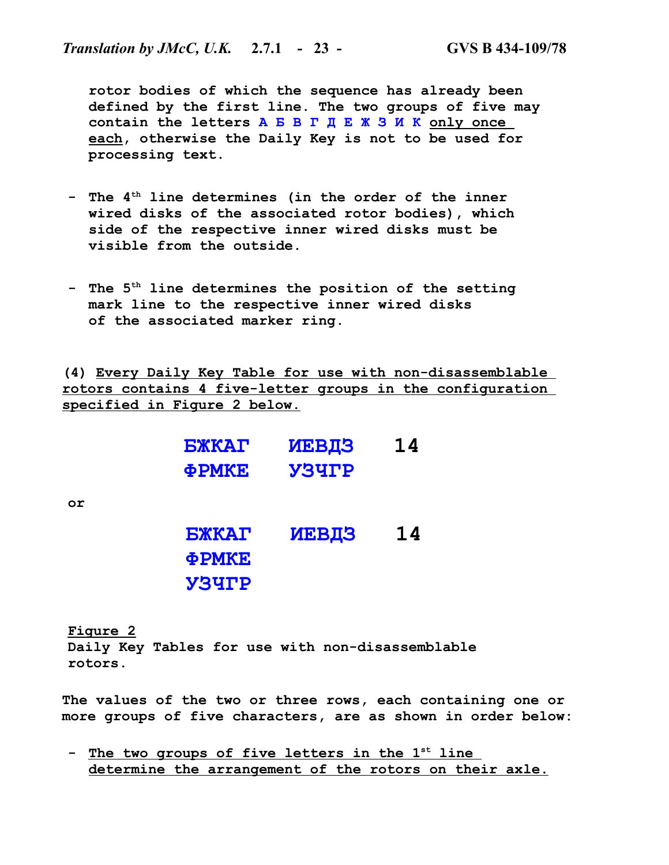**rotor bodies of which the sequence has already been defined by the first line. The two groups of five may contain the letters А Б В Г Д Е Ж З И К only once each, otherwise the Daily Key is not to be used for processing text.**

- **- The 4th line determines (in the order of the inner wired disks of the associated rotor bodies), which side of the respective inner wired disks must be visible from the outside.**
- **- The 5th line determines the position of the setting mark line to the respective inner wired disks of the associated marker ring.**

**(4) Every Daily Key Table for use with non-disassemblable rotors contains 4 five-letter groups in the configuration specified in Figure 2 below.**

| <b>EXKAT</b> | <b>ИЕВДЗ</b> | 14 |
|--------------|--------------|----|
| ФРМКЕ        | <b>Y3YTP</b> |    |
|              |              |    |
|              |              |    |
| <b>БЖКАГ</b> | <b>ИЕВДЗ</b> | 14 |
| <b>ФРМКЕ</b> |              |    |
| <b>Y3YTP</b> |              |    |

**or**

**Figure 2 Daily Key Tables for use with non-disassemblable rotors.**

**The values of the two or three rows, each containing one or more groups of five characters, are as shown in order below:**

**- The two groups of five letters in the 1st line determine the arrangement of the rotors on their axle.**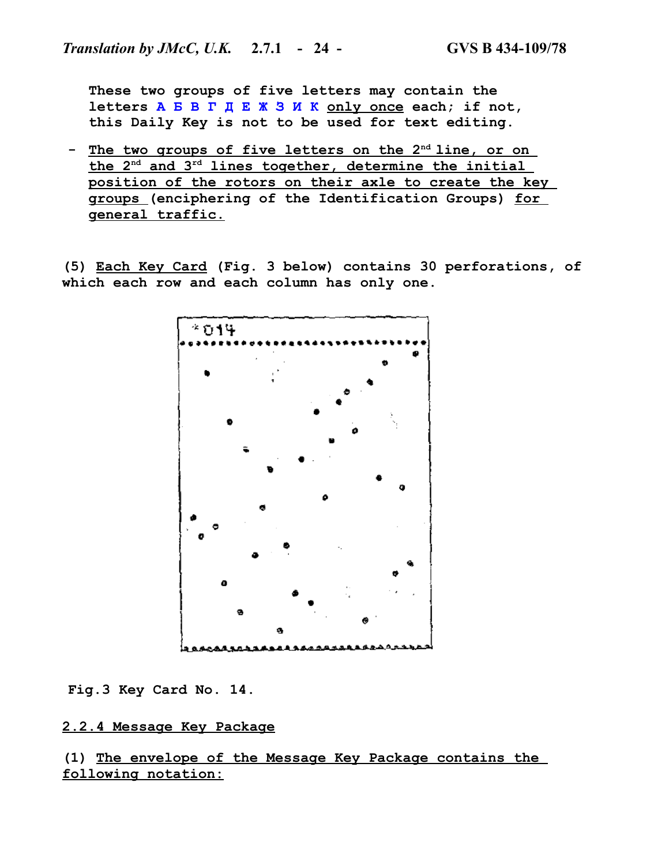**These two groups of five letters may contain the letters А Б В Г Д Е Ж З И К only once each; if not, this Daily Key is not to be used for text editing.**

**- The two groups of five letters on the 2nd line, or on the 2nd and 3rd lines together, determine the initial position of the rotors on their axle to create the key groups (enciphering of the Identification Groups) for general traffic.**

**(5) Each Key Card (Fig. 3 below) contains 30 perforations, of which each row and each column has only one.**



**Fig.3 Key Card No. 14.**

# **2.2.4 Message Key Package**

**(1) The envelope of the Message Key Package contains the following notation:**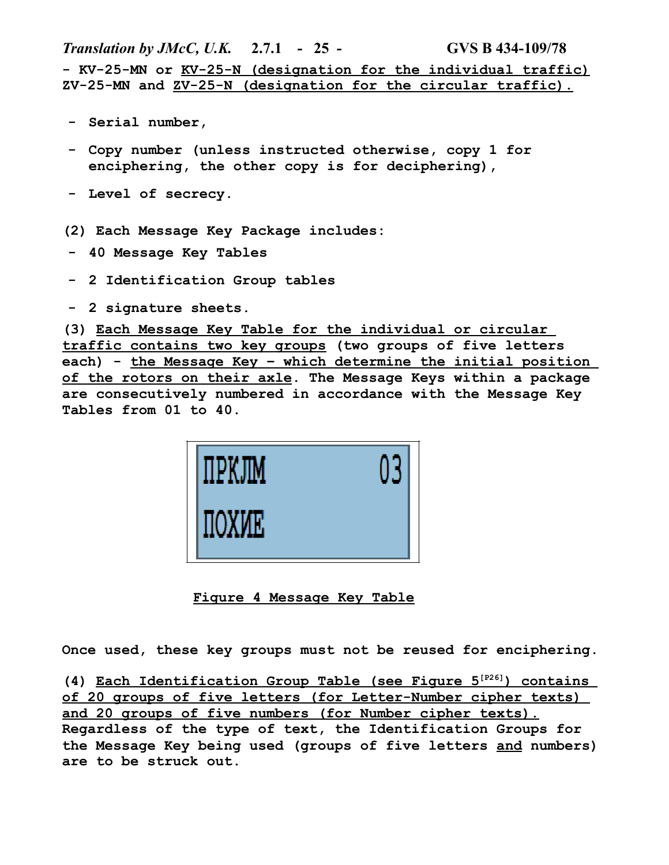*Translation by JMcC, U.K.* **2.7.1 - 25 - GVS B 434-109/78 - KV-25-MN or KV-25-N (designation for the individual traffic) ZV-25-MN and ZV-25-N (designation for the circular traffic).**

- **- Serial number,**
- **- Copy number (unless instructed otherwise, copy 1 for enciphering, the other copy is for deciphering),**
- **- Level of secrecy.**
- **(2) Each Message Key Package includes:**
- **- 40 Message Key Tables**
- **- 2 Identification Group tables**
- **- 2 signature sheets.**

**(3) Each Message Key Table for the individual or circular traffic contains two key groups (two groups of five letters each) - the Message Key – which determine the initial position of the rotors on their axle. The Message Keys within a package are consecutively numbered in accordance with the Message Key Tables from 01 to 40.**



**Figure 4 Message Key Table**

**Once used, these key groups must not be reused for enciphering.**

**(4) Each Identification Group Table (see Figure 5[P26] ) contains of 20 groups of five letters (for Letter-Number cipher texts) and 20 groups of five numbers (for Number cipher texts). Regardless of the type of text, the Identification Groups for the Message Key being used (groups of five letters and numbers) are to be struck out.**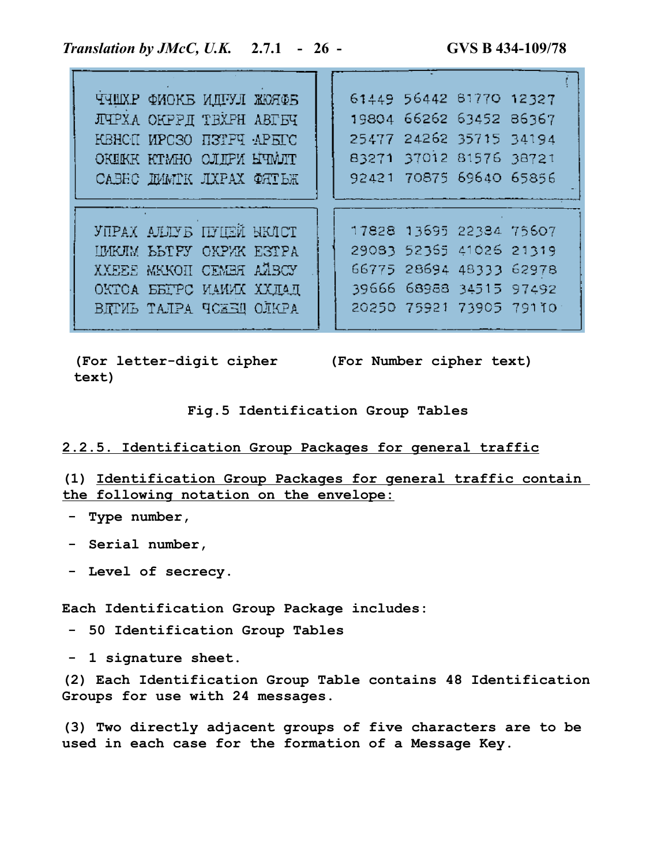| THEXP OMOKE MITTLE KOROS       |  |  | 61449 56442 61770 12327 |                         |  |
|--------------------------------|--|--|-------------------------|-------------------------|--|
| ЛЧРХА ОКРРД ТВХРН АВГБЧ        |  |  | 19804 66262 63452 86367 |                         |  |
| KBHCII MPCSO H3TPT APETC       |  |  | 25477 24262 35715 34194 |                         |  |
| OKEKK KTMHO OJIFY HUMJIT       |  |  | 83271 37012 81576 38721 |                         |  |
| CABEC IMMIK JIXPAX ORTER       |  |  | 92421 70875 69640 65856 |                         |  |
|                                |  |  |                         |                         |  |
|                                |  |  |                         |                         |  |
|                                |  |  |                         |                         |  |
| <b>YUPAX ALLYS INTEN HKICT</b> |  |  | 17828 13695 22384 75607 |                         |  |
| IMKJIM BBTPY OKPYK ESTPA       |  |  | 29083 52365 41026 21319 |                         |  |
| XXEEE MKKOH CEMBH AABCY        |  |  | 66775 28694 48333 62978 |                         |  |
| ОКТОА БЕГРС ИАИИХ ХХЛАД        |  |  | 39666 68988 34515 97492 |                         |  |
| ВЯТИЬ ТАЛРА ЧСЖЕЩ ОЛКРА        |  |  |                         | 20250 75921 73905 79110 |  |

**(For letter-digit cipher (For Number cipher text) text)**

**Fig.5 Identification Group Tables**

# **2.2.5. Identification Group Packages for general traffic**

**(1) Identification Group Packages for general traffic contain the following notation on the envelope:**

- **- Type number,**
- **- Serial number,**
- **- Level of secrecy.**

**Each Identification Group Package includes:**

**- 50 Identification Group Tables**

**- 1 signature sheet.**

**(2) Each Identification Group Table contains 48 Identification Groups for use with 24 messages.**

**(3) Two directly adjacent groups of five characters are to be used in each case for the formation of a Message Key.**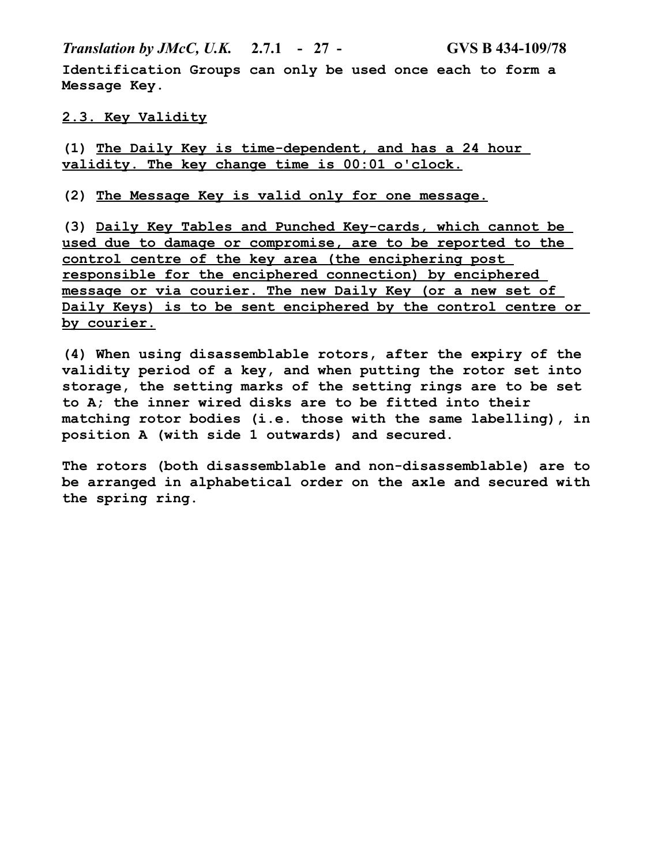*Translation by JMcC, U.K.* **2.7.1 - 27 - GVS B 434-109/78**

**Identification Groups can only be used once each to form a Message Key.**

# **2.3. Key Validity**

**(1) The Daily Key is time-dependent, and has a 24 hour validity. The key change time is 00:01 o'clock.**

**(2) The Message Key is valid only for one message.**

**(3) Daily Key Tables and Punched Key-cards, which cannot be used due to damage or compromise, are to be reported to the control centre of the key area (the enciphering post responsible for the enciphered connection) by enciphered message or via courier. The new Daily Key (or a new set of Daily Keys) is to be sent enciphered by the control centre or by courier.**

**(4) When using disassemblable rotors, after the expiry of the validity period of a key, and when putting the rotor set into storage, the setting marks of the setting rings are to be set to A; the inner wired disks are to be fitted into their matching rotor bodies (i.e. those with the same labelling), in position A (with side 1 outwards) and secured.**

**The rotors (both disassemblable and non-disassemblable) are to be arranged in alphabetical order on the axle and secured with the spring ring.**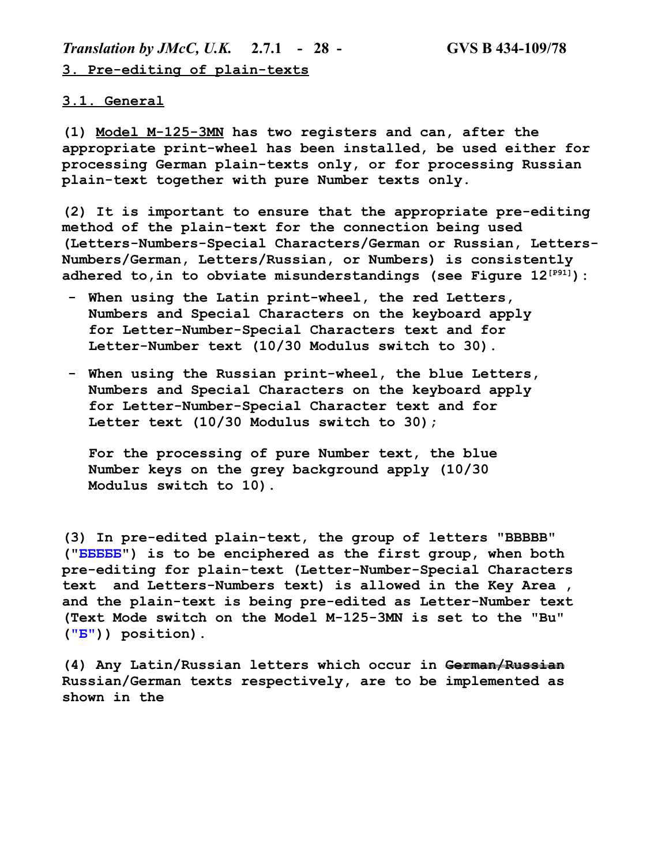*Translation by JMcC, U.K.* **2.7.1 - 28 - GVS B 434-109/78 3. Pre-editing of plain-texts**

#### **3.1. General**

**(1) Model M-125-3MN has two registers and can, after the appropriate print-wheel has been installed, be used either for processing German plain-texts only, or for processing Russian plain-text together with pure Number texts only.**

**(2) It is important to ensure that the appropriate pre-editing method of the plain-text for the connection being used (Letters-Numbers-Special Characters/German or Russian, Letters-Numbers/German, Letters/Russian, or Numbers) is consistently adhered to,in to obviate misunderstandings (see Figure 12[P91]):**

- **- When using the Latin print-wheel, the red Letters, Numbers and Special Characters on the keyboard apply for Letter-Number-Special Characters text and for Letter-Number text (10/30 Modulus switch to 30).**
- **- When using the Russian print-wheel, the blue Letters, Numbers and Special Characters on the keyboard apply for Letter-Number-Special Character text and for Letter text (10/30 Modulus switch to 30);**

**For the processing of pure Number text, the blue Number keys on the grey background apply (10/30 Modulus switch to 10).**

**(3) In pre-edited plain-text, the group of letters "BBBBB" ("БББББ") is to be enciphered as the first group, when both pre-editing for plain-text (Letter-Number-Special Characters text and Letters-Numbers text) is allowed in the Key Area , and the plain-text is being pre-edited as Letter-Number text (Text Mode switch on the Model M-125-3MN is set to the "Bu" ("Б")) position).**

**(4) Any Latin/Russian letters which occur in German/Russian Russian/German texts respectively, are to be implemented as shown in the**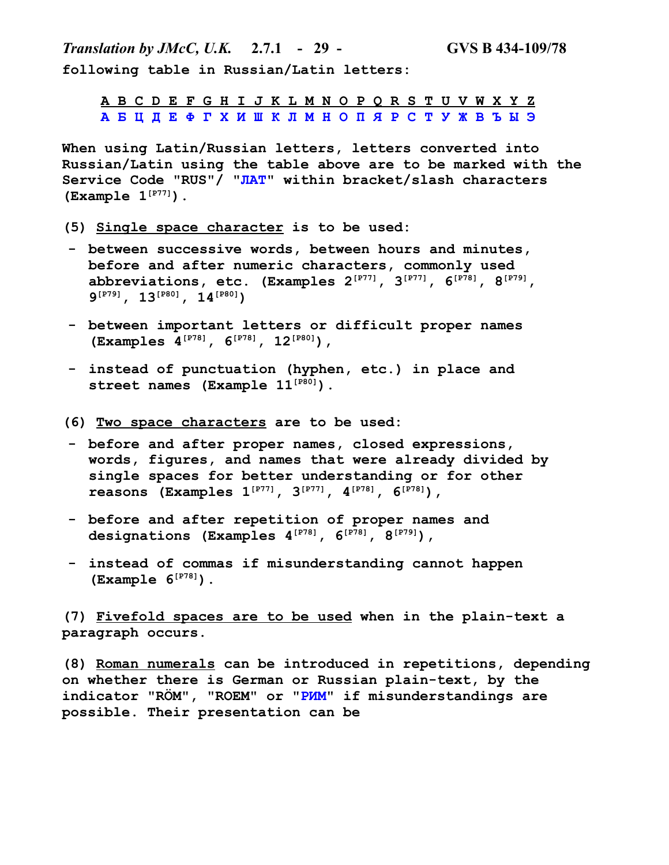*Translation by JMcC, U.K.* **2.7.1 - 29 - GVS B 434-109/78 following table in Russian/Latin letters:**

**A B C D E F G H I J K L M N O P Q R S T U V W X Y Z А Б Ц Д Е Ф Г Х И Ш К Л М Н О П Я Р С Т У Ж В Ъ Ы Э**

**When using Latin/Russian letters, letters converted into Russian/Latin using the table above are to be marked with the Service Code "RUS"/ "ЛАТ" within bracket/slash characters (Example 1[P77]).**

- **(5) Single space character is to be used:**
- **- between successive words, between hours and minutes, before and after numeric characters, commonly used abbreviations, etc. (Examples 2[P77], 3[P77], 6[P78], 8[P79], 9 [P79], 13[P80], 14[P80])**
- **- between important letters or difficult proper names (Examples 4[P78], 6[P78], 12[P80]),**
- **- instead of punctuation (hyphen, etc.) in place and street names (Example 11[P80]).**
- **(6) Two space characters are to be used:**
- **- before and after proper names, closed expressions, words, figures, and names that were already divided by single spaces for better understanding or for other reasons (Examples 1[P77], 3[P77], 4[P78], 6[P78]),**
- **- before and after repetition of proper names and designations (Examples 4[P78], 6[P78], 8[P79]),**
- **- instead of commas if misunderstanding cannot happen (Example 6[P78]).**

**(7) Fivefold spaces are to be used when in the plain-text a paragraph occurs.**

**(8) Roman numerals can be introduced in repetitions, depending on whether there is German or Russian plain-text, by the indicator "RÖM", "ROEM" or "РИМ" if misunderstandings are possible. Their presentation can be**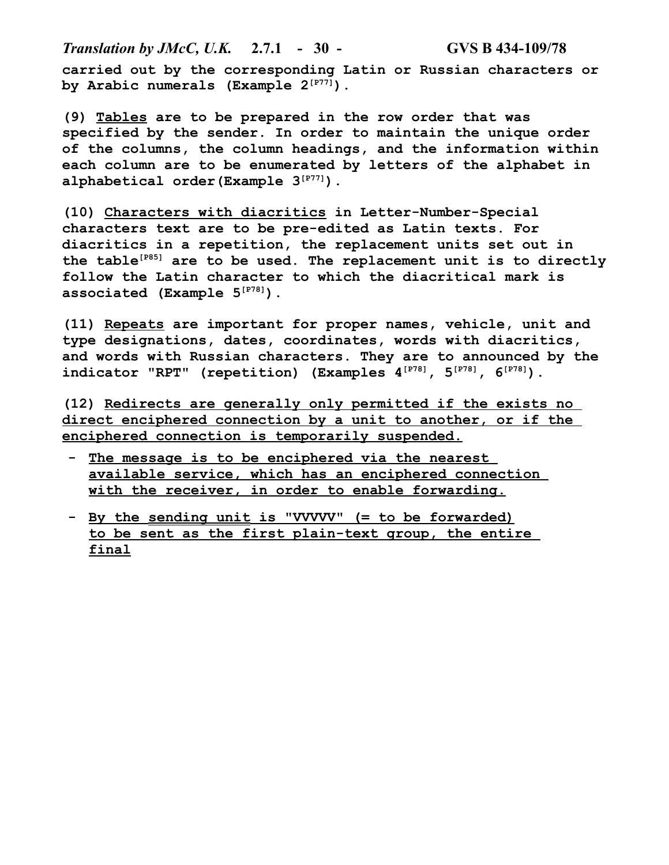*Translation by JMcC, U.K.* **2.7.1 - 30 - GVS B 434-109/78 carried out by the corresponding Latin or Russian characters or by Arabic numerals (Example 2[P77]).**

**(9) Tables are to be prepared in the row order that was specified by the sender. In order to maintain the unique order of the columns, the column headings, and the information within each column are to be enumerated by letters of the alphabet in alphabetical order(Example 3[P77]).**

**(10) Characters with diacritics in Letter-Number-Special characters text are to be pre-edited as Latin texts. For diacritics in a repetition, the replacement units set out in the table[P85] are to be used. The replacement unit is to directly follow the Latin character to which the diacritical mark is associated (Example 5[P78]).**

**(11) Repeats are important for proper names, vehicle, unit and type designations, dates, coordinates, words with diacritics, and words with Russian characters. They are to announced by the indicator "RPT" (repetition) (Examples 4[P78], 5[P78], 6[P78]).**

**(12) Redirects are generally only permitted if the exists no direct enciphered connection by a unit to another, or if the enciphered connection is temporarily suspended.**

- The message is to be enciphered via the nearest **available service, which has an enciphered connection with the receiver, in order to enable forwarding.**
- **- By the sending unit is "VVVVV" (= to be forwarded) to be sent as the first plain-text group, the entire final**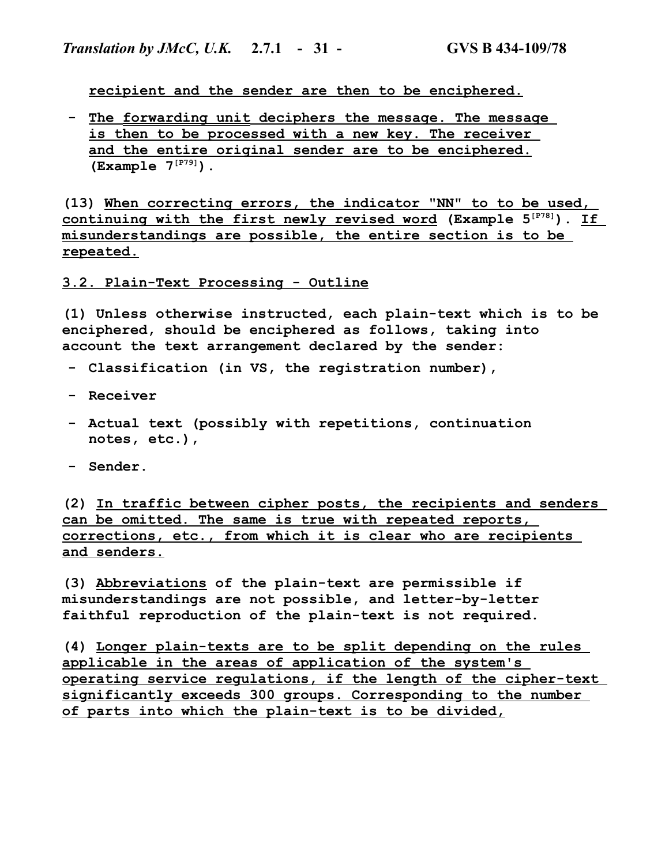**recipient and the sender are then to be enciphered.**

**- The forwarding unit deciphers the message. The message is then to be processed with a new key. The receiver and the entire original sender are to be enciphered. (Example 7[P79]).**

**(13) When correcting errors, the indicator "NN" to to be used, continuing with the first newly revised word (Example 5[P78]). If misunderstandings are possible, the entire section is to be repeated.**

**3.2. Plain-Text Processing - Outline**

**(1) Unless otherwise instructed, each plain-text which is to be enciphered, should be enciphered as follows, taking into account the text arrangement declared by the sender:**

- **- Classification (in VS, the registration number),**
- **- Receiver**
- **- Actual text (possibly with repetitions, continuation notes, etc.),**
- **- Sender.**

**(2) In traffic between cipher posts, the recipients and senders can be omitted. The same is true with repeated reports, corrections, etc., from which it is clear who are recipients and senders.**

**(3) Abbreviations of the plain-text are permissible if misunderstandings are not possible, and letter-by-letter faithful reproduction of the plain-text is not required.**

**(4) Longer plain-texts are to be split depending on the rules applicable in the areas of application of the system's operating service regulations, if the length of the cipher-text significantly exceeds 300 groups. Corresponding to the number of parts into which the plain-text is to be divided,**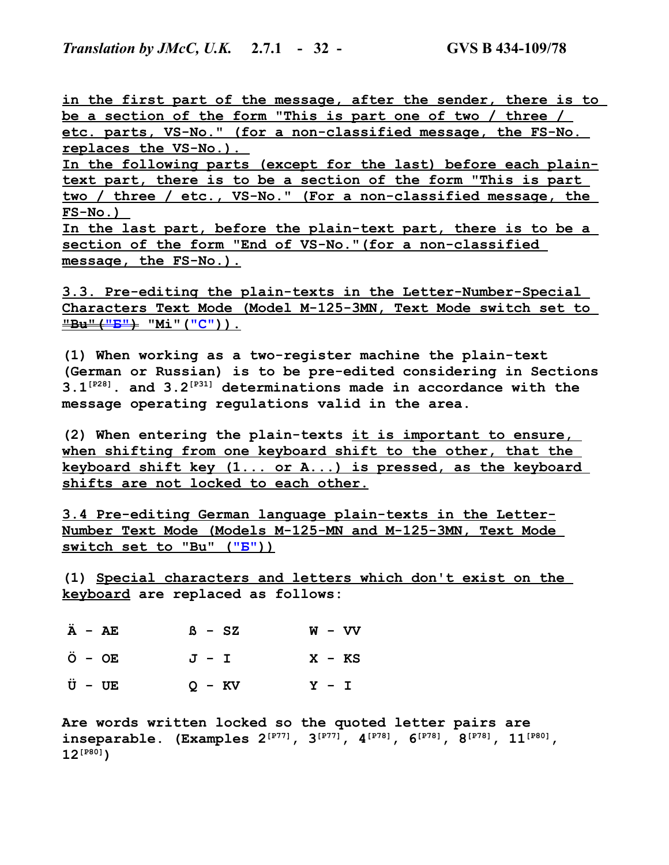**in the first part of the message, after the sender, there is to be a section of the form "This is part one of two / three / etc. parts, VS-No." (for a non-classified message, the FS-No. replaces the VS-No.).** 

**In the following parts (except for the last) before each plaintext part, there is to be a section of the form "This is part two / three / etc., VS-No." (For a non-classified message, the FS-No.)** 

**In the last part, before the plain-text part, there is to be a section of the form "End of VS-No."(for a non-classified message, the FS-No.).**

**3.3. Pre-editing the plain-texts in the Letter-Number-Special Characters Text Mode (Model M-125-3MN, Text Mode switch set to "Bu"("Б") "Mi"("С" )).**

**(1) When working as a two-register machine the plain-text (German or Russian) is to be pre-edited considering in Sections 3.1[P28]. and 3.2[P31] determinations made in accordance with the message operating regulations valid in the area.**

**(2) When entering the plain-texts it is important to ensure, when shifting from one keyboard shift to the other, that the keyboard shift key (1... or A...) is pressed, as the keyboard shifts are not locked to each other.**

**3.4 Pre-editing German language plain-texts in the Letter-Number Text Mode (Models M-125-MN and M-125-3MN, Text Mode switch set to "Bu" ("Б" ))**

**(1) Special characters and letters which don't exist on the keyboard are replaced as follows:**

| $\ddot{A}$ - AE   | $B - SZ$ | $W - VV$ |
|-------------------|----------|----------|
| $\ddot{O}$ – $OE$ | $J - I$  | $X - KS$ |
| $\ddot{U}$ - $UE$ | $Q - KV$ | $Y - I$  |

**Are words written locked so the quoted letter pairs are inseparable. (Examples 2[P77], 3[P77], 4[P78], 6[P78], 8[P78], 11[P80], 12[P80])**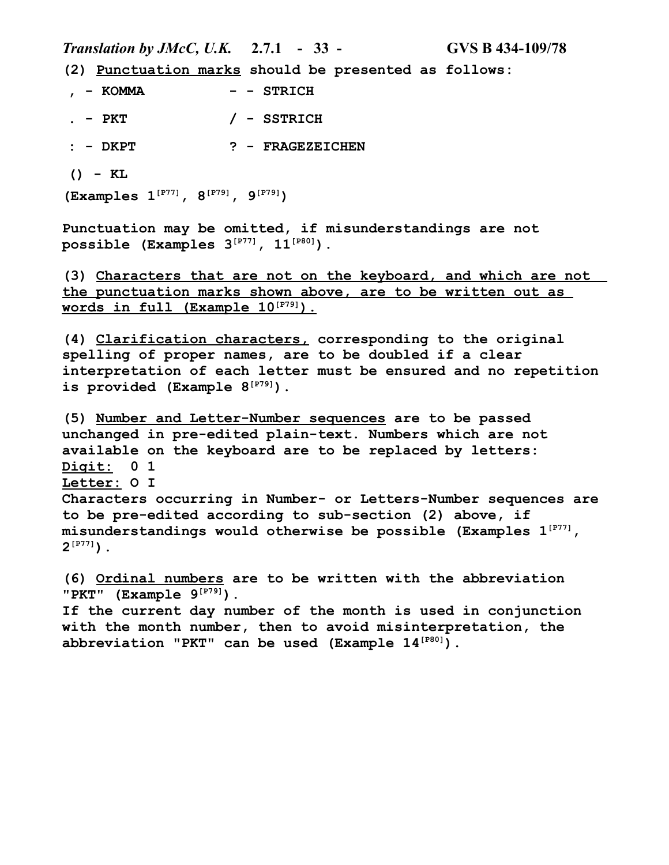*Translation by JMcC, U.K.* **2.7.1 - 33 - GVS B 434-109/78**

**(2) Punctuation marks should be presented as follows:**

**, - KOMMA - - STRICH . - PKT / - SSTRICH : - DKPT ? - FRAGEZEICHEN () - KL**

**(Examples 1[P77], 8[P79], 9[P79])**

**Punctuation may be omitted, if misunderstandings are not possible (Examples 3[P77], 11[P80]).**

**(3) Characters that are not on the keyboard, and which are not the punctuation marks shown above, are to be written out as words in full (Example 10[P79] ).**

**(4) Clarification characters, corresponding to the original spelling of proper names, are to be doubled if a clear interpretation of each letter must be ensured and no repetition is provided (Example 8[P79]).**

**(5) Number and Letter-Number sequences are to be passed unchanged in pre-edited plain-text. Numbers which are not available on the keyboard are to be replaced by letters: Digit: 0 1 Letter: O I Characters occurring in Number- or Letters-Number sequences are to be pre-edited according to sub-section (2) above, if misunderstandings would otherwise be possible (Examples 1[P77], 2 [P77]).**

**(6) Ordinal numbers are to be written with the abbreviation "PKT" (Example 9[P79]). If the current day number of the month is used in conjunction with the month number, then to avoid misinterpretation, the abbreviation "PKT" can be used (Example 14[P80]).**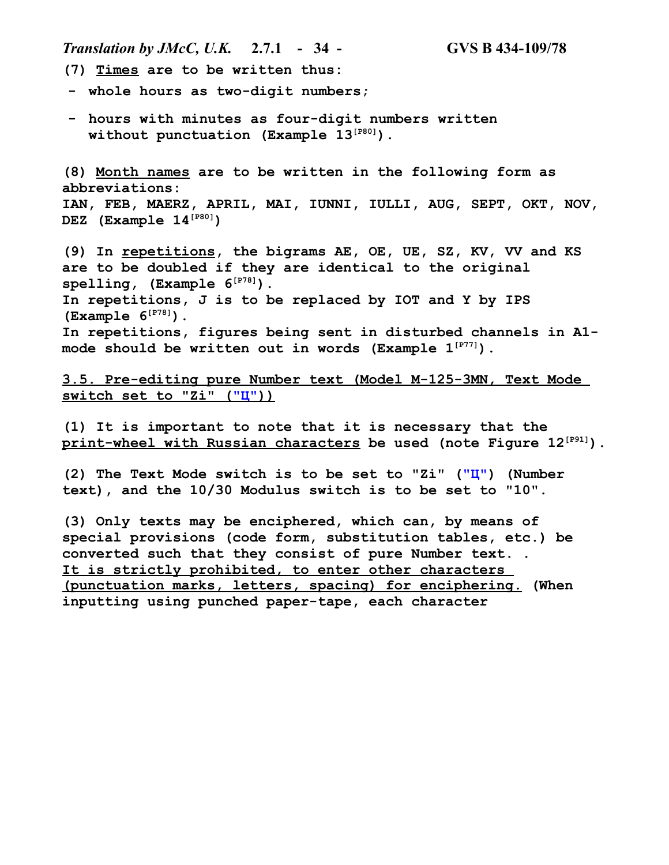*Translation by JMcC, U.K.* **2.7.1 - 34 - GVS B 434-109/78**

- **(7) Times are to be written thus:**
- **- whole hours as two-digit numbers;**
- **- hours with minutes as four-digit numbers written without punctuation (Example 13[P80]).**

**(8) Month names are to be written in the following form as abbreviations: IAN, FEB, MAERZ, APRIL, MAI, IUNNI, IULLI, AUG, SEPT, OKT, NOV, DEZ (Example 14[P80])**

**(9) In repetitions, the bigrams AE, OE, UE, SZ, KV, VV and KS are to be doubled if they are identical to the original spelling, (Example 6[P78]). In repetitions, J is to be replaced by IOT and Y by IPS (Example 6[P78]). In repetitions, figures being sent in disturbed channels in A1 mode should be written out in words (Example 1[P77]).**

**3.5. Pre-editing pure Number text (Model M-125-3MN, Text Mode switch set to "Zi" ("Ц" ))**

**(1) It is important to note that it is necessary that the print-wheel with Russian characters be used (note Figure 12[P91]).**

**(2) The Text Mode switch is to be set to "Zi" ("Ц") (Number text), and the 10/30 Modulus switch is to be set to "10".**

**(3) Only texts may be enciphered, which can, by means of special provisions (code form, substitution tables, etc.) be converted such that they consist of pure Number text. . It is strictly prohibited, to enter other characters (punctuation marks, letters, spacing) for enciphering. (When inputting using punched paper-tape, each character**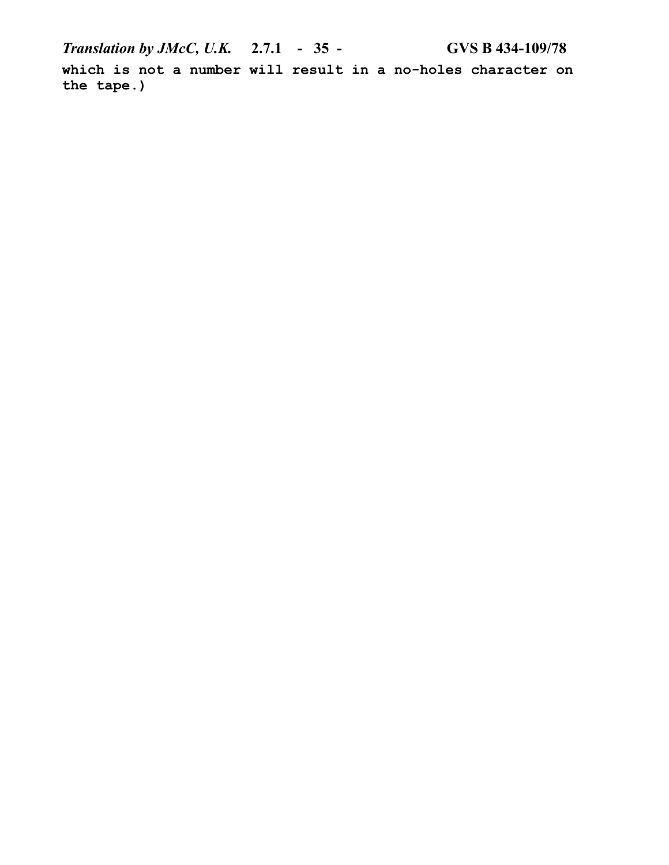*Translation by JMcC, U.K.* **2.7.1 - 35 - GVS B 434-109/78 which is not a number will result in a no-holes character on the tape.)**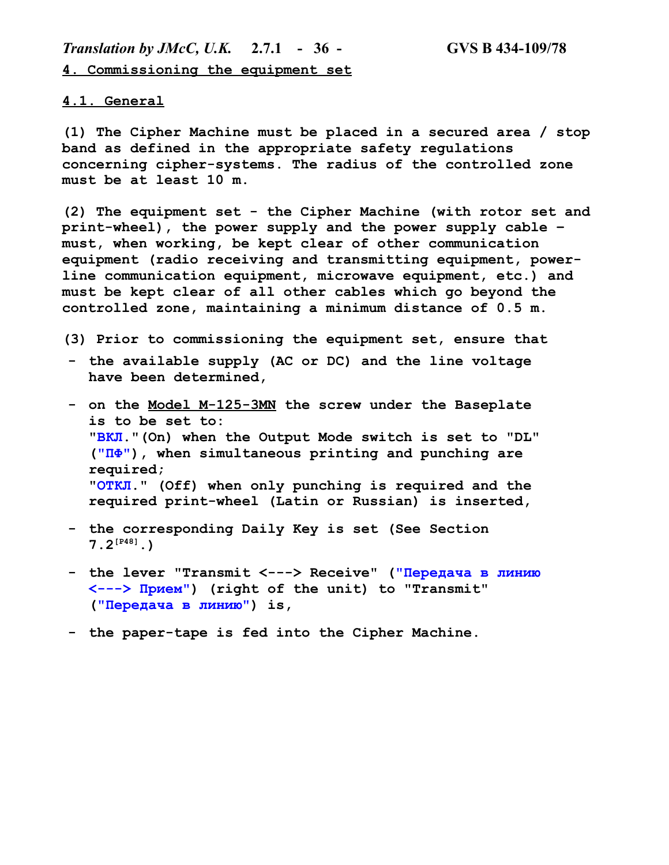*Translation by JMcC, U.K.* **2.7.1 - 36 - GVS B 434-109/78 4. Commissioning the equipment set**

#### **4.1. General**

**(1) The Cipher Machine must be placed in a secured area / stop band as defined in the appropriate safety regulations concerning cipher-systems. The radius of the controlled zone must be at least 10 m.** 

**(2) The equipment set - the Cipher Machine (with rotor set and print-wheel), the power supply and the power supply cable – must, when working, be kept clear of other communication equipment (radio receiving and transmitting equipment, powerline communication equipment, microwave equipment, etc.) and must be kept clear of all other cables which go beyond the controlled zone, maintaining a minimum distance of 0.5 m.**

**(3) Prior to commissioning the equipment set, ensure that**

- **- the available supply (AC or DC) and the line voltage have been determined,**
- **- on the Model M-125-3MN the screw under the Baseplate is to be set to: "ВКЛ."(On) when the Output Mode switch is set to "DL" ("ПФ"), when simultaneous printing and punching are required; "ОТКЛ." (Off) when only punching is required and the required print-wheel (Latin or Russian) is inserted,**
- **- the corresponding Daily Key is set (See Section 7.2[P48].)**
- **- the lever "Transmit <---> Receive" ("Передача в линию <---> Прием") (right of the unit) to "Transmit" ("Передача в линию") is,**
- **- the paper-tape is fed into the Cipher Machine.**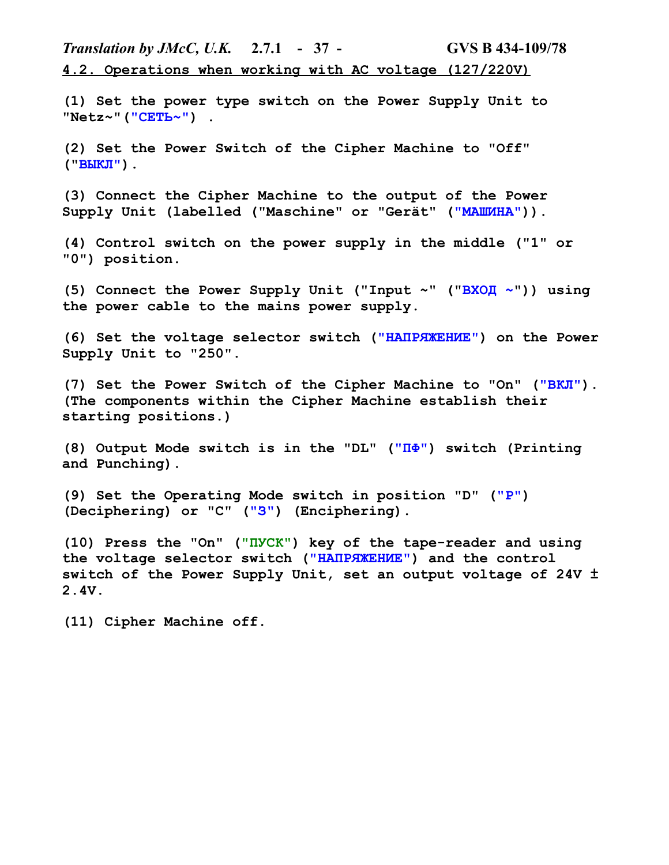*Translation by JMcC, U.K.* **2.7.1 - 37 - GVS B 434-109/78 4.2. Operations when working with AC voltage (127/220V)**

**(1) Set the power type switch on the Power Supply Unit to "Netz~"("СЕТЬ~") .**

**(2) Set the Power Switch of the Cipher Machine to "Off" ("ВЫКЛ").**

**(3) Connect the Cipher Machine to the output of the Power Supply Unit (labelled ("Maschine" or "Gerät" ("МAШИНА")).**

**(4) Control switch on the power supply in the middle ("1" or "0") position.**

**(5) Connect the Power Supply Unit ("Input ~" ("ВXОД ~")) using the power cable to the mains power supply.**

**(6) Set the voltage selector switch ("НАПРЯЖЕНИЕ") on the Power Supply Unit to "250".**

**(7) Set the Power Switch of the Cipher Machine to "On" ("ВКЛ"). (The components within the Cipher Machine establish their starting positions.)**

**(8) Output Mode switch is in the "DL" ("ПФ") switch (Printing and Punching).**

**(9) Set the Operating Mode switch in position "D" ("Р") (Deciphering) or "C" ("З") (Enciphering).**

**(10) Press the "On" ("ПУСК") key of the tape-reader and using the voltage selector switch ("НАПРЯЖЕНИЕ") and the control switch of the Power Supply Unit, set an output voltage of 24V ± 2.4V.**

**(11) Cipher Machine off.**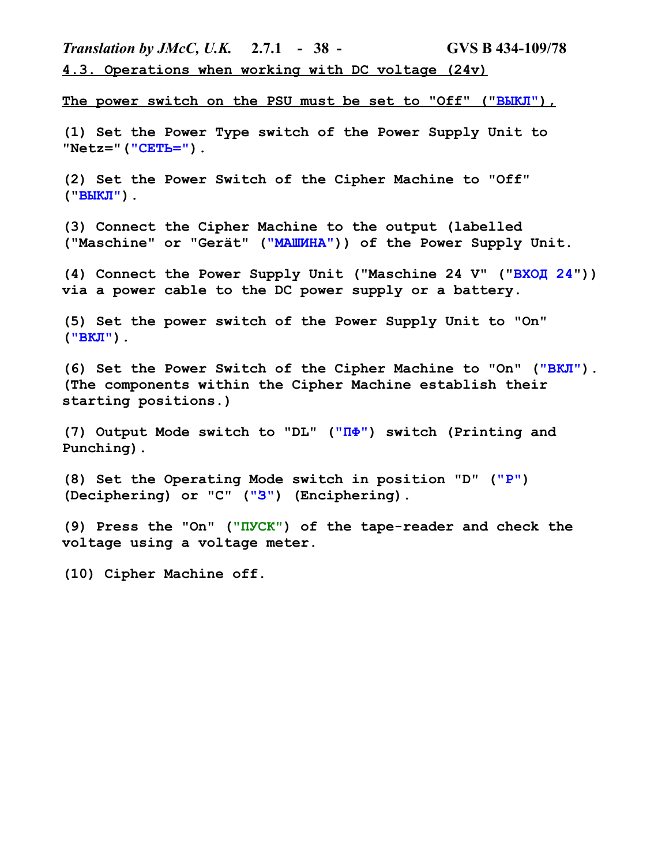*Translation by JMcC, U.K.* **2.7.1 - 38 - GVS B 434-109/78 4.3. Operations when working with DC voltage (24v)**

The power switch on the PSU must be set to "Off" ("BLKJI"),

**(1) Set the Power Type switch of the Power Supply Unit to "Netz="("СЕТЬ=").**

**(2) Set the Power Switch of the Cipher Machine to "Off" ("ВЫКЛ").**

**(3) Connect the Cipher Machine to the output (labelled ("Maschine" or "Gerät" ("МAШИНА")) of the Power Supply Unit.**

**(4) Connect the Power Supply Unit ("Maschine 24 V" ("ВXОД 24")) via a power cable to the DC power supply or a battery.**

**(5) Set the power switch of the Power Supply Unit to "On" ("ВКЛ").**

**(6) Set the Power Switch of the Cipher Machine to "On" ("ВКЛ"). (The components within the Cipher Machine establish their starting positions.)**

**(7) Output Mode switch to "DL" ("ПФ") switch (Printing and Punching).**

**(8) Set the Operating Mode switch in position "D" ("Р") (Deciphering) or "C" ("З") (Enciphering).**

**(9) Press the "On" ("ПУСК") of the tape-reader and check the voltage using a voltage meter.**

**(10) Cipher Machine off.**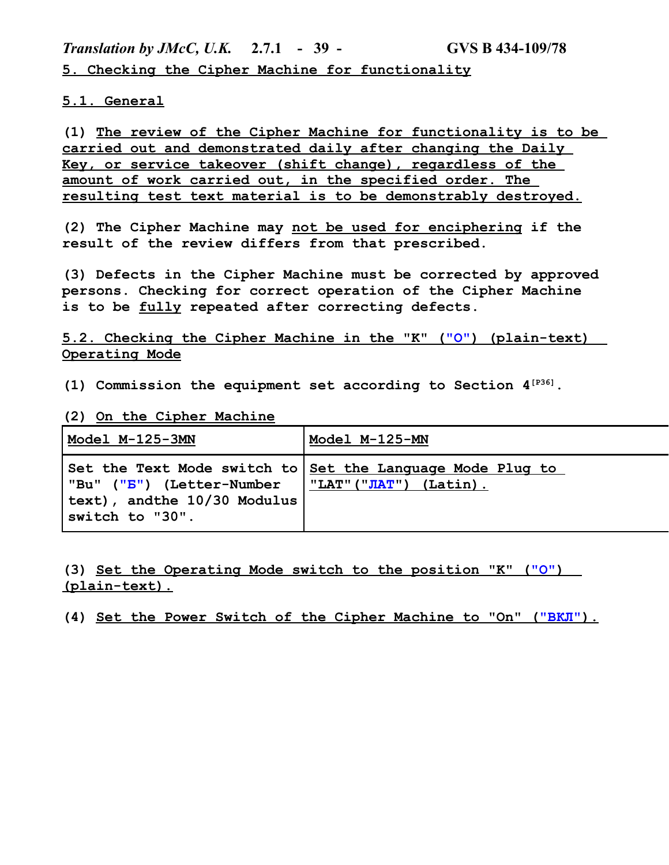*Translation by JMcC, U.K.* **2.7.1 - 39 - GVS B 434-109/78 5. Checking the Cipher Machine for functionality**

## **5.1. General**

**(1) The review of the Cipher Machine for functionality is to be carried out and demonstrated daily after changing the Daily Key, or service takeover (shift change), regardless of the amount of work carried out, in the specified order. The resulting test text material is to be demonstrably destroyed.**

**(2) The Cipher Machine may not be used for enciphering if the result of the review differs from that prescribed.**

**(3) Defects in the Cipher Machine must be corrected by approved persons. Checking for correct operation of the Cipher Machine is to be fully repeated after correcting defects.**

**5.2. Checking the Cipher Machine in the "K" ("O") (plain-text) Operating Mode**

**(1) Commission the equipment set according to Section 4[P36].**

### **(2) On the Cipher Machine**

| Model M-125-3MN                                                                            | Model M-125-MN                                                                                         |
|--------------------------------------------------------------------------------------------|--------------------------------------------------------------------------------------------------------|
| "Bu" ( <mark>"B"</mark> ) (Letter-Number<br>text), andthe 10/30 Modulus<br>switch to "30". | Set the Text Mode switch to   <u>Set the Lanquag</u> e Mode Pluq to<br>$\vert$ "LAT" ("JIAT") (Latin). |

**(3) Set the Operating Mode switch to the position "K" ("О" ) (plain-text).**

(4) Set the Power Switch of the Cipher Machine to "On" ("ВКЛ").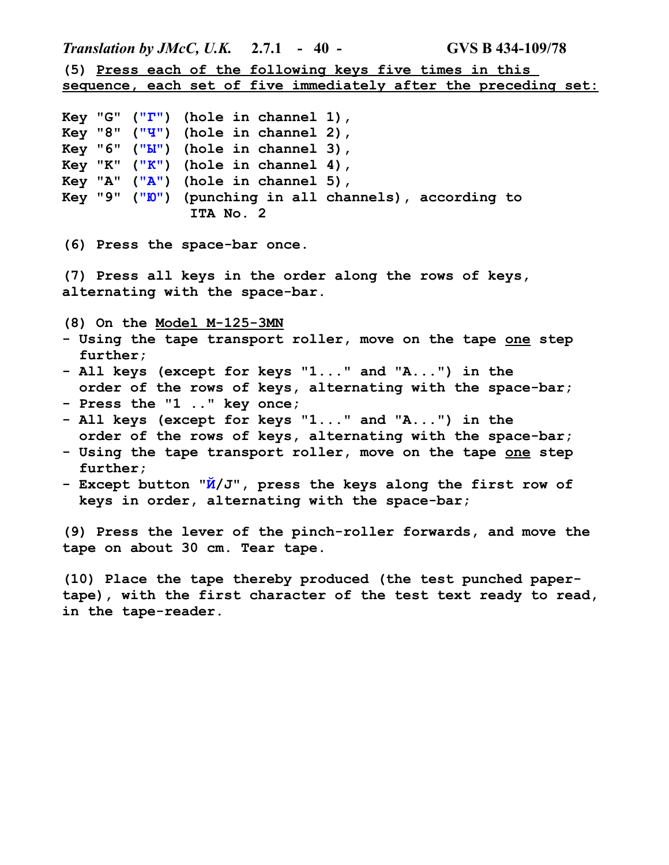*Translation by JMcC, U.K.* **2.7.1 - 40 - GVS B 434-109/78 (5) Press each of the following keys five times in this sequence, each set of five immediately after the preceding set: Key "G" ("Г") (hole in channel 1), Key "8" ("Ч") (hole in channel 2), Key "6" ("Ы") (hole in channel 3), Key "K" ("К") (hole in channel 4), Key "A" ("A") (hole in channel 5), Key "9" ("Ю") (punching in all channels), according to ITA No. 2 (6) Press the space-bar once. (7) Press all keys in the order along the rows of keys, alternating with the space-bar. (8) On the Model M-125-3MN - Using the tape transport roller, move on the tape one step further; - All keys (except for keys "1..." and "A...") in the order of the rows of keys, alternating with the space-bar; - Press the "1 .." key once; - All keys (except for keys "1..." and "A...") in the order of the rows of keys, alternating with the space-bar; - Using the tape transport roller, move on the tape one step further; - Except button "Й/J", press the keys along the first row of keys in order, alternating with the space-bar; (9) Press the lever of the pinch-roller forwards, and move the tape on about 30 cm. Tear tape. (10) Place the tape thereby produced (the test punched paper-**

**tape), with the first character of the test text ready to read, in the tape-reader.**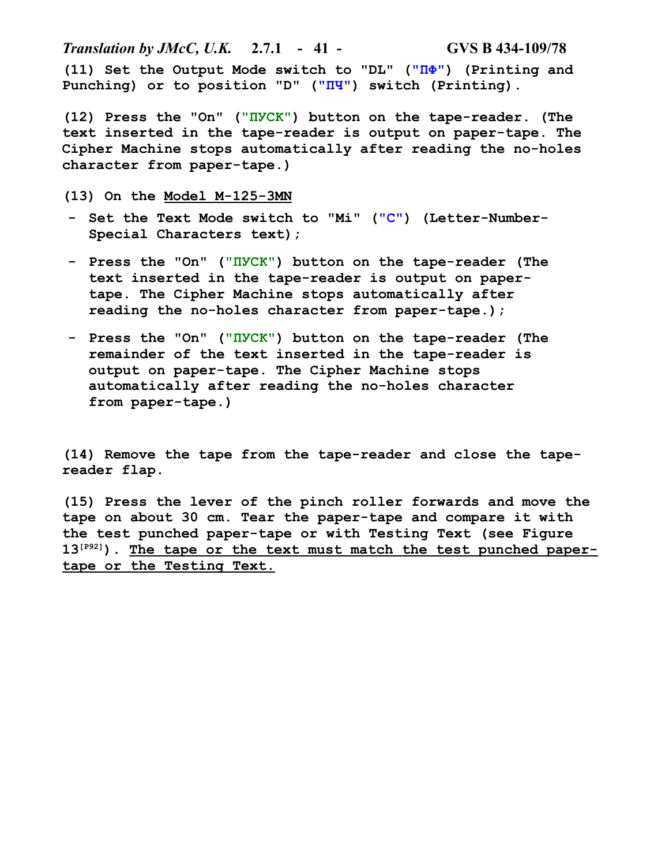*Translation by JMcC, U.K.* **2.7.1 - 41 - GVS B 434-109/78 (11) Set the Output Mode switch to "DL" ("ПФ") (Printing and Punching) or to position "D" ("ПЧ") switch (Printing).**

**(12) Press the "On" ("ПУСК") button on the tape-reader. (The text inserted in the tape-reader is output on paper-tape. The Cipher Machine stops automatically after reading the no-holes character from paper-tape.)**

**(13) On the Model M-125-3MN**

- **- Set the Text Mode switch to "Mi" ("С") (Letter-Number-Special Characters text);**
- **- Press the "On" ("ПУСК") button on the tape-reader (The text inserted in the tape-reader is output on papertape. The Cipher Machine stops automatically after reading the no-holes character from paper-tape.);**
- **- Press the "On" ("ПУСК") button on the tape-reader (The remainder of the text inserted in the tape-reader is output on paper-tape. The Cipher Machine stops automatically after reading the no-holes character from paper-tape.)**

**(14) Remove the tape from the tape-reader and close the tapereader flap.**

**(15) Press the lever of the pinch roller forwards and move the tape on about 30 cm. Tear the paper-tape and compare it with the test punched paper-tape or with Testing Text (see Figure 13[P92]). The tape or the text must match the test punched papertape or the Testing Text.**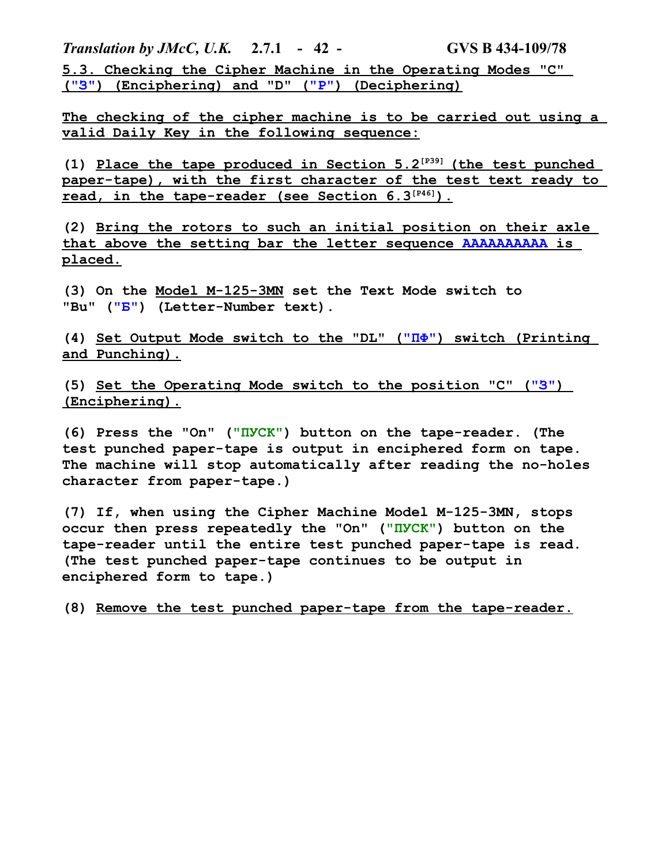*Translation by JMcC, U.K.* **2.7.1 - 42 - GVS B 434-109/78 5.3. Checking the Cipher Machine in the Operating Modes "C" ("З" ) (Enciphering) and "D" ("Р" ) (Deciphering)**

**The checking of the cipher machine is to be carried out using a valid Daily Key in the following sequence:**

**(1) Place the tape produced in Section 5.2[P39] (the test punched paper-tape), with the first character of the test text ready to read, in the tape-reader (see Section 6.3[P46] ).**

**(2) Bring the rotors to such an initial position on their axle that above the setting bar the letter sequence AAAAAAAAAA is placed.**

**(3) On the Model M-125-3MN set the Text Mode switch to "Bu" ("Б") (Letter-Number text).**

**(4) Set Output Mode switch to the "DL" (" ПФ" ) switch (Printing and Punching).**

**(5) Set the Operating Mode switch to the position "C" ("З" ) (Enciphering).**

**(6) Press the "On" ("ПУСК") button on the tape-reader. (The test punched paper-tape is output in enciphered form on tape. The machine will stop automatically after reading the no-holes character from paper-tape.)**

**(7) If, when using the Cipher Machine Model M-125-3MN, stops occur then press repeatedly the "On" ("ПУСК") button on the tape-reader until the entire test punched paper-tape is read. (The test punched paper-tape continues to be output in enciphered form to tape.)**

**(8) Remove the test punched paper-tape from the tape-reader.**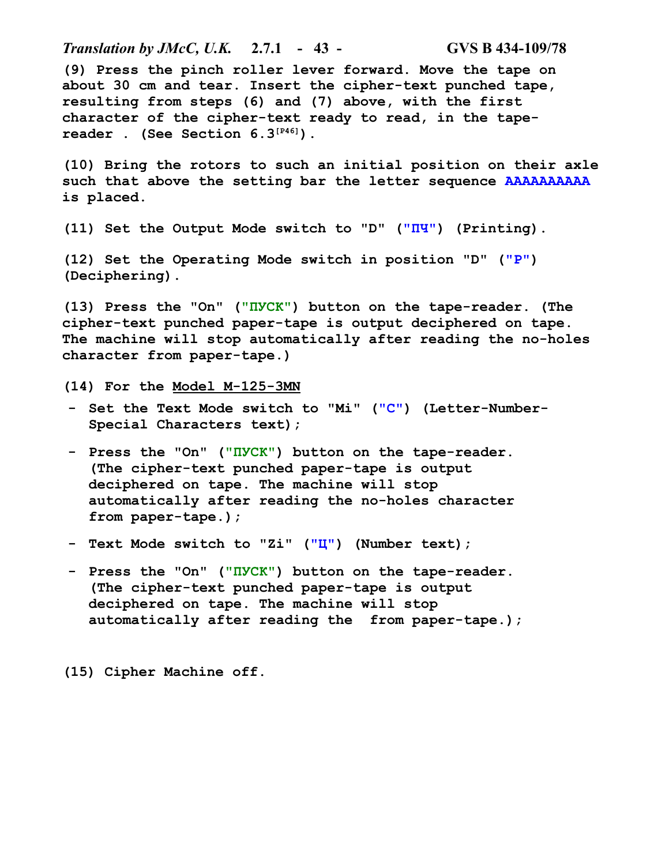*Translation by JMcC, U.K.* **2.7.1 - 43 - GVS B 434-109/78 (9) Press the pinch roller lever forward. Move the tape on about 30 cm and tear. Insert the cipher-text punched tape, resulting from steps (6) and (7) above, with the first character of the cipher-text ready to read, in the tapereader . (See Section 6.3[P46]). (10) Bring the rotors to such an initial position on their axle such that above the setting bar the letter sequence AAAAAAAAAA is placed. (11) Set the Output Mode switch to "D" ("ПЧ") (Printing). (12) Set the Operating Mode switch in position "D" ("Р") (Deciphering). (13) Press the "On" ("ПУСК") button on the tape-reader. (The cipher-text punched paper-tape is output deciphered on tape. The machine will stop automatically after reading the no-holes character from paper-tape.) (14) For the Model M-125-3MN - Set the Text Mode switch to "Mi" ("С") (Letter-Number-Special Characters text); - Press the "On" ("ПУСК") button on the tape-reader. (The cipher-text punched paper-tape is output deciphered on tape. The machine will stop automatically after reading the no-holes character from paper-tape.); - Text Mode switch to "Zi" ("Ц") (Number text); - Press the "On" ("ПУСК") button on the tape-reader. (The cipher-text punched paper-tape is output deciphered on tape. The machine will stop automatically after reading the from paper-tape.);**

**(15) Cipher Machine off.**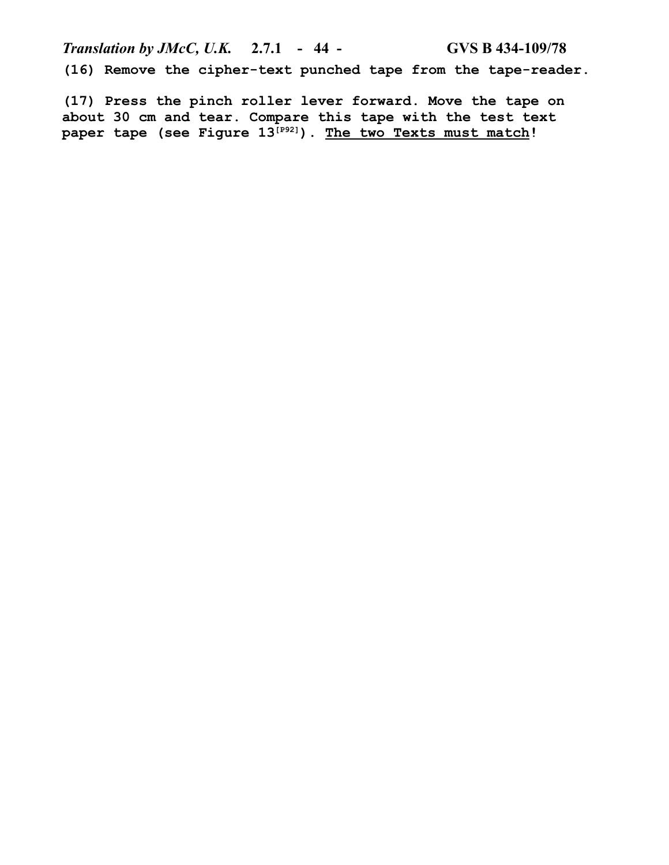*Translation by JMcC, U.K.* **2.7.1 - 44 - GVS B 434-109/78 (16) Remove the cipher-text punched tape from the tape-reader.**

**(17) Press the pinch roller lever forward. Move the tape on about 30 cm and tear. Compare this tape with the test text paper tape (see Figure 13[P92]). The two Texts must match!**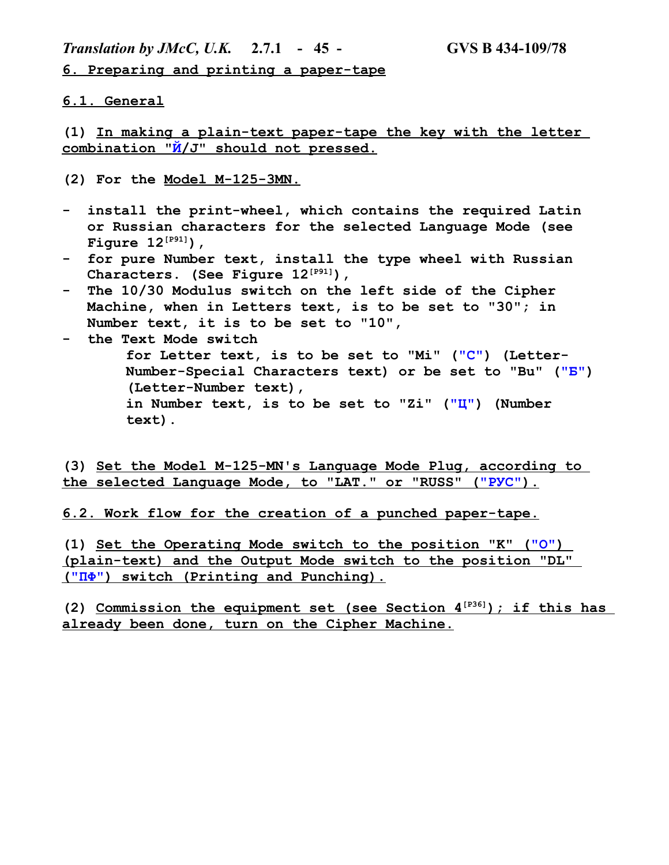*Translation by JMcC, U.K.* **2.7.1 - 45 - GVS B 434-109/78**

**6. Preparing and printing a paper-tape**

### **6.1. General**

**(1) In making a plain-text paper-tape the key with the letter combination "Й/J" should not pressed.** 

- **(2) For the Model M-125-3MN.**
- **- install the print-wheel, which contains the required Latin or Russian characters for the selected Language Mode (see Figure 12[P91]),**
- **- for pure Number text, install the type wheel with Russian Characters. (See Figure 12[P91]),**
- **- The 10/30 Modulus switch on the left side of the Cipher Machine, when in Letters text, is to be set to "30"; in Number text, it is to be set to "10",**
- **- the Text Mode switch for Letter text, is to be set to "Mi" ("С") (Letter-Number-Special Characters text) or be set to "Bu" ("Б") (Letter-Number text), in Number text, is to be set to "Zi" ("Ц") (Number text).**

**(3) Set the Model M-125-MN's Language Mode Plug, according to the selected Language Mode, to "LAT." or "RUSS" (" РУС" ).**

**6.2. Work flow for the creation of a punched paper-tape.**

**(1) Set the Operating Mode switch to the position "K" ("О" ) (plain-text) and the Output Mode switch to the position "DL" (" ПФ" ) switch (Printing and Punching).**

**(2) Commission the equipment set (see Section 4[P36] ); if this has already been done, turn on the Cipher Machine.**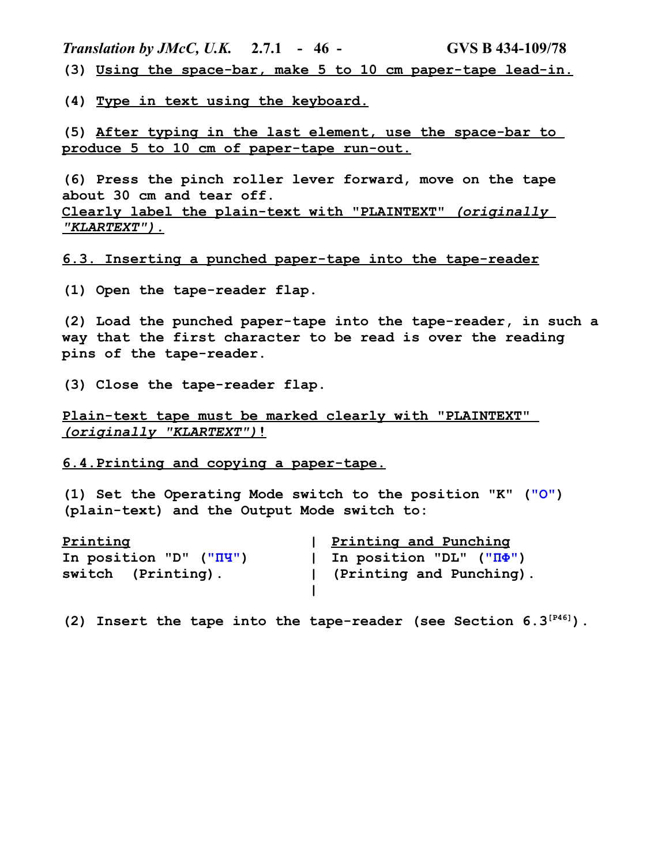*Translation by JMcC, U.K.* **2.7.1 - 46 - GVS B 434-109/78 (3) Using the space-bar, make 5 to 10 cm paper-tape lead-in.**

**(4) Type in text using the keyboard.**

**(5) After typing in the last element, use the space-bar to produce 5 to 10 cm of paper-tape run-out.**

**(6) Press the pinch roller lever forward, move on the tape about 30 cm and tear off. Clearly label the plain-text with "PLAINTEXT"** *(originally "KLARTEXT").*

**6.3. Inserting a punched paper-tape into the tape-reader**

**(1) Open the tape-reader flap.**

**(2) Load the punched paper-tape into the tape-reader, in such a way that the first character to be read is over the reading pins of the tape-reader.**

**(3) Close the tape-reader flap.**

**Plain-text tape must be marked clearly with "PLAINTEXT"**   *(originally "KLARTEXT")***!**

**6.4.Printing and copying a paper-tape.**

**(1) Set the Operating Mode switch to the position "K" ("О") (plain-text) and the Output Mode switch to:**

| Printing               | Printing and Punching                     |
|------------------------|-------------------------------------------|
| In position "D" ("II") | In position "DL" $(\mathbf{M}\mathbf{P})$ |
| switch (Printing).     | (Printing and Punching).                  |
|                        |                                           |

**(2) Insert the tape into the tape-reader (see Section 6.3[P46]).**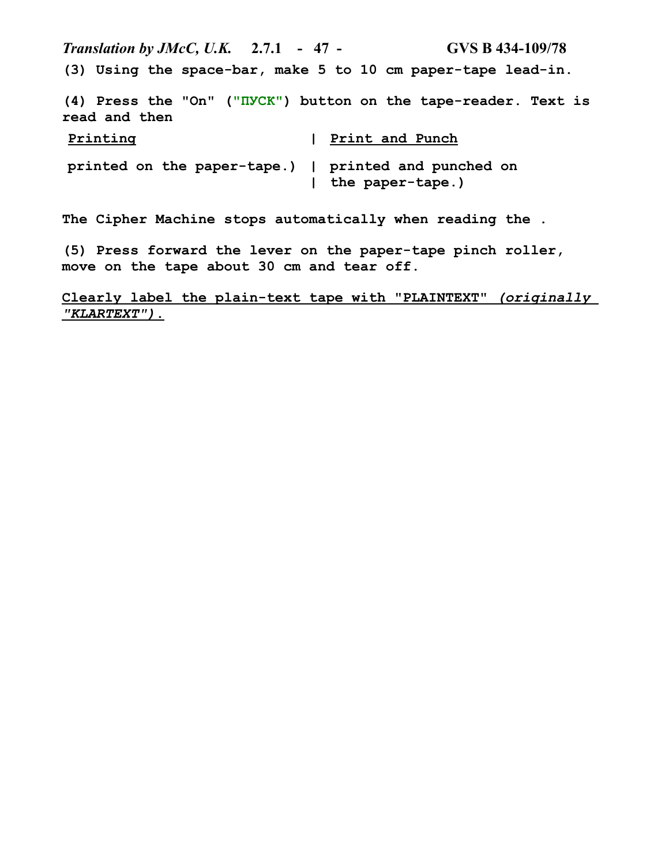*Translation by JMcC, U.K.* **2.7.1 - 47 - GVS B 434-109/78 (3) Using the space-bar, make 5 to 10 cm paper-tape lead-in.**

**(4) Press the "On" ("ПУСК") button on the tape-reader. Text is read and then**

| Printing                                             | Print and Punch  |
|------------------------------------------------------|------------------|
| printed on the paper-tape.)   printed and punched on | the paper-tape.) |

**The Cipher Machine stops automatically when reading the .**

**(5) Press forward the lever on the paper-tape pinch roller, move on the tape about 30 cm and tear off.**

 **Clearly label the plain-text tape with "PLAINTEXT"** *(originally "KLARTEXT")***.**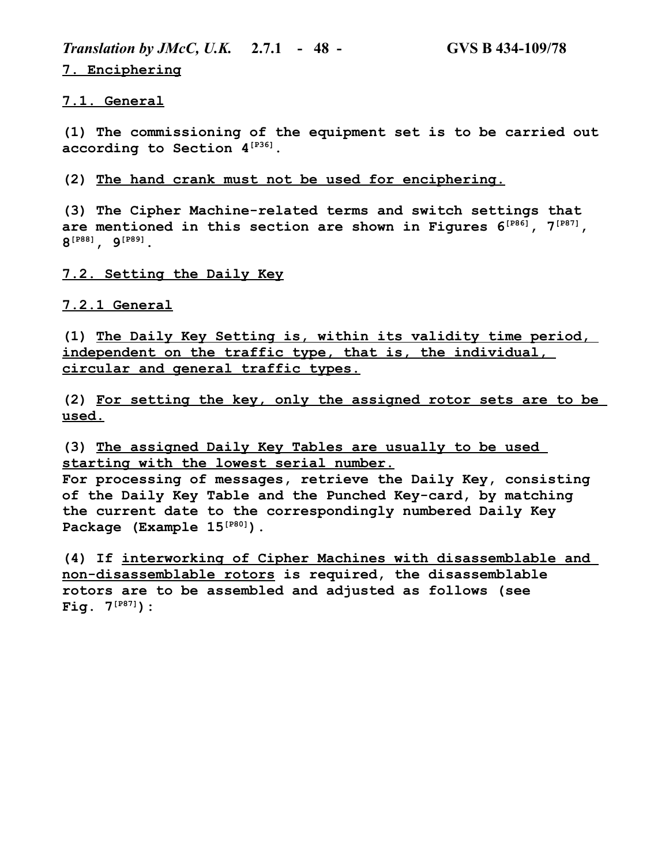*Translation by JMcC, U.K.* **2.7.1 - 48 - GVS B 434-109/78 7. Enciphering**

**7.1. General**

**(1) The commissioning of the equipment set is to be carried out according to Section 4[P36].**

**(2) The hand crank must not be used for enciphering.**

**(3) The Cipher Machine-related terms and switch settings that are mentioned in this section are shown in Figures 6[P86], 7[P87], 8 [P88], 9[P89].**

**7.2. Setting the Daily Key**

### **7.2.1 General**

**(1) The Daily Key Setting is, within its validity time period, independent on the traffic type, that is, the individual, circular and general traffic types.**

**(2) For setting the key, only the assigned rotor sets are to be used.**

**(3) The assigned Daily Key Tables are usually to be used starting with the lowest serial number.**

**For processing of messages, retrieve the Daily Key, consisting of the Daily Key Table and the Punched Key-card, by matching the current date to the correspondingly numbered Daily Key Package (Example 15[P80]).**

**(4) If interworking of Cipher Machines with disassemblable and non-disassemblable rotors is required, the disassemblable rotors are to be assembled and adjusted as follows (see Fig. 7[P87]):**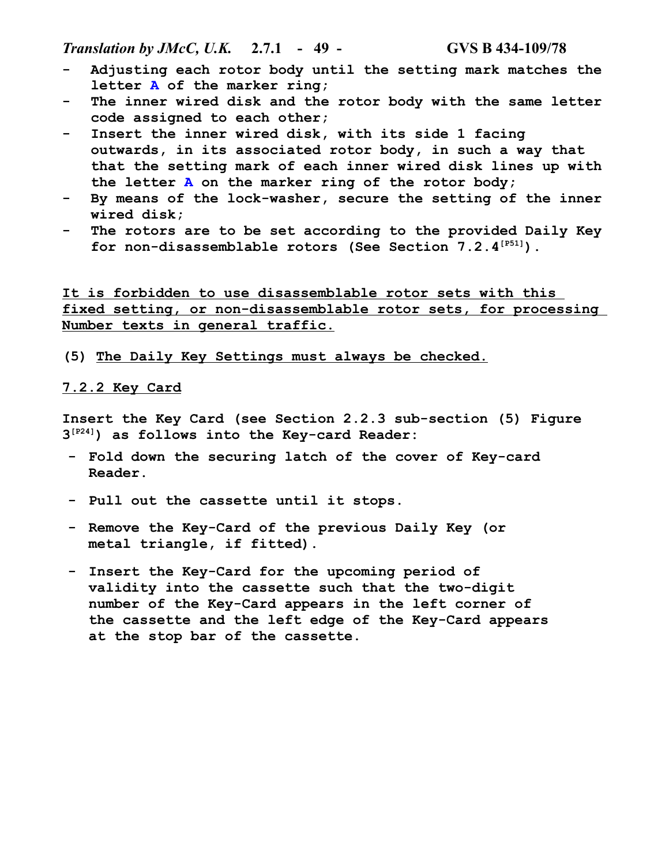*Translation by JMcC, U.K.* **2.7.1 - 49 - GVS B 434-109/78**

- **- Adjusting each rotor body until the setting mark matches the letter A of the marker ring;**
- **- The inner wired disk and the rotor body with the same letter code assigned to each other;**
- **- Insert the inner wired disk, with its side 1 facing outwards, in its associated rotor body, in such a way that that the setting mark of each inner wired disk lines up with the letter A on the marker ring of the rotor body;**
- **- By means of the lock-washer, secure the setting of the inner wired disk;**
- **- The rotors are to be set according to the provided Daily Key for non-disassemblable rotors (See Section 7.2.4[P51]).**

**It is forbidden to use disassemblable rotor sets with this fixed setting, or non-disassemblable rotor sets, for processing Number texts in general traffic.**

**(5) The Daily Key Settings must always be checked.**

#### **7.2.2 Key Card**

**Insert the Key Card (see Section 2.2.3 sub-section (5) Figure 3 [P24]) as follows into the Key-card Reader:**

- **- Fold down the securing latch of the cover of Key-card Reader.**
- **- Pull out the cassette until it stops.**
- **- Remove the Key-Card of the previous Daily Key (or metal triangle, if fitted).**
- **- Insert the Key-Card for the upcoming period of validity into the cassette such that the two-digit number of the Key-Card appears in the left corner of the cassette and the left edge of the Key-Card appears at the stop bar of the cassette.**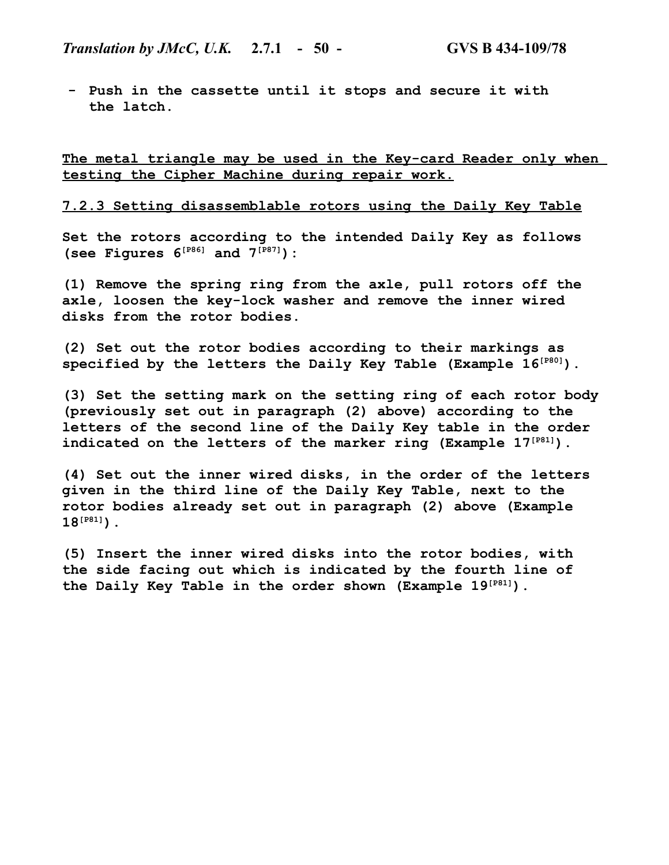**- Push in the cassette until it stops and secure it with the latch.**

**The metal triangle may be used in the Key-card Reader only when testing the Cipher Machine during repair work.**

#### **7.2.3 Setting disassemblable rotors using the Daily Key Table**

**Set the rotors according to the intended Daily Key as follows (see Figures 6[P86] and 7[P87]):**

**(1) Remove the spring ring from the axle, pull rotors off the axle, loosen the key-lock washer and remove the inner wired disks from the rotor bodies.**

**(2) Set out the rotor bodies according to their markings as specified by the letters the Daily Key Table (Example 16[P80]).**

**(3) Set the setting mark on the setting ring of each rotor body (previously set out in paragraph (2) above) according to the letters of the second line of the Daily Key table in the order indicated on the letters of the marker ring (Example 17[P81]).**

**(4) Set out the inner wired disks, in the order of the letters given in the third line of the Daily Key Table, next to the rotor bodies already set out in paragraph (2) above (Example 18[P81]).**

**(5) Insert the inner wired disks into the rotor bodies, with the side facing out which is indicated by the fourth line of the Daily Key Table in the order shown (Example 19[P81]).**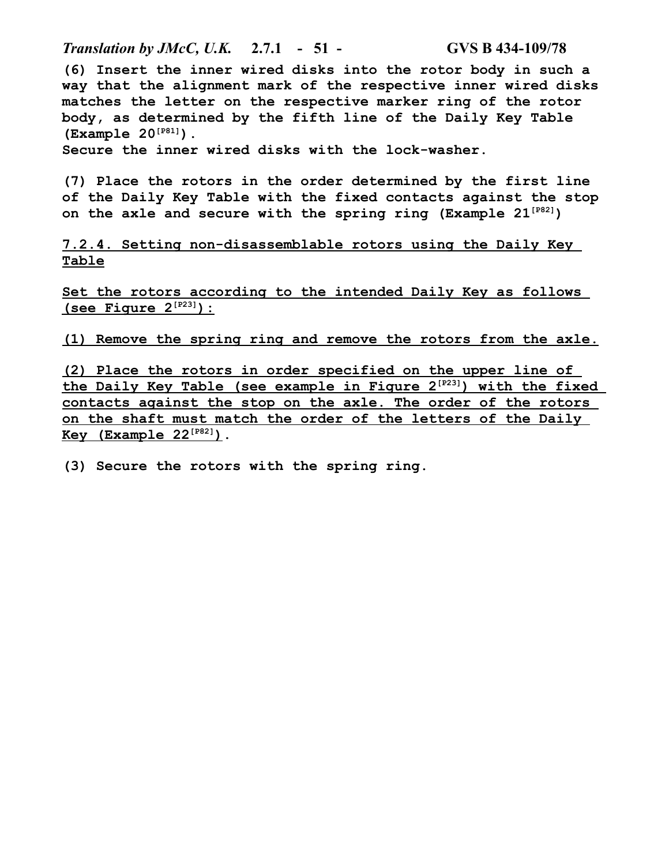*Translation by JMcC, U.K.* **2.7.1 - 51 - GVS B 434-109/78**

**(6) Insert the inner wired disks into the rotor body in such a way that the alignment mark of the respective inner wired disks matches the letter on the respective marker ring of the rotor body, as determined by the fifth line of the Daily Key Table (Example 20[P81]).**

**Secure the inner wired disks with the lock-washer.**

**(7) Place the rotors in the order determined by the first line of the Daily Key Table with the fixed contacts against the stop on the axle and secure with the spring ring (Example 21[P82])**

**7.2.4. Setting non-disassemblable rotors using the Daily Key Table**

**Set the rotors according to the intended Daily Key as follows (see Figure 2[P23] ):**

**(1) Remove the spring ring and remove the rotors from the axle.**

**(2) Place the rotors in order specified on the upper line of the Daily Key Table (see example in Figure 2[P23] ) with the fixed contacts against the stop on the axle. The order of the rotors on the shaft must match the order of the letters of the Daily Key (Example 22[P82] ).**

**(3) Secure the rotors with the spring ring.**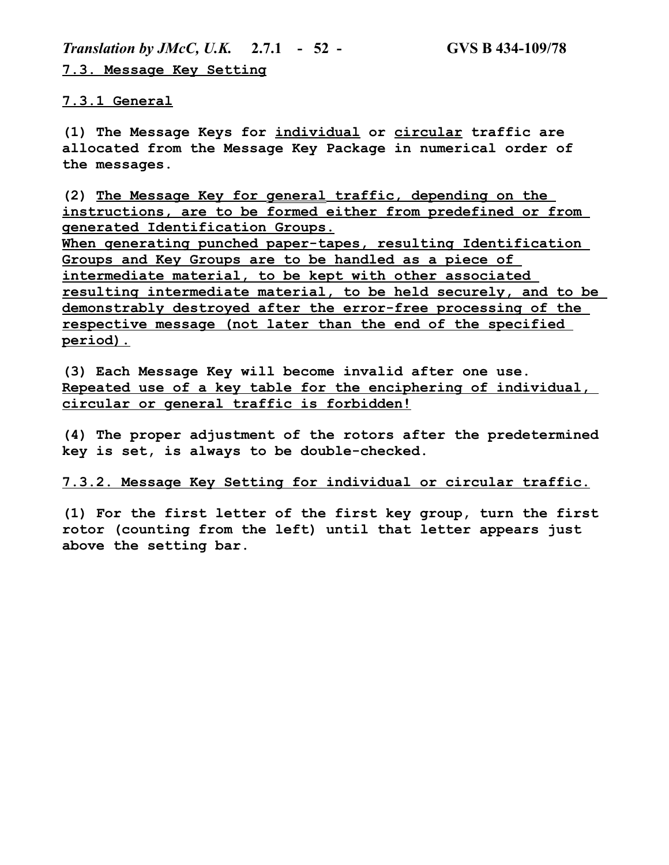*Translation by JMcC, U.K.* **2.7.1 - 52 - GVS B 434-109/78 7.3. Message Key Setting**

**7.3.1 General**

**(1) The Message Keys for individual or circular traffic are allocated from the Message Key Package in numerical order of the messages.**

**(2) The Message Key for general traffic, depending on the instructions, are to be formed either from predefined or from generated Identification Groups.**

**When generating punched paper-tapes, resulting Identification Groups and Key Groups are to be handled as a piece of intermediate material, to be kept with other associated resulting intermediate material, to be held securely, and to be demonstrably destroyed after the error-free processing of the respective message (not later than the end of the specified period).**

**(3) Each Message Key will become invalid after one use. Repeated use of a key table for the enciphering of individual, circular or general traffic is forbidden!**

**(4) The proper adjustment of the rotors after the predetermined key is set, is always to be double-checked.**

**7.3.2. Message Key Setting for individual or circular traffic.**

**(1) For the first letter of the first key group, turn the first rotor (counting from the left) until that letter appears just above the setting bar.**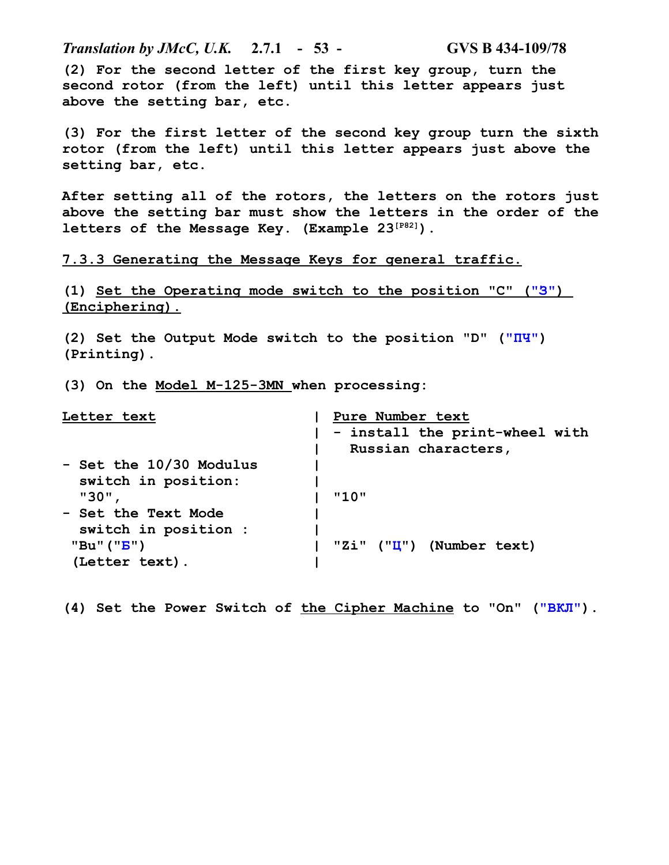*Translation by JMcC, U.K.* **2.7.1 - 53 - GVS B 434-109/78 (2) For the second letter of the first key group, turn the second rotor (from the left) until this letter appears just above the setting bar, etc.**

**(3) For the first letter of the second key group turn the sixth rotor (from the left) until this letter appears just above the setting bar, etc.**

**After setting all of the rotors, the letters on the rotors just above the setting bar must show the letters in the order of the letters of the Message Key. (Example 23[P82]).**

**7.3.3 Generating the Message Keys for general traffic.**

**(1) Set the Operating mode switch to the position "C" ("З" ) (Enciphering).**

**(2) Set the Output Mode switch to the position "D" ("ПЧ") (Printing).**

**(3) On the Model M-125-3MN when processing:**

| Letter text                | Pure Number text               |
|----------------------------|--------------------------------|
|                            | - install the print-wheel with |
|                            | Russian characters,            |
| - Set the 10/30 Modulus    |                                |
| switch in position:        |                                |
| "30"                       | "10"                           |
| <b>- Set the Text Mode</b> |                                |
| switch in position :       |                                |
| "Bu" $("B")$               | (Number text)<br>"Zi" ("II")   |
| (Letter text).             |                                |

**(4) Set the Power Switch of the Cipher Machine to "On" ("ВКЛ").**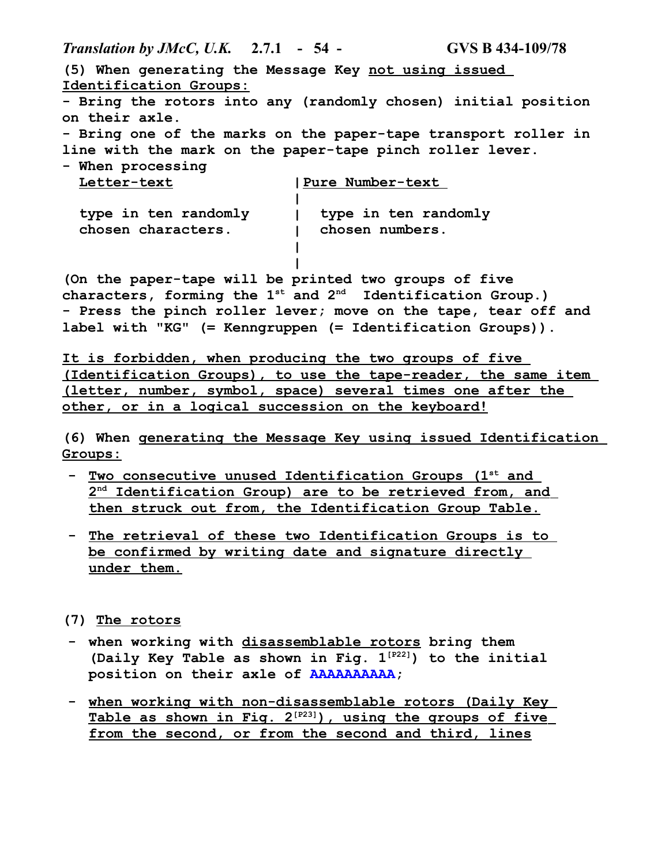*Translation by JMcC, U.K.* **2.7.1 - 54 - GVS B 434-109/78**

**(5) When generating the Message Key not using issued Identification Groups: - Bring the rotors into any (randomly chosen) initial position on their axle. - Bring one of the marks on the paper-tape transport roller in line with the mark on the paper-tape pinch roller lever. - When processing Letter-text type in ten randomly chosen characters. | Pure Number-text | | type in ten randomly | chosen numbers. | | (On the paper-tape will be printed two groups of five characters, forming the 1st and 2nd Identification Group.) - Press the pinch roller lever; move on the tape, tear off and label with "KG" (= Kenngruppen (= Identification Groups)). It is forbidden, when producing the two groups of five (Identification Groups), to use the tape-reader, the same item (letter, number, symbol, space) several times one after the** 

**other, or in a logical succession on the keyboard!**

**(6) When generating the Message Key using issued Identification Groups:**

- **Two consecutive unused Identification Groups (1st and 2 nd Identification Group) are to be retrieved from, and then struck out from, the Identification Group Table.**
- **- The retrieval of these two Identification Groups is to be confirmed by writing date and signature directly under them.**

**(7) The rotors**

- **- when working with disassemblable rotors bring them (Daily Key Table as shown in Fig. 1[P22]) to the initial position on their axle of AAAAAAAAAA;**
- **- when working with non-disassemblable rotors (Daily Key Table as shown in Fig. 2[P23] ), using the groups of five from the second, or from the second and third, lines**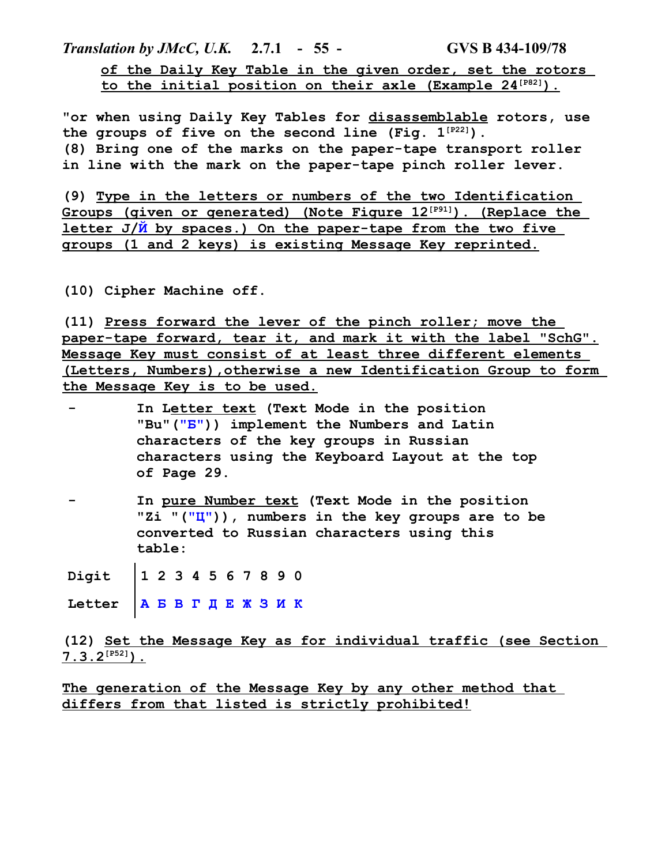*Translation by JMcC, U.K.* **2.7.1 - 55 - GVS B 434-109/78 of the Daily Key Table in the given order, set the rotors to the initial position on their axle (Example 24[P82] ).**

**"or when using Daily Key Tables for disassemblable rotors, use the groups of five on the second line (Fig. 1[P22]). (8) Bring one of the marks on the paper-tape transport roller in line with the mark on the paper-tape pinch roller lever.**

**(9) Type in the letters or numbers of the two Identification Groups (given or generated) (Note Figure 12[P91] ). (Replace the letter J/Й by spaces.) On the paper-tape from the two five groups (1 and 2 keys) is existing Message Key reprinted.**

**(10) Cipher Machine off.**

**(11) Press forward the lever of the pinch roller; move the paper-tape forward, tear it, and mark it with the label "SchG". Message Key must consist of at least three different elements (Letters, Numbers),otherwise a new Identification Group to form the Message Key is to be used.**

- **- In Letter text (Text Mode in the position "Bu"("Б")) implement the Numbers and Latin characters of the key groups in Russian characters using the Keyboard Layout at the top of Page 29.**
- **- In pure Number text (Text Mode in the position "Zi "("Ц")), numbers in the key groups are to be converted to Russian characters using this table:**

**Digit 1 2 3 4 5 6 7 8 9 0**

**Letter А Б В Г Д Е Ж З И К**

**(12) Set the Message Key as for individual traffic (see Section 7.3.2[P52] ).**

**The generation of the Message Key by any other method that differs from that listed is strictly prohibited!**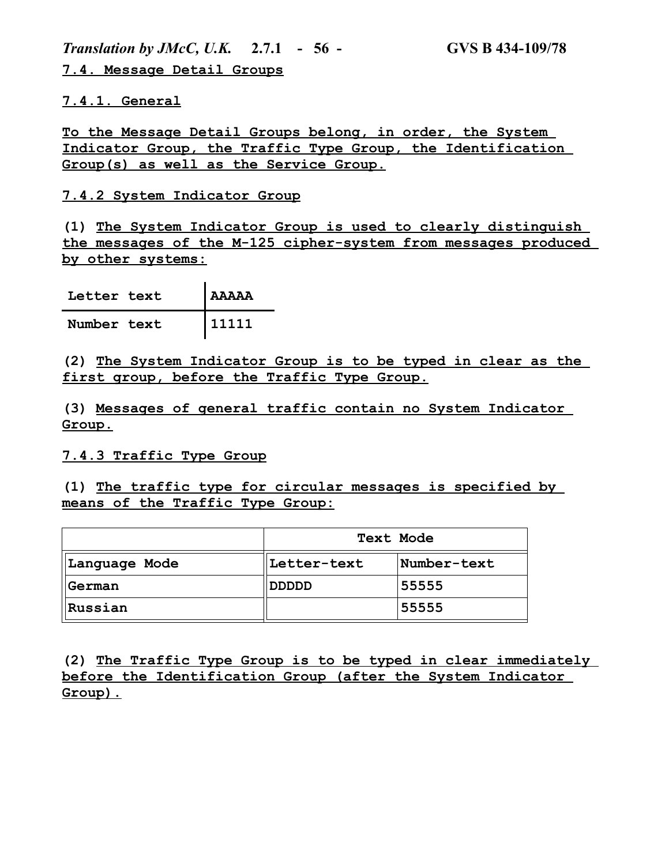*Translation by JMcC, U.K.* **2.7.1 - 56 - GVS B 434-109/78 7.4. Message Detail Groups**

**7.4.1. General**

**To the Message Detail Groups belong, in order, the System Indicator Group, the Traffic Type Group, the Identification Group(s) as well as the Service Group.**

## **7.4.2 System Indicator Group**

**(1) The System Indicator Group is used to clearly distinguish the messages of the M-125 cipher-system from messages produced by other systems:**

| Letter text | l AAAAA |
|-------------|---------|
| Number text | 11111   |

**(2) The System Indicator Group is to be typed in clear as the first group, before the Traffic Type Group.**

**(3) Messages of general traffic contain no System Indicator Group.**

### **7.4.3 Traffic Type Group**

**(1) The traffic type for circular messages is specified by means of the Traffic Type Group:**

|               | <b>Text Mode</b> |             |  |  |
|---------------|------------------|-------------|--|--|
| Language Mode | Letter-text      | Number-text |  |  |
| German        | םםםםם <b>D</b>   | 55555       |  |  |
| Russian       |                  | 55555       |  |  |

**(2) The Traffic Type Group is to be typed in clear immediately before the Identification Group (after the System Indicator Group).**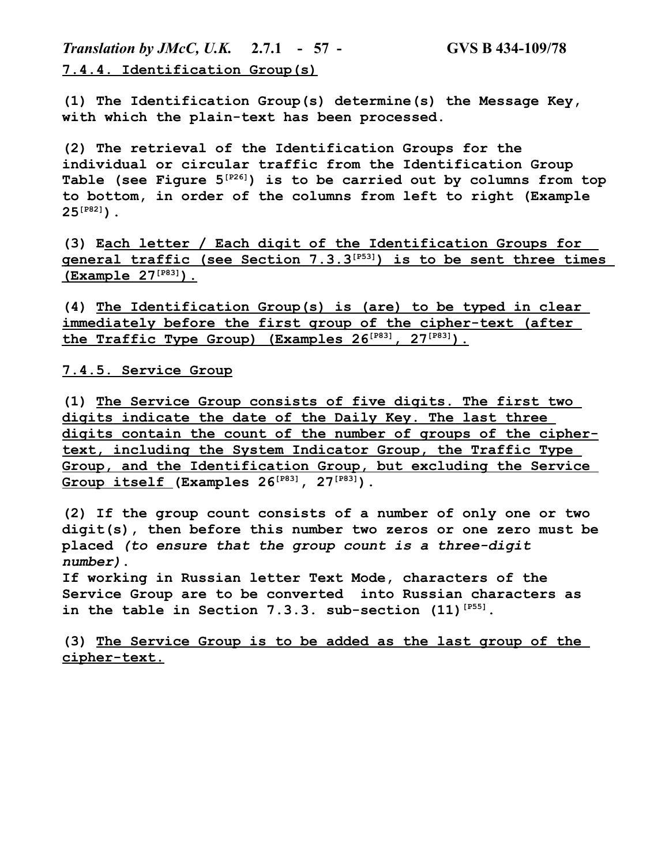*Translation by JMcC, U.K.* **2.7.1 - 57 - GVS B 434-109/78 7.4.4. Identification Group(s)**

**(1) The Identification Group(s) determine(s) the Message Key, with which the plain-text has been processed.**

**(2) The retrieval of the Identification Groups for the individual or circular traffic from the Identification Group Table (see Figure 5[P26]) is to be carried out by columns from top to bottom, in order of the columns from left to right (Example 25[P82]).**

**(3) Each letter / Each digit of the Identification Groups for general traffic (see Section 7.3.3[P53] ) is to be sent three times (Example 27[P83] ).**

**(4) The Identification Group(s) is (are) to be typed in clear immediately before the first group of the cipher-text (after the Traffic Type Group) (Examples 26[P83] , 27[P83] ).**

### **7.4.5. Service Group**

**(1) The Service Group consists of five digits. The first two digits indicate the date of the Daily Key. The last three digits contain the count of the number of groups of the ciphertext, including the System Indicator Group, the Traffic Type Group, and the Identification Group, but excluding the Service Group itself (Examples 26[P83], 27[P83]).**

**(2) If the group count consists of a number of only one or two digit(s), then before this number two zeros or one zero must be placed** *(to ensure that the group count is a three-digit number)***.**

**If working in Russian letter Text Mode, characters of the Service Group are to be converted into Russian characters as in the table in Section 7.3.3. sub-section (11)[P55].**

**(3) The Service Group is to be added as the last group of the cipher-text.**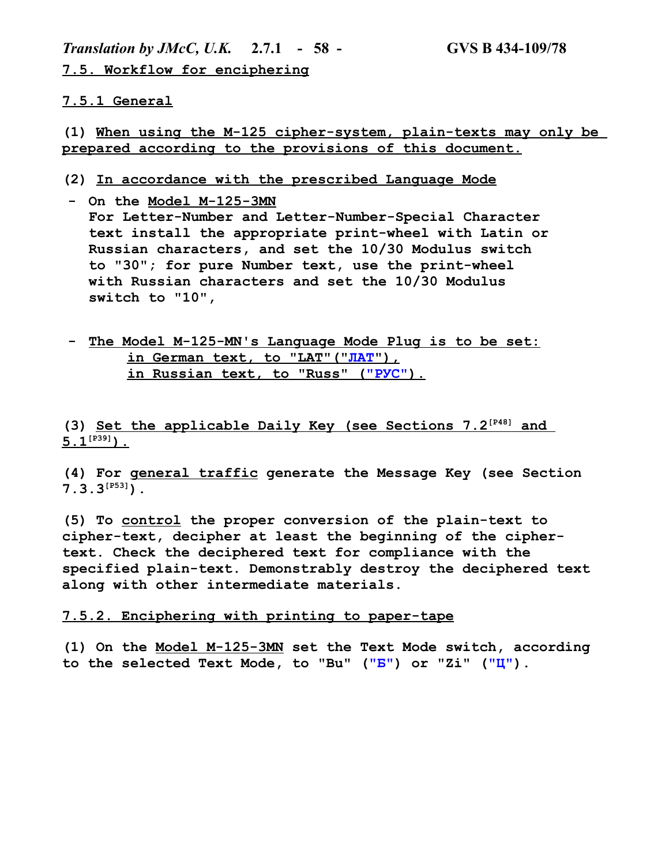*Translation by JMcC, U.K.* **2.7.1 - 58 - GVS B 434-109/78 7.5. Workflow for enciphering**

#### **7.5.1 General**

**(1) When using the M-125 cipher-system, plain-texts may only be prepared according to the provisions of this document.**

- **(2) In accordance with the prescribed Language Mode**
- **- On the Model M-125-3MN For Letter-Number and Letter-Number-Special Character text install the appropriate print-wheel with Latin or Russian characters, and set the 10/30 Modulus switch to "30"; for pure Number text, use the print-wheel with Russian characters and set the 10/30 Modulus switch to "10",**
- **- The Model M-125-MN's Language Mode Plug is to be set:** in German text, to "LAT" ("JIAT"),  **in Russian text, to "Russ" (" РУС" ).**

**(3) Set the applicable Daily Key (see Sections 7.2[P48] and**   $5.1^{[P39]}$ ).

**(4) For general traffic generate the Message Key (see Section 7.3.3[P53]).**

**(5) To control the proper conversion of the plain-text to cipher-text, decipher at least the beginning of the ciphertext. Check the deciphered text for compliance with the specified plain-text. Demonstrably destroy the deciphered text along with other intermediate materials.**

#### **7.5.2. Enciphering with printing to paper-tape**

**(1) On the Model M-125-3MN set the Text Mode switch, according to the selected Text Mode, to "Bu" ("Б") or "Zi" ("Ц").**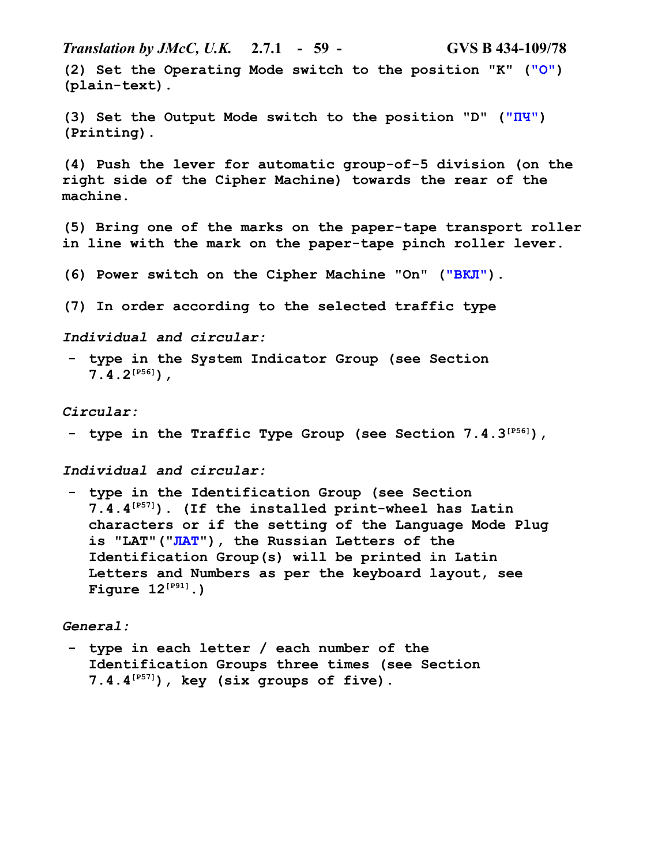*Translation by JMcC, U.K.* **2.7.1 - 59 - GVS B 434-109/78 (2) Set the Operating Mode switch to the position "K" ("О") (plain-text). (3) Set the Output Mode switch to the position "D" ("ПЧ")** 

**(Printing). (4) Push the lever for automatic group-of-5 division (on the** 

**right side of the Cipher Machine) towards the rear of the machine.**

**(5) Bring one of the marks on the paper-tape transport roller in line with the mark on the paper-tape pinch roller lever.**

**(6) Power switch on the Cipher Machine "On" ("ВКЛ").**

**(7) In order according to the selected traffic type**

*Individual and circular:*

**- type in the System Indicator Group (see Section 7.4.2[P56]),**

*Circular:*

**- type in the Traffic Type Group (see Section 7.4.3[P56]),**

*Individual and circular:*

**- type in the Identification Group (see Section 7.4.4[P57]). (If the installed print-wheel has Latin characters or if the setting of the Language Mode Plug is "LAT"("ЛАТ"), the Russian Letters of the Identification Group(s) will be printed in Latin Letters and Numbers as per the keyboard layout, see Figure 12[P91].)**

*General:*

**- type in each letter / each number of the Identification Groups three times (see Section 7.4.4[P57]), key (six groups of five).**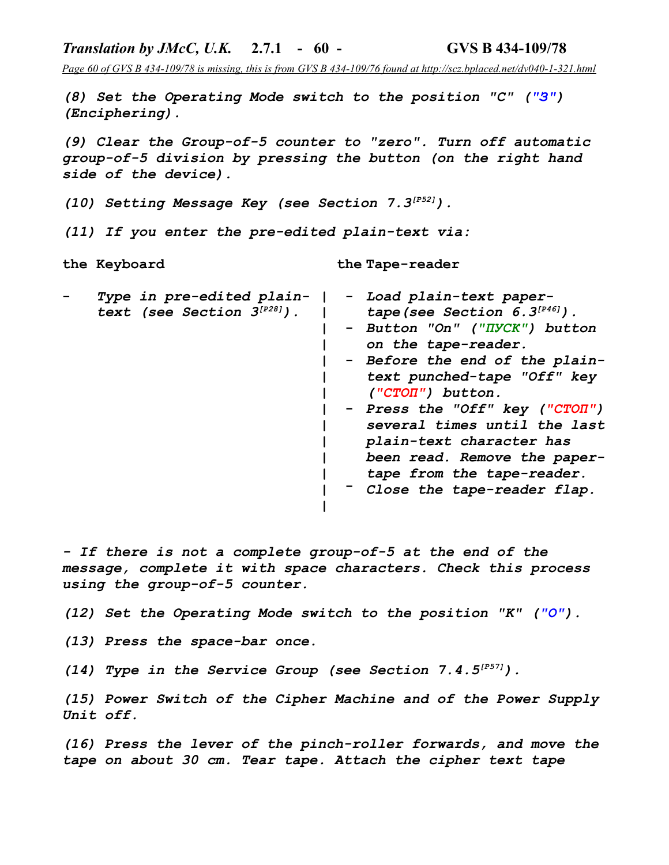*Page 60 of GVS B 434-109/78 is missing, this is from GVS B 434-109/76 found at http://scz.bplaced.net/dv040-1-321.html*

*(8) Set the Operating Mode switch to the position "C" ("З") (Enciphering).*

*Translation by JMcC, U.K.* **2.7.1 - 60 - GVS B 434-109/78**

*(9) Clear the Group-of-5 counter to "zero". Turn off automatic group-of-5 division by pressing the button (on the right hand side of the device).*

*(10) Setting Message Key (see Section 7.3[P52]).*

*(11) If you enter the pre-edited plain-text via:*

**the Keyboard the Tape-reader**

|  | Type in pre-edited plain-<br>text (see Section $3^{[P28]}$ ). |  | - Load plain-text paper-<br>tape (see Section $6.3^{[P46]}$ ).<br>- Button "On" ("IIYCK") button<br>on the tape-reader.<br>- Before the end of the plain-<br>text punched-tape "Off" key<br>$('''CTOII")$ button.<br>- Press the "Off" key ("CTOI")<br>several times until the last<br>plain-text character has<br>been read. Remove the paper-<br>tape from the tape-reader.<br>- Close the tape-reader flap. |
|--|---------------------------------------------------------------|--|----------------------------------------------------------------------------------------------------------------------------------------------------------------------------------------------------------------------------------------------------------------------------------------------------------------------------------------------------------------------------------------------------------------|
|  |                                                               |  |                                                                                                                                                                                                                                                                                                                                                                                                                |

*- If there is not a complete group-of-5 at the end of the message, complete it with space characters. Check this process using the group-of-5 counter.*

*(12) Set the Operating Mode switch to the position "K" ("О").*

*(13) Press the space-bar once.*

*(14) Type in the Service Group (see Section 7.4.5[P57]).*

*(15) Power Switch of the Cipher Machine and of the Power Supply Unit off.*

*(16) Press the lever of the pinch-roller forwards, and move the tape on about 30 cm. Tear tape. Attach the cipher text tape*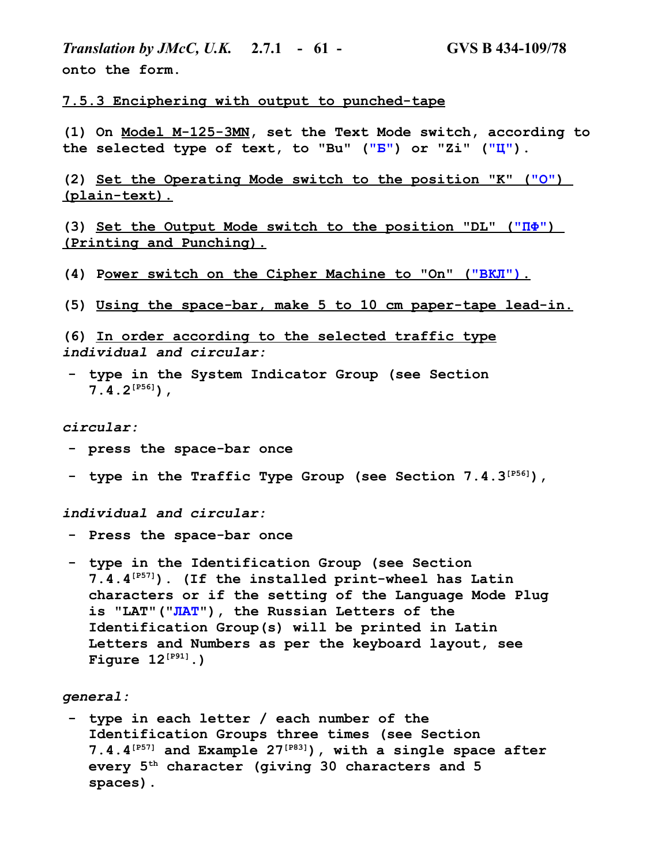*Translation by JMcC, U.K.* **2.7.1 - 61 - GVS B 434-109/78 onto the form.**

**7.5.3 Enciphering with output to punched-tape**

**(1) On Model M-125-3MN, set the Text Mode switch, according to the selected type of text, to "Bu" ("Б") or "Zi" ("Ц").**

**(2) Set the Operating Mode switch to the position "K" ("О" ) (plain-text).**

**(3) Set the Output Mode switch to the position "DL" (" ПФ" ) (Printing and Punching).**

**(4) Power switch on the Cipher Machine to "On" ("BKJI").** 

**(5) Using the space-bar, make 5 to 10 cm paper-tape lead-in.**

**(6) In order according to the selected traffic type** *individual and circular:*

**- type in the System Indicator Group (see Section 7.4.2[P56]),**

#### *circular:*

- **- press the space-bar once**
- **- type in the Traffic Type Group (see Section 7.4.3[P56]),**

*individual and circular:*

- **- Press the space-bar once**
- **- type in the Identification Group (see Section 7.4.4[P57]). (If the installed print-wheel has Latin characters or if the setting of the Language Mode Plug is "LAT"("ЛАТ"), the Russian Letters of the Identification Group(s) will be printed in Latin Letters and Numbers as per the keyboard layout, see Figure 12[P91].)**

*general:*

**- type in each letter / each number of the Identification Groups three times (see Section 7.4.4[P57] and Example 27[P83]), with a single space after every 5th character (giving 30 characters and 5 spaces).**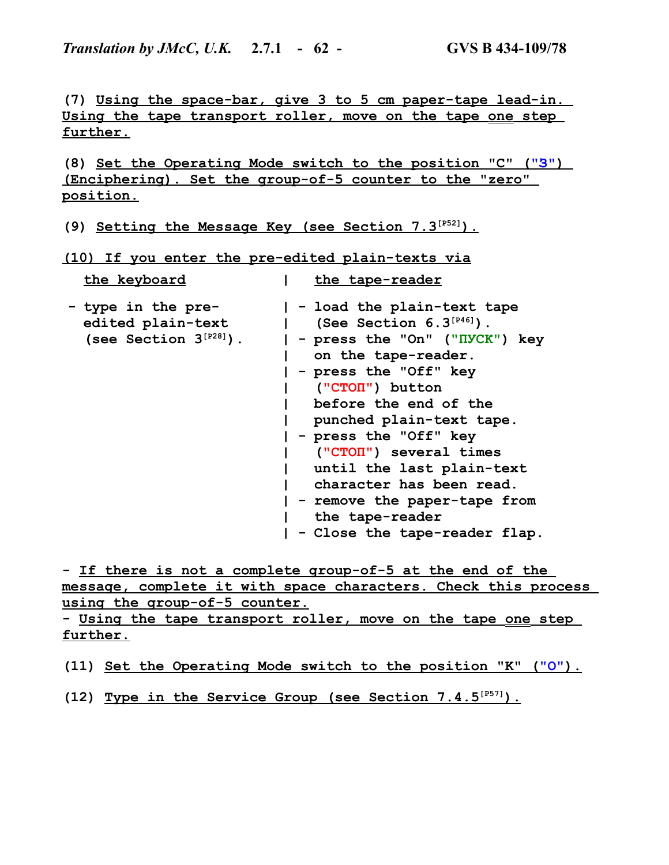*Translation by JMcC, U.K.* **2.7.1 - 62 - GVS B 434-109/78**

**(7) Using the space-bar, give 3 to 5 cm paper-tape lead-in. Using the tape transport roller, move on the tape one step further.**

**(8) Set the Operating Mode switch to the position "C" ("З" ) (Enciphering). Set the group-of-5 counter to the "zero" position.**

**(9) Setting the Message Key (see Section 7.3[P52] ).**

**(10) If you enter the pre-edited plain-texts via**

| the keyboard                                                           | the tape-reader                                                                                                                                                                                                                                                                                                                                                                                                       |
|------------------------------------------------------------------------|-----------------------------------------------------------------------------------------------------------------------------------------------------------------------------------------------------------------------------------------------------------------------------------------------------------------------------------------------------------------------------------------------------------------------|
| - type in the pre-<br>edited plain-text<br>(see Section $3^{[P28]}$ ). | - load the plain-text tape<br>(See Section $6.3^{[P46]}$ ).<br>- press the "On" ("IIYCK") key<br>on the tape-reader.<br>- press the "Off" key<br>("CTON") button<br>before the end of the<br>punched plain-text tape.<br>- press the "Off" key<br>("CTON") several times<br>until the last plain-text<br>character has been read.<br>- remove the paper-tape from<br>the tape-reader<br>- Close the tape-reader flap. |

**- If there is not a complete group-of-5 at the end of the message, complete it with space characters. Check this process using the group-of-5 counter.**

**- Using the tape transport roller, move on the tape one step further.**

**(11) Set the Operating Mode switch to the position "K" ("О" ).**

**(12) Type in the Service Group (see Section 7.4.5[P57] ).**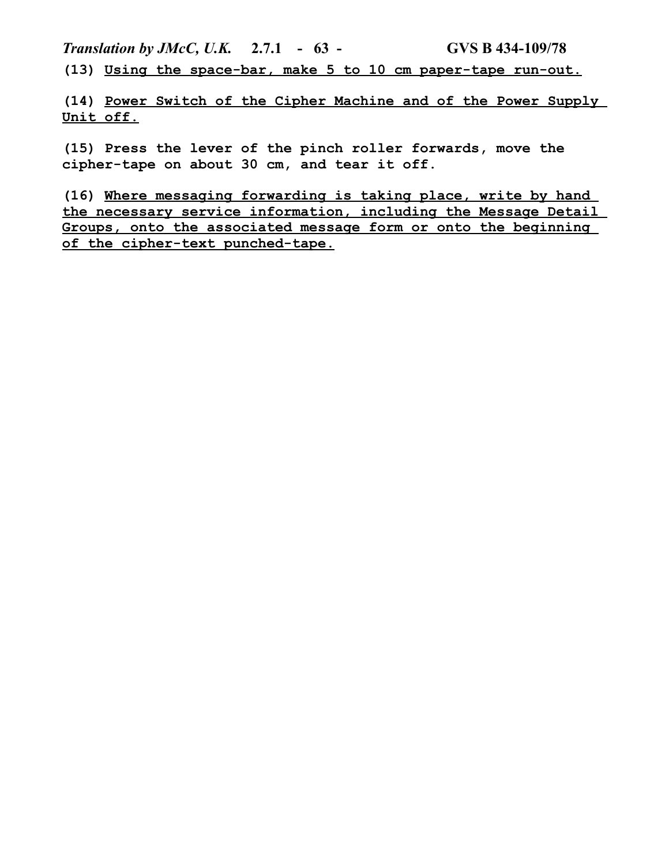*Translation by JMcC, U.K.* **2.7.1 - 63 - GVS B 434-109/78 (13) Using the space-bar, make 5 to 10 cm paper-tape run-out.**

**(14) Power Switch of the Cipher Machine and of the Power Supply Unit off.**

**(15) Press the lever of the pinch roller forwards, move the cipher-tape on about 30 cm, and tear it off.**

**(16) Where messaging forwarding is taking place, write by hand the necessary service information, including the Message Detail Groups, onto the associated message form or onto the beginning of the cipher-text punched-tape.**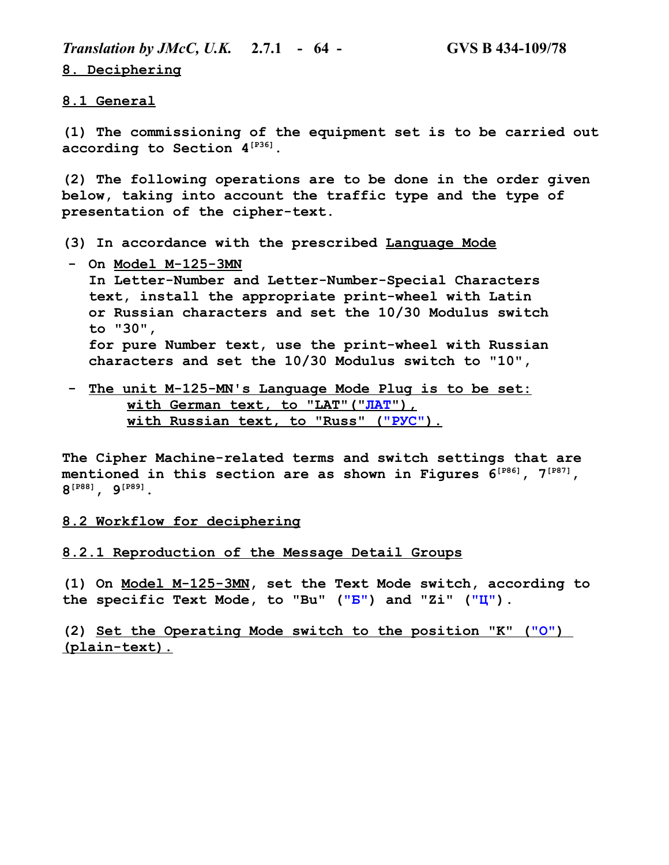*Translation by JMcC, U.K.* **2.7.1 - 64 - GVS B 434-109/78 8. Deciphering**

**8.1 General**

**(1) The commissioning of the equipment set is to be carried out according to Section 4[P36].**

**(2) The following operations are to be done in the order given below, taking into account the traffic type and the type of presentation of the cipher-text.**

- **(3) In accordance with the prescribed Language Mode**
- **- On Model M-125-3MN In Letter-Number and Letter-Number-Special Characters text, install the appropriate print-wheel with Latin or Russian characters and set the 10/30 Modulus switch to "30", for pure Number text, use the print-wheel with Russian characters and set the 10/30 Modulus switch to "10",**
- **- The unit M-125-MN's Language Mode Plug is to be set:** with German text, to "LAT"("JIAT"),  **with Russian text, to "Russ" (" РУС" ).**

**The Cipher Machine-related terms and switch settings that are mentioned in this section are as shown in Figures 6[P86], 7[P87], 8 [P88], 9[P89].**

**8.2 Workflow for deciphering**

### **8.2.1 Reproduction of the Message Detail Groups**

**(1) On Model M-125-3MN, set the Text Mode switch, according to the specific Text Mode, to "Bu" ("Б") and "Zi" ("Ц").**

**(2) Set the Operating Mode switch to the position "K" ("О" ) (plain-text).**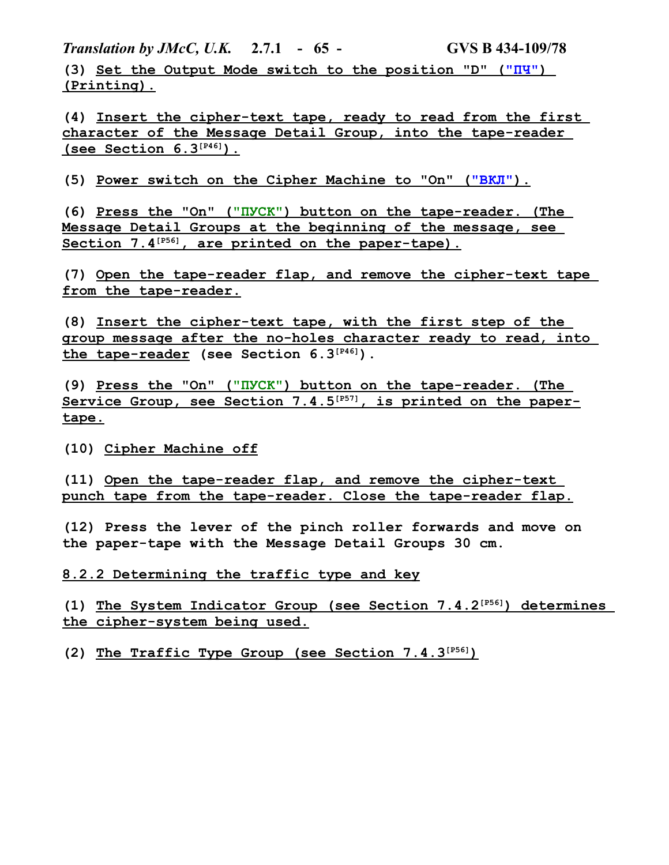*Translation by JMcC, U.K.* **2.7.1 - 65 - GVS B 434-109/78**

**(3) Set the Output Mode switch to the position "D" (" ПЧ" ) (Printing).**

**(4) Insert the cipher-text tape, ready to read from the first character of the Message Detail Group, into the tape-reader (see Section 6.3[P46] ).**

(5) Power switch on the Cipher Machine to "On" ("BKJI").

**(6) Press the "On" (" ПУСК" ) button on the tape-reader. (The Message Detail Groups at the beginning of the message, see Section 7.4[P56] , are printed on the paper-tape).**

**(7) Open the tape-reader flap, and remove the cipher-text tape from the tape-reader.**

**(8) Insert the cipher-text tape, with the first step of the group message after the no-holes character ready to read, into the tape-reader (see Section 6.3[P46]).**

**(9) Press the "On" (" ПУСК" ) button on the tape-reader. (The Service Group, see Section 7.4.5[P57] , is printed on the papertape.**

**(10) Cipher Machine off**

**(11) Open the tape-reader flap, and remove the cipher-text punch tape from the tape-reader. Close the tape-reader flap.**

**(12) Press the lever of the pinch roller forwards and move on the paper-tape with the Message Detail Groups 30 cm.**

**8.2.2 Determining the traffic type and key**

**(1) The System Indicator Group (see Section 7.4.2[P56] ) determines the cipher-system being used.**

**(2) The Traffic Type Group (see Section 7.4.3[P56] )**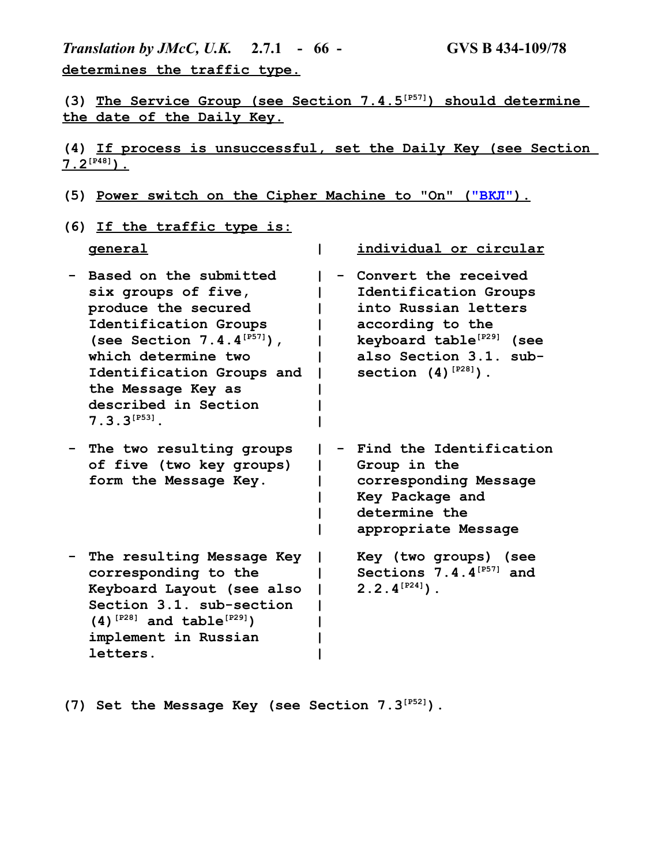*Translation by JMcC, U.K.* **2.7.1 - 66 - GVS B 434-109/78 determines the traffic type.**

**(3) The Service Group (see Section 7.4.5[P57] ) should determine the date of the Daily Key.**

**(4) If process is unsuccessful, set the Daily Key (see Section**   $7.2^{[P48]}$ .

- (5) Power switch on the Cipher Machine to "On" ("ВКЛ").
- **(6) If the traffic type is:**

| <b>general</b>                                                                                                                                                                                                                                          | individual or circular                                                                                                                                                                  |
|---------------------------------------------------------------------------------------------------------------------------------------------------------------------------------------------------------------------------------------------------------|-----------------------------------------------------------------------------------------------------------------------------------------------------------------------------------------|
| Based on the submitted<br>six groups of five,<br>produce the secured<br>Identification Groups<br>(see Section $7.4.4^{[PS7]}$ ),<br>which determine two<br>Identification Groups and<br>the Message Key as<br>described in Section<br>$7.3.3^{[P53]}$ . | Convert the received<br>Identification Groups<br>into Russian letters<br>according to the<br>keyboard table <sup>[P29]</sup> (see<br>also Section 3.1. sub-<br>section $(4)$ $[p28]$ ). |
| The two resulting groups<br>of five (two key groups)<br>form the Message Key.                                                                                                                                                                           | Find the Identification<br>Group in the<br>corresponding Message<br>Key Package and<br>determine the<br>appropriate Message                                                             |
| The resulting Message Key<br>corresponding to the<br>Keyboard Layout (see also<br>Section 3.1. sub-section<br>$(4)$ <sup>[P28]</sup> and table <sup>[P29]</sup> )<br>implement in Russian<br>letters.                                                   | Key (two groups)<br>(see<br>Sections 7.4.4 <sup>[P57]</sup> and<br>$2.2.4^{[P24]}$ .                                                                                                    |

**(7) Set the Message Key (see Section 7.3[P52]).**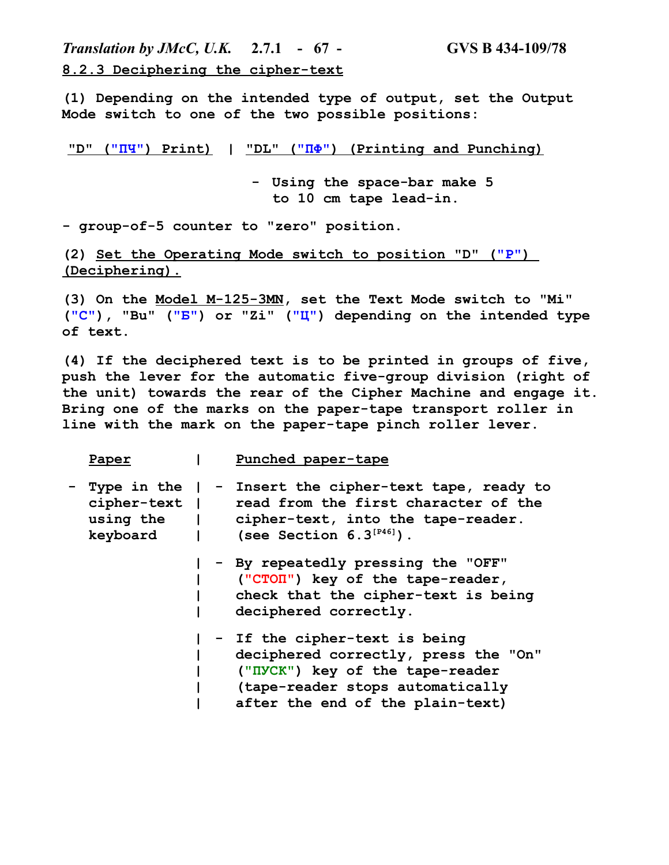*Translation by JMcC, U.K.* **2.7.1 - 67 - GVS B 434-109/78 8.2.3 Deciphering the cipher-text**

**(1) Depending on the intended type of output, set the Output Mode switch to one of the two possible positions:**

 **"D" ( "ПЧ" ) Print) | "DL" (" ПФ" ) (Printing and Punching)**

**- Using the space-bar make 5 to 10 cm tape lead-in.**

**- group-of-5 counter to "zero" position.**

**(2) Set the Operating Mode switch to position "D" ("Р" ) (Deciphering).**

**(3) On the Model M-125-3MN, set the Text Mode switch to "Mi" ("С"), "Bu" ("Б") or "Zi" ("Ц") depending on the intended type of text.**

**(4) If the deciphered text is to be printed in groups of five, push the lever for the automatic five-group division (right of the unit) towards the rear of the Cipher Machine and engage it. Bring one of the marks on the paper-tape transport roller in line with the mark on the paper-tape pinch roller lever.**

|   | Paper       |  | Punched paper-tape                                                                                                                                                                                     |
|---|-------------|--|--------------------------------------------------------------------------------------------------------------------------------------------------------------------------------------------------------|
| - | cipher-text |  | Type in the $ $ - Insert the cipher-text tape, ready to<br>read from the first character of the<br>using the   cipher-text, into the tape-reader.<br>keyboard $ $ (see Section 6.3 <sup>[P46]</sup> ). |
|   |             |  | - By repeatedly pressing the "OFF"<br>("CTON") key of the tape-reader,<br>check that the cipher-text is being<br>deciphered correctly.                                                                 |
|   |             |  | - If the cipher-text is being<br>deciphered correctly, press the "On"<br>("IVCK") key of the tape-reader<br>(tape-reader stops automatically<br>after the end of the plain-text)                       |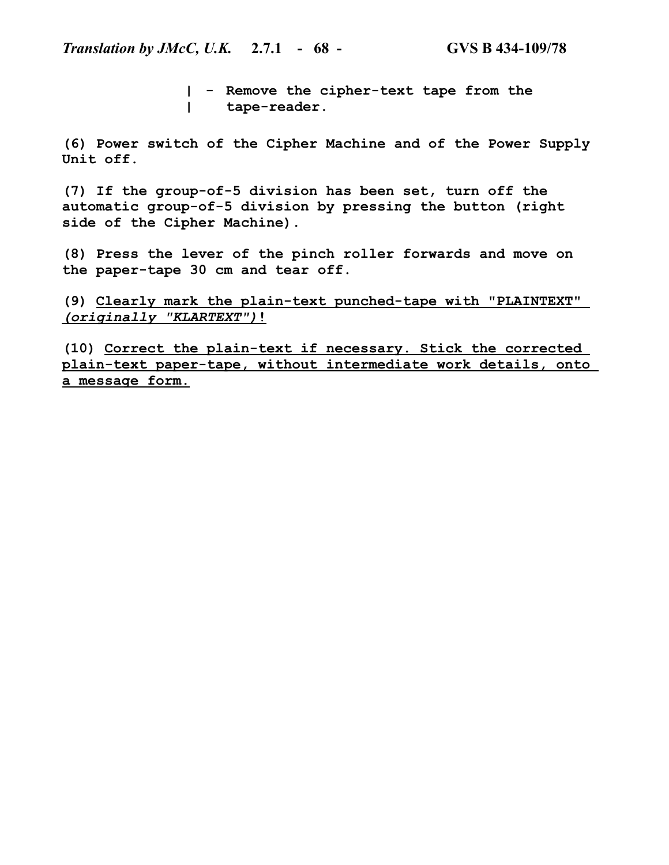**| - Remove the cipher-text tape from the | tape-reader.**

**(6) Power switch of the Cipher Machine and of the Power Supply Unit off.**

**(7) If the group-of-5 division has been set, turn off the automatic group-of-5 division by pressing the button (right side of the Cipher Machine).**

**(8) Press the lever of the pinch roller forwards and move on the paper-tape 30 cm and tear off.**

**(9) Clearly mark the plain-text punched-tape with "PLAINTEXT"**   *(originally "KLARTEXT")***!**

**(10) Correct the plain-text if necessary. Stick the corrected plain-text paper-tape, without intermediate work details, onto a message form.**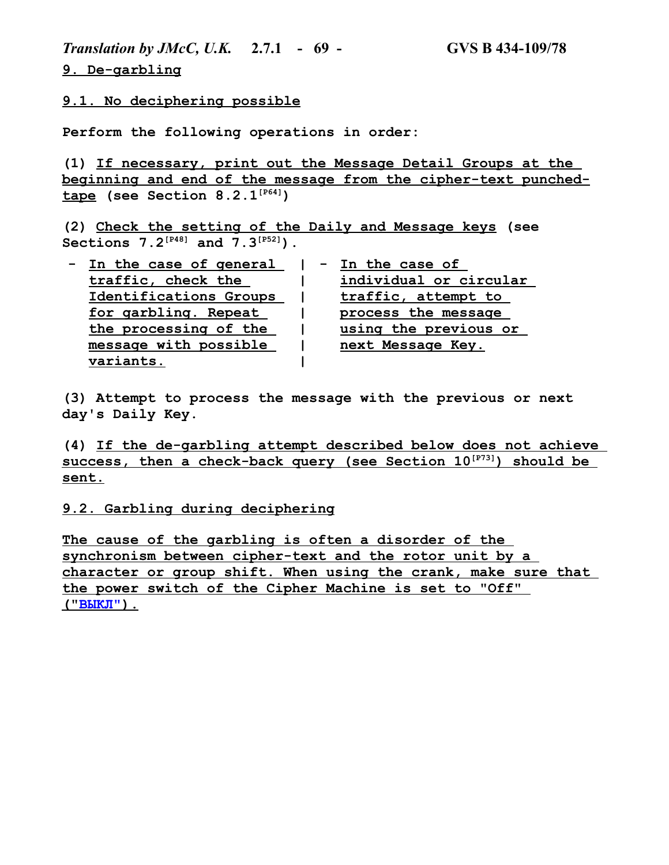*Translation by JMcC, U.K.* **2.7.1 - 69 - GVS B 434-109/78 9. De-garbling**

**9.1. No deciphering possible**

**Perform the following operations in order:**

**(1) If necessary, print out the Message Detail Groups at the beginning and end of the message from the cipher-text punchedtape (see Section 8.2.1[P64])**

**(2) Check the setting of the Daily and Message keys (see Sections 7.2[P48] and 7.3[P52]).**

| In the case of general | - In the case of       |  |
|------------------------|------------------------|--|
| traffic, check the     | individual or circular |  |
| Identifications Groups | traffic, attempt to    |  |
| for garbling. Repeat   | process the message    |  |
| the processing of the  | using the previous or  |  |
| message with possible  | next Message Key.      |  |
| variants.              |                        |  |

**(3) Attempt to process the message with the previous or next day's Daily Key.**

**(4) If the de-garbling attempt described below does not achieve success, then a check-back query (see Section 10[P73] ) should be sent.**

#### **9.2. Garbling during deciphering**

**The cause of the garbling is often a disorder of the synchronism between cipher-text and the rotor unit by a character or group shift. When using the crank, make sure that the power switch of the Cipher Machine is set to "Off" (" ВЫКЛ" ).**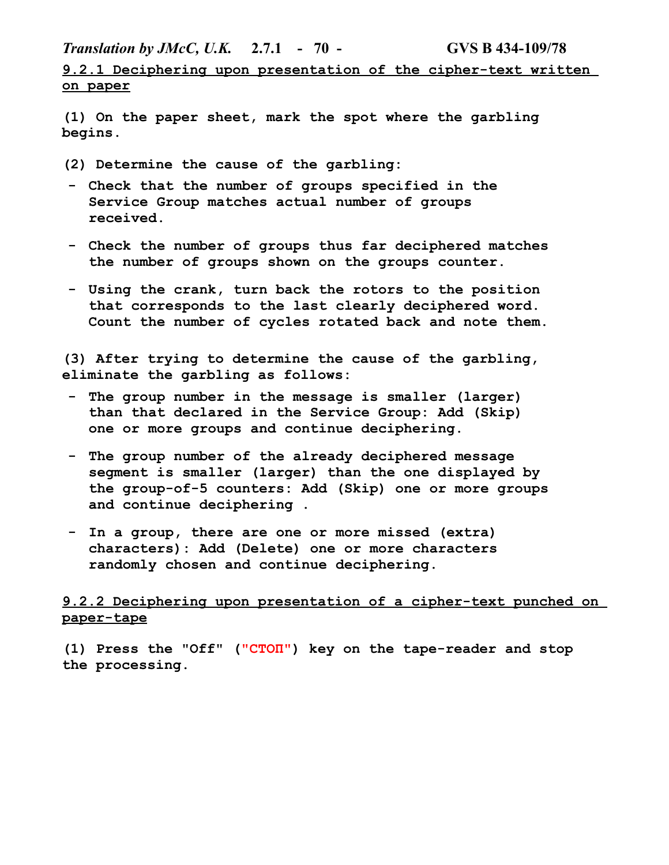*Translation by JMcC, U.K.* **2.7.1 - 70 - GVS B 434-109/78**

**9.2.1 Deciphering upon presentation of the cipher-text written on paper**

**(1) On the paper sheet, mark the spot where the garbling begins.**

**(2) Determine the cause of the garbling:**

- **- Check that the number of groups specified in the Service Group matches actual number of groups received.**
- **- Check the number of groups thus far deciphered matches the number of groups shown on the groups counter.**
- **- Using the crank, turn back the rotors to the position that corresponds to the last clearly deciphered word. Count the number of cycles rotated back and note them.**

**(3) After trying to determine the cause of the garbling, eliminate the garbling as follows:**

- **- The group number in the message is smaller (larger) than that declared in the Service Group: Add (Skip) one or more groups and continue deciphering.**
- **- The group number of the already deciphered message segment is smaller (larger) than the one displayed by the group-of-5 counters: Add (Skip) one or more groups and continue deciphering .**
- **- In a group, there are one or more missed (extra) characters): Add (Delete) one or more characters randomly chosen and continue deciphering.**

# **9.2.2 Deciphering upon presentation of a cipher-text punched on paper-tape**

**(1) Press the "Off" ("СТОП") key on the tape-reader and stop the processing.**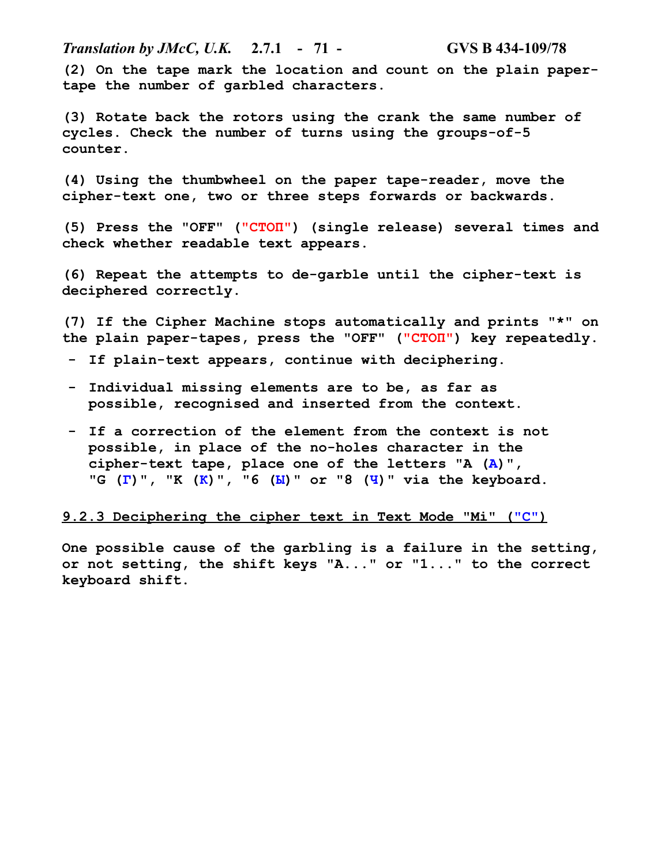*Translation by JMcC, U.K.* **2.7.1 - 71 - GVS B 434-109/78 (2) On the tape mark the location and count on the plain papertape the number of garbled characters.**

**(3) Rotate back the rotors using the crank the same number of cycles. Check the number of turns using the groups-of-5 counter.**

**(4) Using the thumbwheel on the paper tape-reader, move the cipher-text one, two or three steps forwards or backwards.**

**(5) Press the "OFF" ("СТОП") (single release) several times and check whether readable text appears.**

**(6) Repeat the attempts to de-garble until the cipher-text is deciphered correctly.**

**(7) If the Cipher Machine stops automatically and prints "\*" on the plain paper-tapes, press the "OFF" ("СТОП") key repeatedly.**

- **- If plain-text appears, continue with deciphering.**
- **- Individual missing elements are to be, as far as possible, recognised and inserted from the context.**
- **- If a correction of the element from the context is not possible, in place of the no-holes character in the cipher-text tape, place one of the letters "A (А)", "G (Г)", "K (К)", "6 (Ы)" or "8 (Ч)" via the keyboard.**

#### **9.2.3 Deciphering the cipher text in Text Mode "Mi" ("С")**

**One possible cause of the garbling is a failure in the setting, or not setting, the shift keys "A..." or "1..." to the correct keyboard shift.**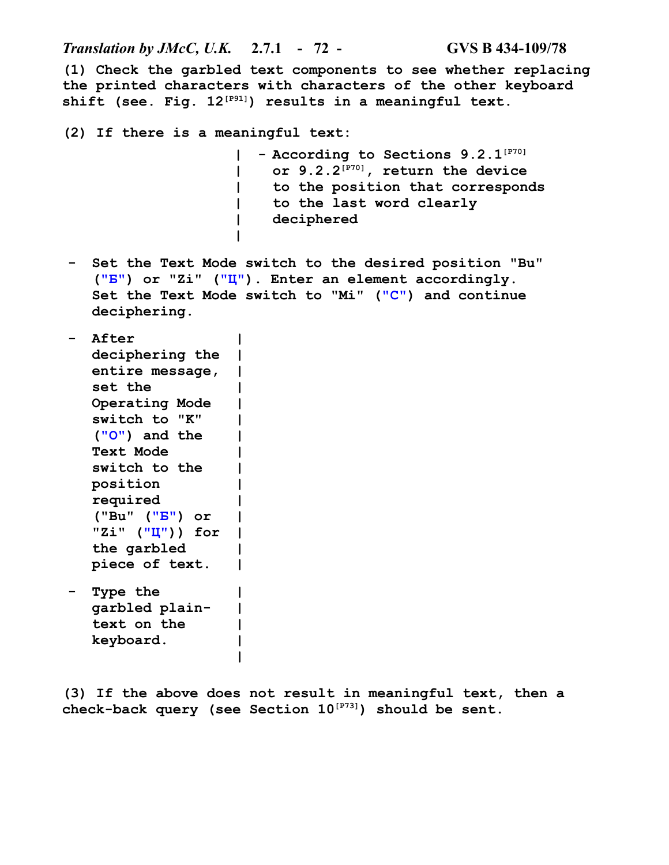*Translation by JMcC, U.K.* **2.7.1 - 72 - GVS B 434-109/78**

**(1) Check the garbled text components to see whether replacing the printed characters with characters of the other keyboard shift (see. Fig. 12[P91]) results in a meaningful text.**

**(2) If there is a meaningful text:**

**| |**

**| - According to Sections 9.2.1[P70] | | | or 9.2.2[P70], return the device to the position that corresponds to the last word clearly deciphered**

**- Set the Text Mode switch to the desired position "Bu" ("Б") or "Zi" ("Ц"). Enter an element accordingly. Set the Text Mode switch to "Mi" ("С") and continue deciphering.**

```
- After 
   deciphering the
|
   entire message,
|
  set the 
  Operating Mode 
  switch to "K" 
  ("О") and the 
  Text Mode 
  switch to the 
  position 
  required 
  ("Bu" ("Б") or 
   "Zi" ("Ц")) for
|
  the garbled 
  piece of text.
                     |
                     |
                    |
                    |
                     |
                     |
                     |
                    |
                     |
                    |
                     |
                    |
- Type the 
  garbled plain-
  text on the 
                     |
                    |
                    |
```
**keyboard. | |**

**(3) If the above does not result in meaningful text, then a check-back query (see Section 10[P73]) should be sent.**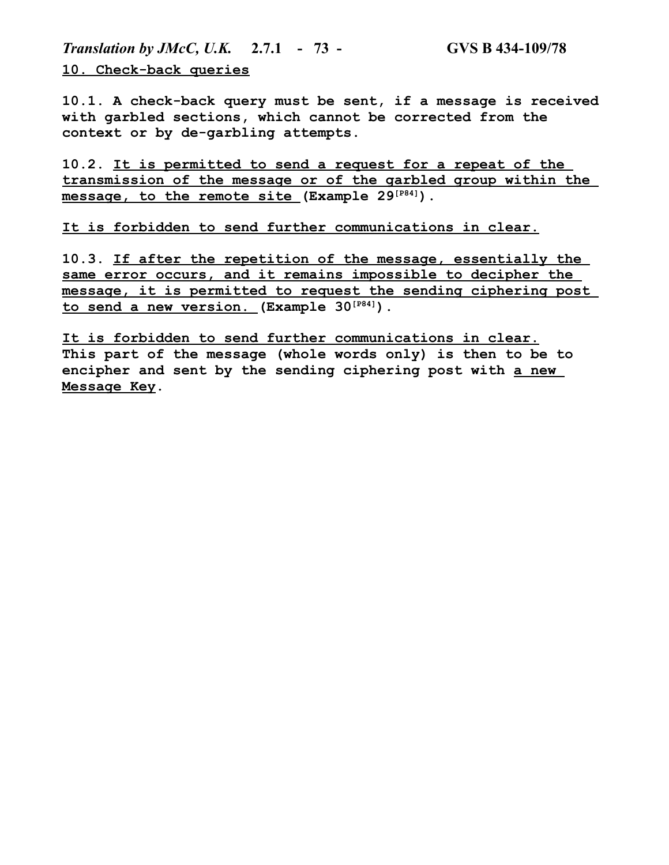*Translation by JMcC, U.K.* **2.7.1 - 73 - GVS B 434-109/78 10. Check-back queries**

**10.1. A check-back query must be sent, if a message is received with garbled sections, which cannot be corrected from the context or by de-garbling attempts.**

**10.2. It is permitted to send a request for a repeat of the transmission of the message or of the garbled group within the message, to the remote site (Example 29[P84]).**

**It is forbidden to send further communications in clear.**

**10.3. If after the repetition of the message, essentially the same error occurs, and it remains impossible to decipher the message, it is permitted to request the sending ciphering post to send a new version. (Example 30[P84]).**

**It is forbidden to send further communications in clear. This part of the message (whole words only) is then to be to encipher and sent by the sending ciphering post with a new Message Key.**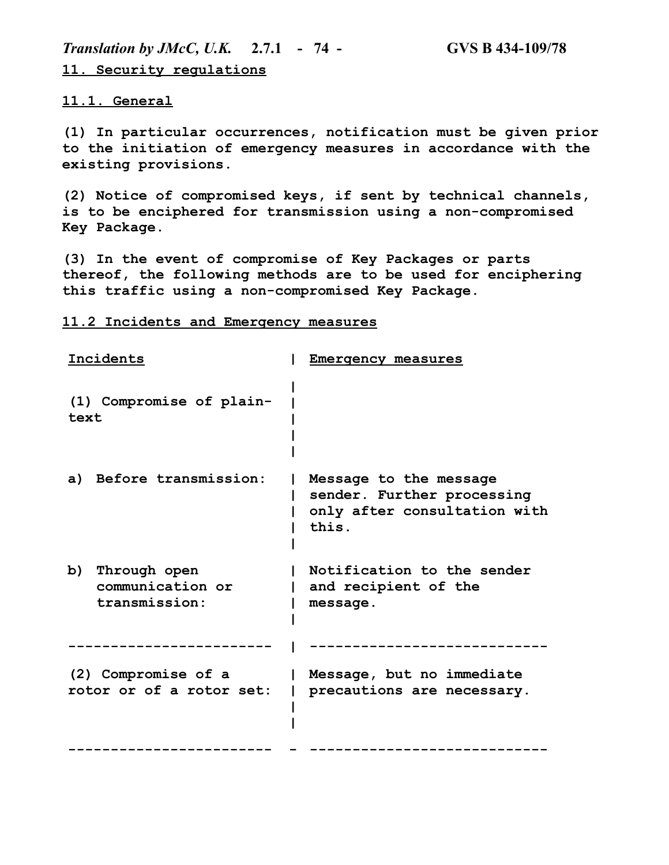*Translation by JMcC, U.K.* **2.7.1 - 74 - GVS B 434-109/78 11. Security regulations**

**11.1. General**

**(1) In particular occurrences, notification must be given prior to the initiation of emergency measures in accordance with the existing provisions.**

**(2) Notice of compromised keys, if sent by technical channels, is to be enciphered for transmission using a non-compromised Key Package.**

**(3) In the event of compromise of Key Packages or parts thereof, the following methods are to be used for enciphering this traffic using a non-compromised Key Package.**

**11.2 Incidents and Emergency measures**

| Incidents                                               | Emergency measures                                                                            |
|---------------------------------------------------------|-----------------------------------------------------------------------------------------------|
| (1) Compromise of plain-<br>text                        |                                                                                               |
| a) Before transmission:                                 | Message to the message<br>sender. Further processing<br>only after consultation with<br>this. |
| b)<br>Through open<br>communication or<br>transmission: | Notification to the sender<br>and recipient of the<br>message.                                |
|                                                         |                                                                                               |
| (2) Compromise of a<br>rotor or of a rotor set:         | Message, but no immediate<br>precautions are necessary.                                       |
|                                                         |                                                                                               |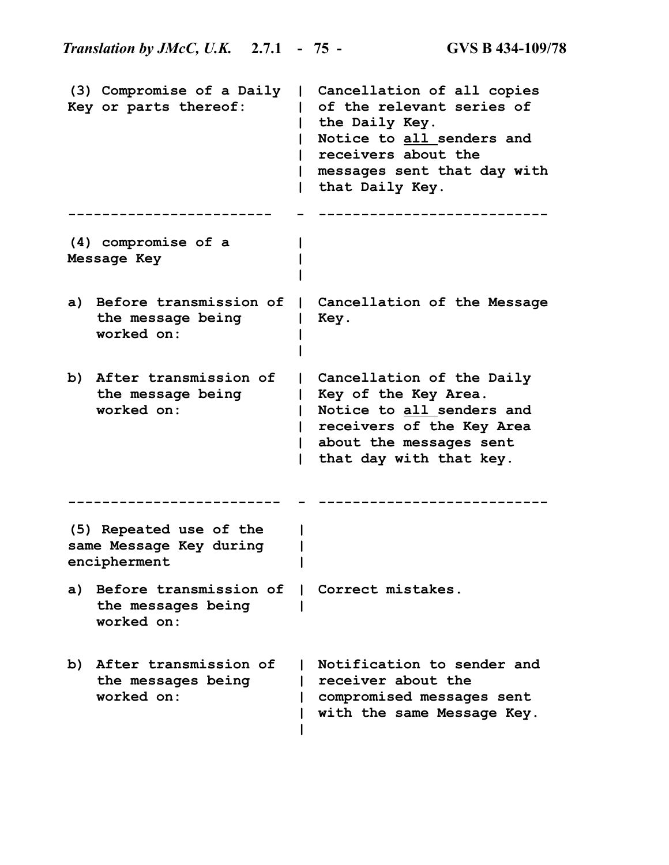**(3) Compromise of a Daily | Cancellation of all copies Key or parts thereof: | of the relevant series of | the Daily Key. | Notice to all senders and | receivers about the | messages sent that day with | that Daily Key. ------------------------ - --------------------------- (4) compromise of a Message Key | | | a) Before transmission of | Cancellation of the Message the message being | Key. worked on: | | b) After transmission of | Cancellation of the Daily the message being worked on: | Key of the Key Area. | Notice to all senders and | receivers of the Key Area | about the messages sent | that day with that key. ------------------------- - --------------------------- (5) Repeated use of the same Message Key during encipherment | | | a) Before transmission of | Correct mistakes. the messages being | worked on: b) After transmission of | Notification to sender and the messages being worked on: | receiver about the | compromised messages sent | with the same Message Key.|**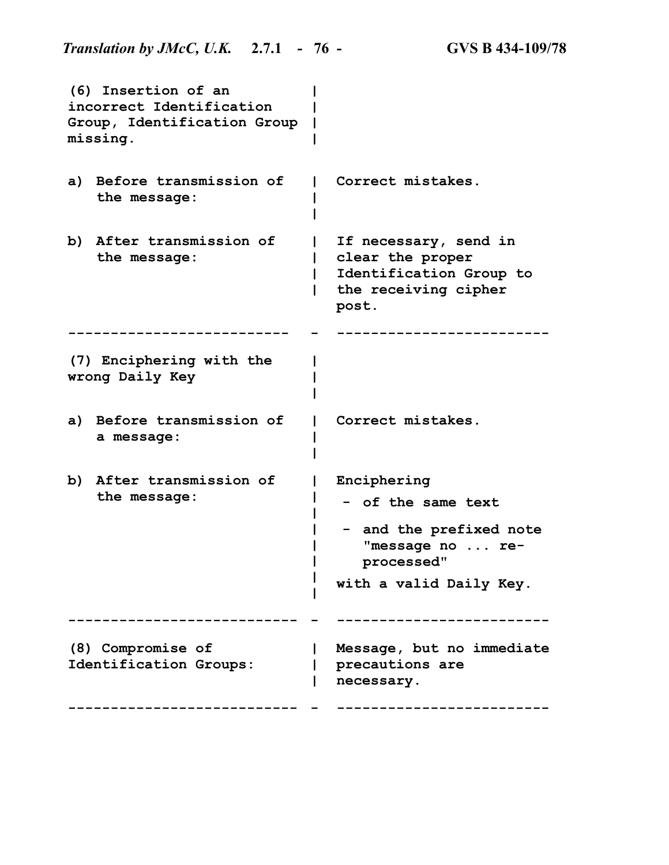|    | (6) Insertion of an<br>incorrect Identification<br>Group, Identification Group<br>missing. |                                                                                                                               |
|----|--------------------------------------------------------------------------------------------|-------------------------------------------------------------------------------------------------------------------------------|
| a) | Before transmission of<br>the message:                                                     | Correct mistakes.                                                                                                             |
| b) | After transmission of<br>the message:                                                      | If necessary, send in<br>clear the proper<br>Identification Group to<br>the receiving cipher<br>post.                         |
|    |                                                                                            |                                                                                                                               |
|    | (7) Enciphering with the<br>wrong Daily Key                                                |                                                                                                                               |
|    | a) Before transmission of<br>a message:                                                    | Correct mistakes.                                                                                                             |
| b) | After transmission of<br>the message:                                                      | Enciphering<br>- of the same text<br>and the prefixed note<br>н.<br>"message no  re-<br>processed"<br>with a valid Daily Key. |
|    |                                                                                            |                                                                                                                               |
|    | (8) Compromise of<br>Identification Groups:                                                | Message, but no immediate<br>precautions are<br>necessary.                                                                    |
|    |                                                                                            |                                                                                                                               |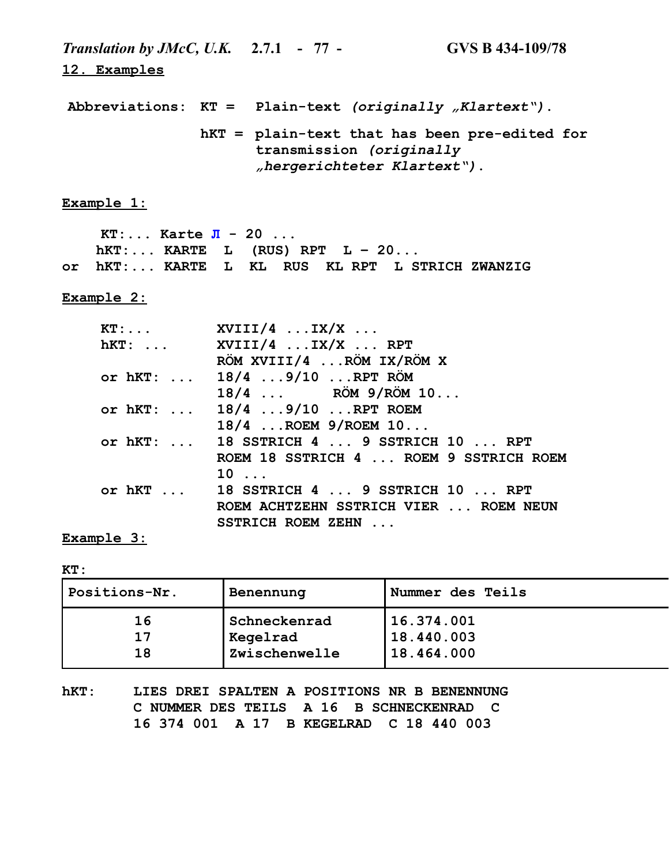*Translation by JMcC, U.K.* **2.7.1 - 77 - GVS B 434-109/78 12. Examples Abbreviations: KT = Plain-text** *(originally "Klartext")***. hKT = plain-text that has been pre-edited for transmission** *(originally "hergerichteter Klartext")***. Example 1: KT:... Karte Л - 20 ... hKT:... KARTE L (RUS) RPT L – 20... or hKT:... KARTE L KL RUS KL RPT L STRICH ZWANZIG Example 2: KT:... XVIII/4 ...IX/X ...**

| hKT:  XVIII/4  IX/X  RPT                 |
|------------------------------------------|
| RÖM XVIII/4  RÖM IX/RÖM X                |
| or hKT:  18/4 9/10  RPT RÖM              |
| $18/4$ RÖM $9/R$ ÖM $10$                 |
| or hKT:  18/4  9/10  RPT ROEM            |
| $18/4$ ROEM $9/$ ROEM $10$               |
| or hKT:  18 SSTRICH 4  9 SSTRICH 10  RPT |
| ROEM 18 SSTRICH 4  ROEM 9 SSTRICH ROEM   |
| $10 \ldots$                              |
| or $hKT$ 18 SSTRICH 4  9 SSTRICH 10  RPT |
| ROEM ACHTZEHN SSTRICH VIER  ROEM NEUN    |
| SSTRICH ROEM ZEHN                        |

**Example 3:**

**KT:**

| Positions-Nr. | Benennung                | Nummer des Teils         |
|---------------|--------------------------|--------------------------|
| 16<br>17      | Schneckenrad<br>Kegelrad | 16.374.001<br>18.440.003 |
| 18            | Zwischenwelle            | 18.464.000               |

**hKT: LIES DREI SPALTEN A POSITIONS NR B BENENNUNG C NUMMER DES TEILS A 16 B SCHNECKENRAD C 16 374 001 A 17 B KEGELRAD C 18 440 003**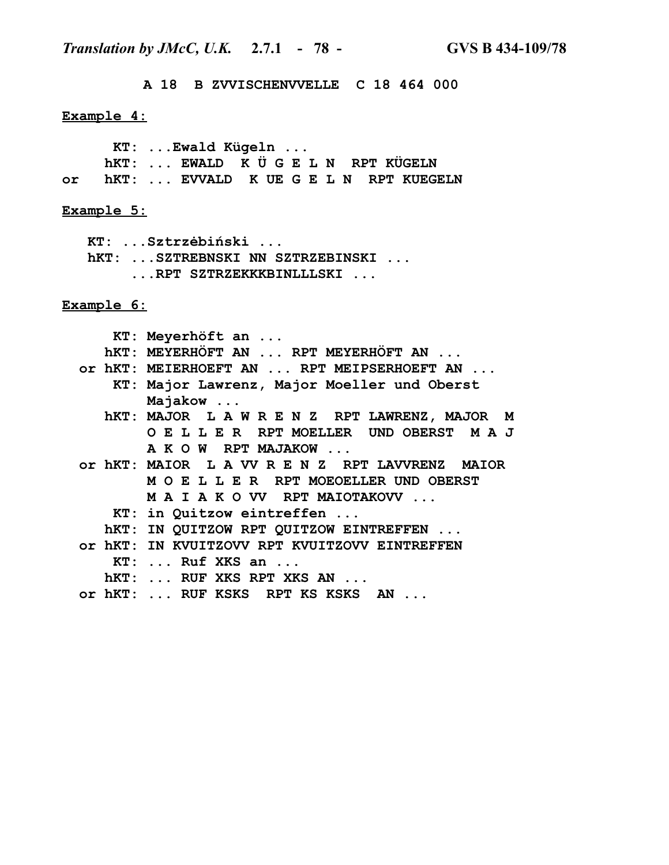*Translation by JMcC, U.K.* **2.7.1 - 78 - GVS B 434-109/78**

 **A 18 B ZVVISCHENVVELLE C 18 464 000**

#### **Example 4:**

 **KT: ...Ewald Kügeln ... hKT: ... EWALD K Ü G E L N RPT KÜGELN or hKT: ... EVVALD K UE G E L N RPT KUEGELN**

#### **Example 5:**

 **KT: ...Sztrzėbiński ... hKT: ...SZTREBNSKI NN SZTRZEBINSKI ...**

 **...RPT SZTRZEKKKBINLLLSKI ...**

**Example 6:**

 **KT: Meyerhöft an ...**

- **hKT: MEYERHÖFT AN ... RPT MEYERHÖFT AN ...**
- **or hKT: MEIERHOEFT AN ... RPT MEIPSERHOEFT AN ...**

 **KT: Major Lawrenz, Major Moeller und Oberst Majakow ...**

- **hKT: MAJOR L A W R E N Z RPT LAWRENZ, MAJOR M O E L L E R RPT MOELLER UND OBERST M A J A K O W RPT MAJAKOW ...**
- **or hKT: MAIOR L A VV R E N Z RPT LAVVRENZ MAIOR M O E L L E R RPT MOEOELLER UND OBERST M A I A K O VV RPT MAIOTAKOVV ...**
	- **KT: in Quitzow eintreffen ...**
	- **hKT: IN QUITZOW RPT QUITZOW EINTREFFEN ...**
- **or hKT: IN KVUITZOVV RPT KVUITZOVV EINTREFFEN**
	- **KT: ... Ruf XKS an ...**
	- **hKT: ... RUF XKS RPT XKS AN ...**
- **or hKT: ... RUF KSKS RPT KS KSKS AN ...**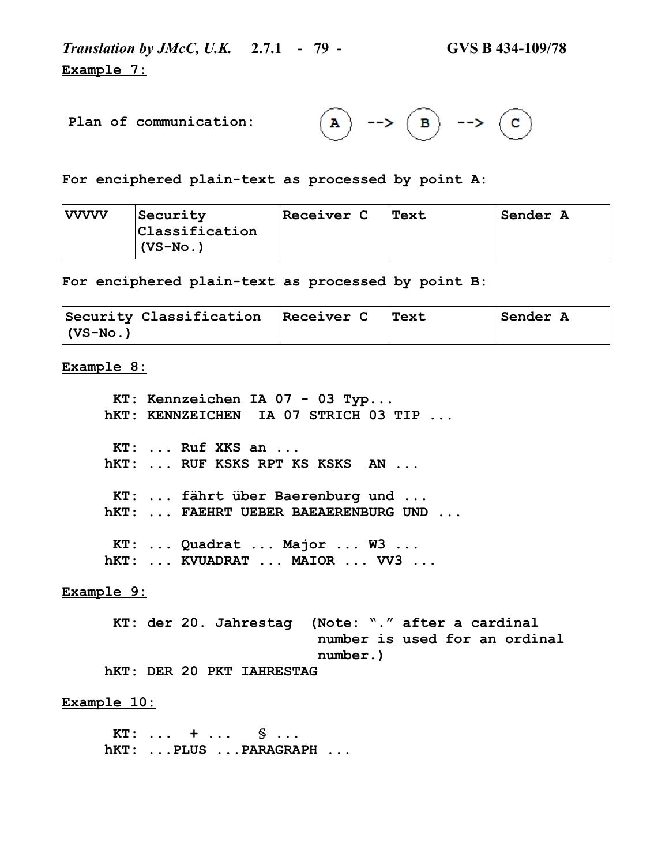*Translation by JMcC, U.K.* **2.7.1 - 79 - GVS B 434-109/78 Example 7:**

**Plan of communication:**

 $\rightarrow$   $($ B $)$  -->  $\mathbf{A}$  $\left( \, {\bf c} \, \right)$ 

**For enciphered plain-text as processed by point A:**

| vvvvv | Security                 | <b>Receiver C</b> | Text | <b>Sender A</b> |
|-------|--------------------------|-------------------|------|-----------------|
|       | $ {\tt Classification} $ |                   |      |                 |
|       | $(VS-NO.)$               |                   |      |                 |

**For enciphered plain-text as processed by point B:**

| Security Classification Receiver C | Text | Sender A |
|------------------------------------|------|----------|
| $(VS-No.)$                         |      |          |

**Example 8:**

 **KT: Kennzeichen IA 07 - 03 Typ... hKT: KENNZEICHEN IA 07 STRICH 03 TIP ... KT: ... Ruf XKS an ... hKT: ... RUF KSKS RPT KS KSKS AN ... KT: ... fährt über Baerenburg und ... hKT: ... FAEHRT UEBER BAEAERENBURG UND ... KT: ... Quadrat ... Major ... W3 ... hKT: ... KVUADRAT ... MAIOR ... VV3 ...**

**Example 9:**

 **KT: der 20. Jahrestag (Note: "." after a cardinal number is used for an ordinal number.) hKT: DER 20 PKT IAHRESTAG**

**Example 10:**

 **KT: ... + ... § ... hKT: ...PLUS ...PARAGRAPH ...**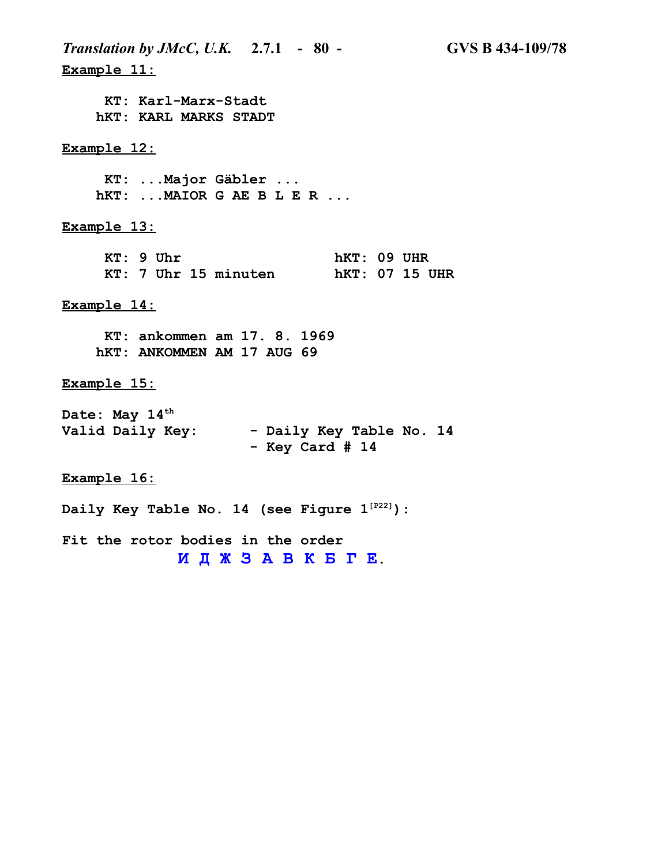*Translation by JMcC, U.K.* **2.7.1 - 80 - GVS B 434-109/78 Example 11: KT: Karl-Marx-Stadt hKT: KARL MARKS STADT Example 12: KT: ...Major Gäbler ... hKT: ...MAIOR G AE B L E R ... Example 13: KT: 9 Uhr hKT: 09 UHR KT: 7 Uhr 15 minuten hKT: 07 15 UHR Example 14: KT: ankommen am 17. 8. 1969 hKT: ANKOMMEN AM 17 AUG 69 Example 15: Date: May 14th** Valid Daily Key: - Daily Key Table No. 14  **- Key Card # 14 Example 16: Daily Key Table No. 14 (see Figure 1[P22]): Fit the rotor bodies in the order**

**И Д Ж З А В К Б Г Е.**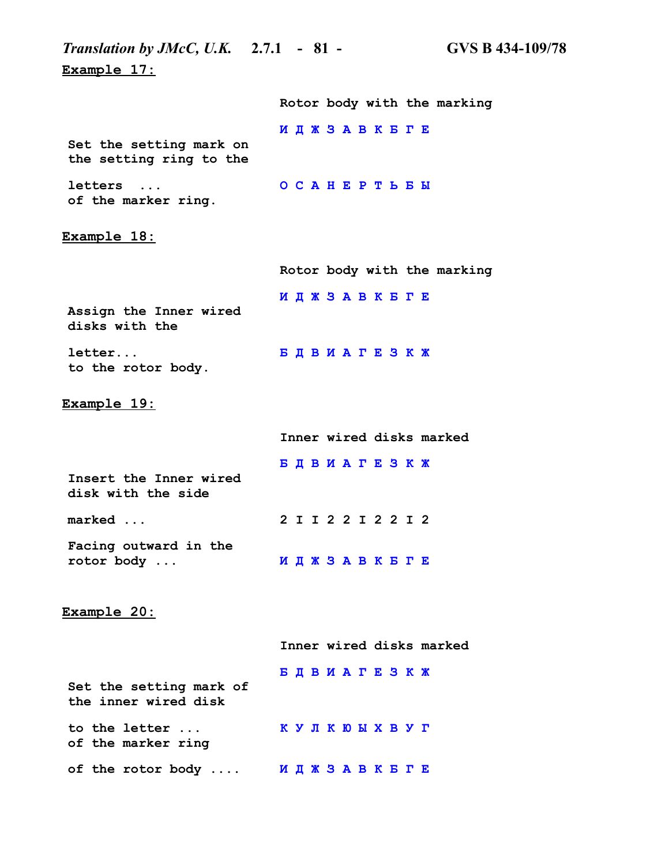| <i>Translation by JMcC, U.K.</i> 2.7.1 - 81 -      |                             | <b>GVS B 434-109/78</b> |
|----------------------------------------------------|-----------------------------|-------------------------|
| Example 17:                                        |                             |                         |
|                                                    | Rotor body with the marking |                         |
| Set the setting mark on<br>the setting ring to the | ИДЖЗАВКБГЕ                  |                         |
| letters<br>$\ddots$<br>of the marker ring.         | <b>OCAHEPTLEM</b>           |                         |
| Example 18:                                        |                             |                         |
|                                                    | Rotor body with the marking |                         |
| Assign the Inner wired<br>disks with the           | ИДЖЗАВКБГЕ                  |                         |
| letter<br>to the rotor body.                       | БДВИАГЕЗКЖ                  |                         |
| <u>Example 19:</u>                                 |                             |                         |
|                                                    | Inner wired disks marked    |                         |
| Insert the Inner wired<br>disk with the side       | БДВИАГЕЗКЖ                  |                         |
| marked                                             | 2 I I 2 2 I 2 2 I 2         |                         |
| Facing outward in the<br>rotor body                | ИДЖЗАВКБГЕ                  |                         |
| Example 20:                                        |                             |                         |
|                                                    | Inner wired disks marked    |                         |
| Set the setting mark of<br>the inner wired disk    | БДВИАГЕЗКЖ                  |                         |
| to the letter<br>of the marker ring                | K Y J K K B X B Y T         |                         |
| of the rotor body                                  | иджзавквге                  |                         |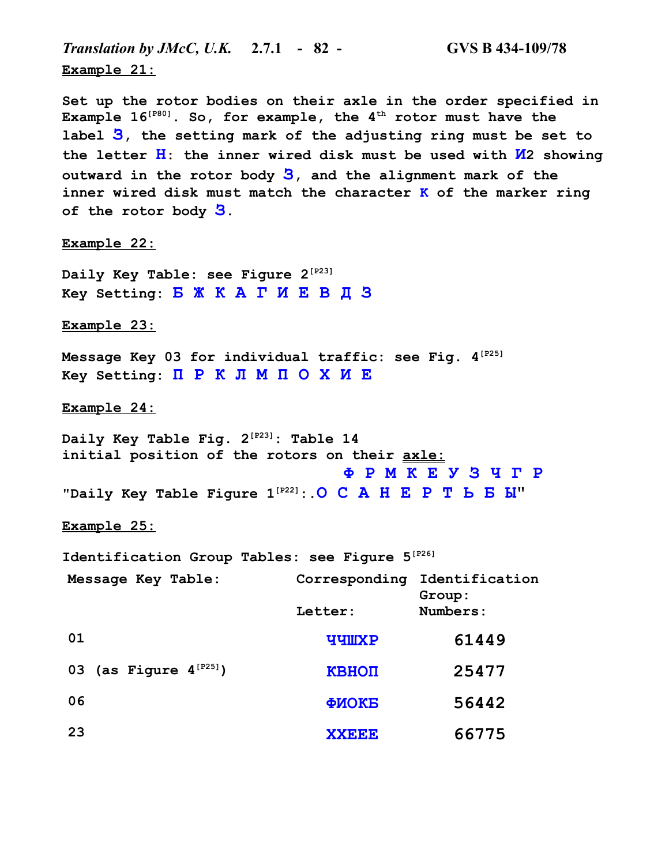*Translation by JMcC, U.K.* **2.7.1 - 82 - GVS B 434-109/78 Example 21:**

**Set up the rotor bodies on their axle in the order specified in Example 16[P80]. So, for example, the 4th rotor must have the label З, the setting mark of the adjusting ring must be set to the letter Н: the inner wired disk must be used with И2 showing outward in the rotor body З, and the alignment mark of the inner wired disk must match the character K of the marker ring of the rotor body З.**

**Example 22:**

**Daily Key Table: see Figure 2[P23] Key Setting: Б Ж К А Г И Е В Д З**

**Example 23:**

**Message Key 03 for individual traffic: see Fig. 4[P25] Key Setting: П Р К Л М П О Х И Е**

**Example 24:**

**Daily Key Table Fig. 2[P23]: Table 14 initial position of the rotors on their axle: Ф Р М К Е У З Ч Г Р "Daily Key Table Figure 1[P22]:.О С А Н Е Р Т Ь Б Ы"**

**Example 25:**

**Identification Group Tables: see Figure 5[P26]**

| Message Key Table:          |              | Corresponding Identification<br>Group: |
|-----------------------------|--------------|----------------------------------------|
|                             | Letter:      | Numbers:                               |
| 01                          | <b>YYMXP</b> | 61449                                  |
| 03 (as Figure $4^{[P25]}$ ) | КВНОП        | 25477                                  |
| 06                          | ФИОКБ        | 56442                                  |
| 23                          | <b>XXEEE</b> | 66775                                  |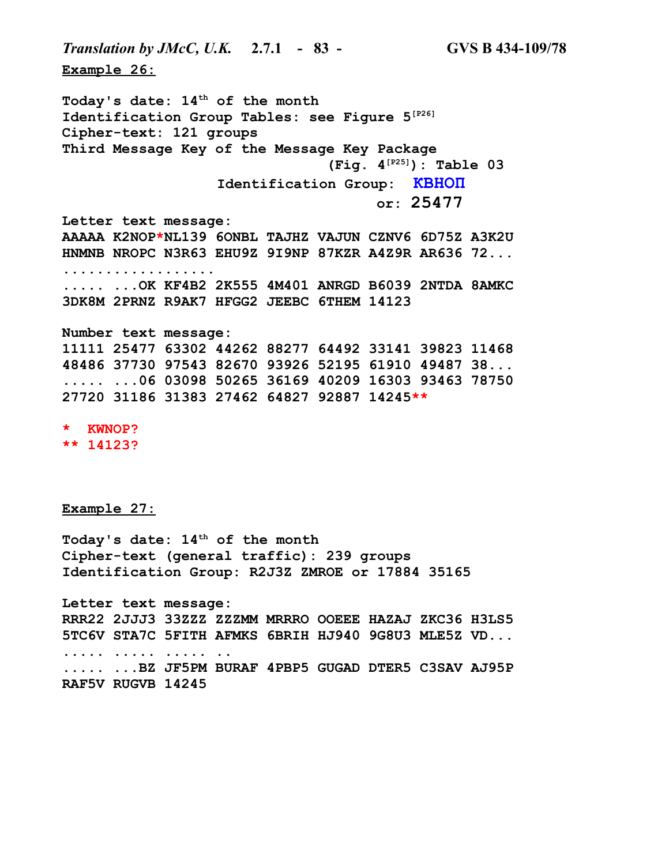**Example 26: Today's date: 14th of the month Identification Group Tables: see Figure 5[P26] Cipher-text: 121 groups Third Message Key of the Message Key Package (Fig. 4[P25]): Table 03 Identification Group: КВНОП or: 25477 Letter text message: AAAAA K2NOP\*NL139 6ONBL TAJHZ VAJUN CZNV6 6D75Z A3K2U HNMNB NROPC N3R63 EHU9Z 9I9NP 87KZR A4Z9R AR636 72... .................. ..... ...OK KF4B2 2K555 4M401 ANRGD B6039 2NTDA 8AMKC 3DK8M 2PRNZ R9AK7 HFGG2 JEEBC 6THEM 14123 Number text message: 11111 25477 63302 44262 88277 64492 33141 39823 11468 48486 37730 97543 82670 93926 52195 61910 49487 38... ..... ...06 03098 50265 36169 40209 16303 93463 78750 27720 31186 31383 27462 64827 92887 14245\*\* \* KWNOP?**

*Translation by JMcC, U.K.* **2.7.1 - 83 - GVS B 434-109/78**

**\*\* 14123?**

**Example 27:**

**Today's date: 14th of the month Cipher-text (general traffic): 239 groups Identification Group: R2J3Z ZMROE or 17884 35165**

**Letter text message: RRR22 2JJJ3 33ZZZ ZZZMM MRRRO OOEEE HAZAJ ZKC36 H3LS5 5TC6V STA7C 5FITH AFMKS 6BRIH HJ940 9G8U3 MLE5Z VD... ..... ..... ..... .. ..... ...BZ JF5PM BURAF 4PBP5 GUGAD DTER5 C3SAV AJ95P RAF5V RUGVB 14245**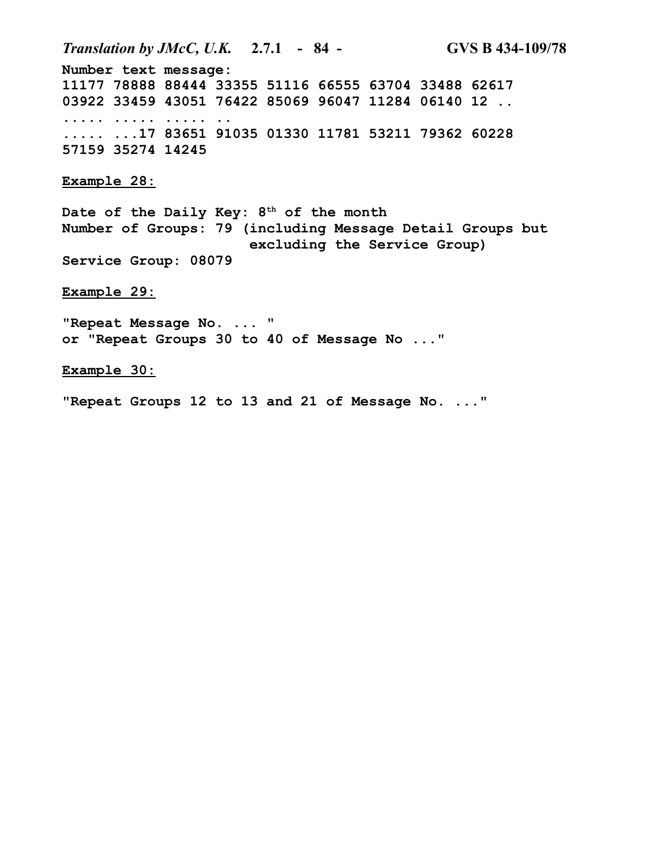*Translation by JMcC, U.K.* **2.7.1 - 84 - GVS B 434-109/78 Number text message: 11177 78888 88444 33355 51116 66555 63704 33488 62617 03922 33459 43051 76422 85069 96047 11284 06140 12 .. ..... ..... ..... .. ..... ...17 83651 91035 01330 11781 53211 79362 60228 57159 35274 14245 Example 28: Date of the Daily Key: 8th of the month Number of Groups: 79 (including Message Detail Groups but excluding the Service Group) Service Group: 08079 Example 29: "Repeat Message No. ... " or "Repeat Groups 30 to 40 of Message No ..." Example 30: "Repeat Groups 12 to 13 and 21 of Message No. ..."**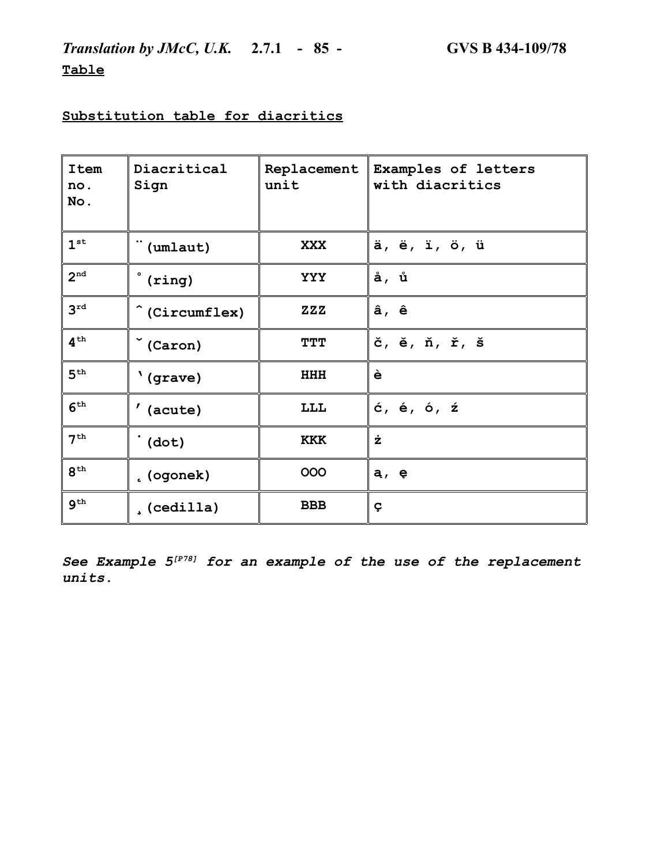*Translation by JMcC, U.K.* **2.7.1 - 85 - GVS B 434-109/78 Table**

# **Substitution table for diacritics**

| <b>Item</b><br>no.<br>No. | Diacritical<br>Sign  | Replacement<br>unit      | Examples of letters<br>with diacritics |
|---------------------------|----------------------|--------------------------|----------------------------------------|
| 1 <sup>st</sup>           | <br>(umlaut)         | <b>XXX</b>               | ä, ë, ï, ö, ü                          |
| 2 <sup>nd</sup>           | (ring)               | <b>YYY</b>               | å, ů                                   |
| 3 <sup>rd</sup>           | (Circumflex)         | $\mathbf{ZZ} \mathbf{Z}$ | â, ê                                   |
| $4^{\text{th}}$           | $\check{\ }$ (Caron) | TTT                      | č, ě, ň, ř, š                          |
| 5 <sup>th</sup>           | '(grave)             | <b>HHH</b>               | è                                      |
| 6 <sup>th</sup>           | $'$ (acute)          | LLL                      | ć, é, ó, ź                             |
| 7 <sup>th</sup>           | $\dot{d}$ (dot)      | <b>KKK</b>               | ż                                      |
| $8^{\text{th}}$           | . (ogonek)           | 000                      | a, e                                   |
| 9 <sup>th</sup>           | (cedilla)            | <b>BBB</b>               | Ç                                      |

*See Example 5[P78] for an example of the use of the replacement units.*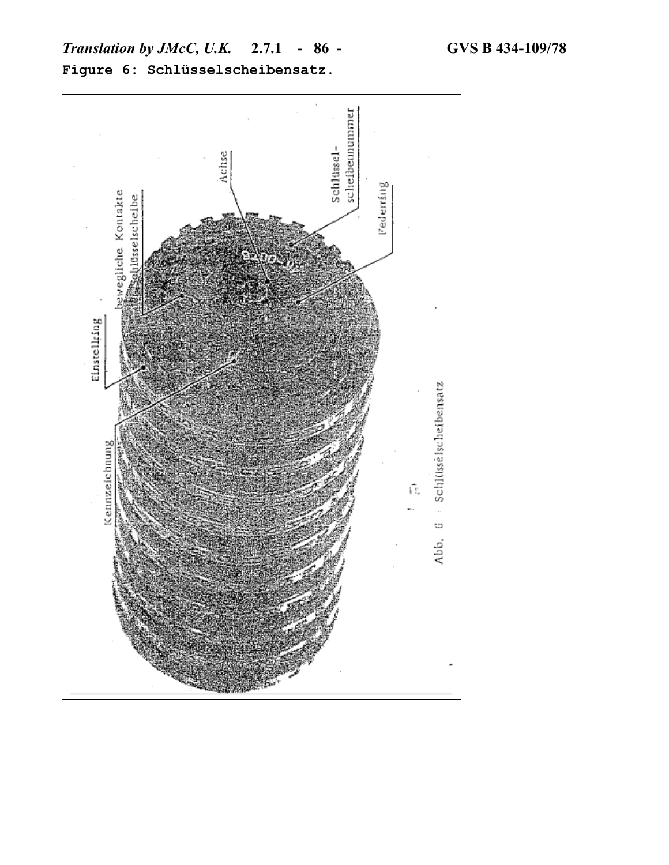

**Figure 6: Schlüsselscheibensatz.**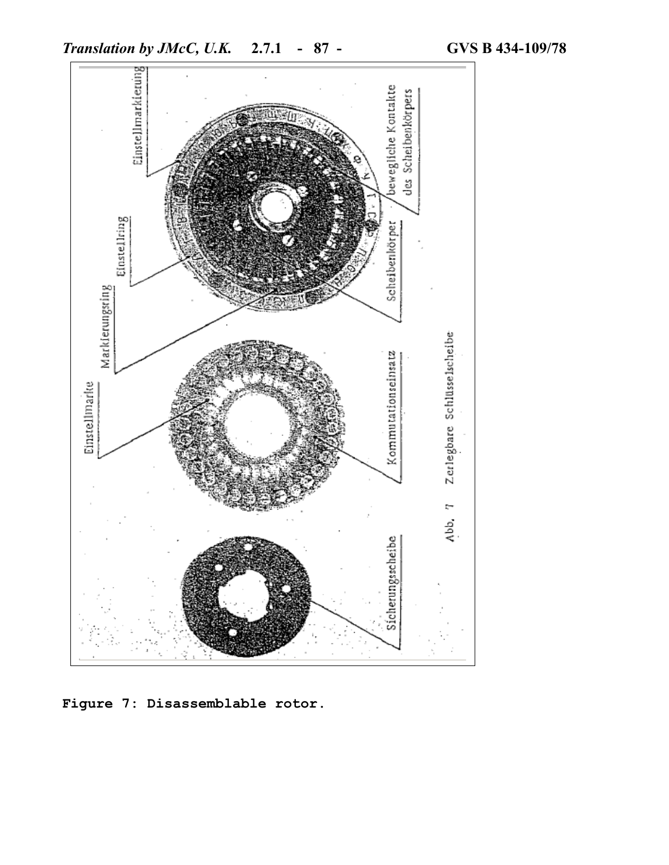

**Figure 7: Disassemblable rotor.**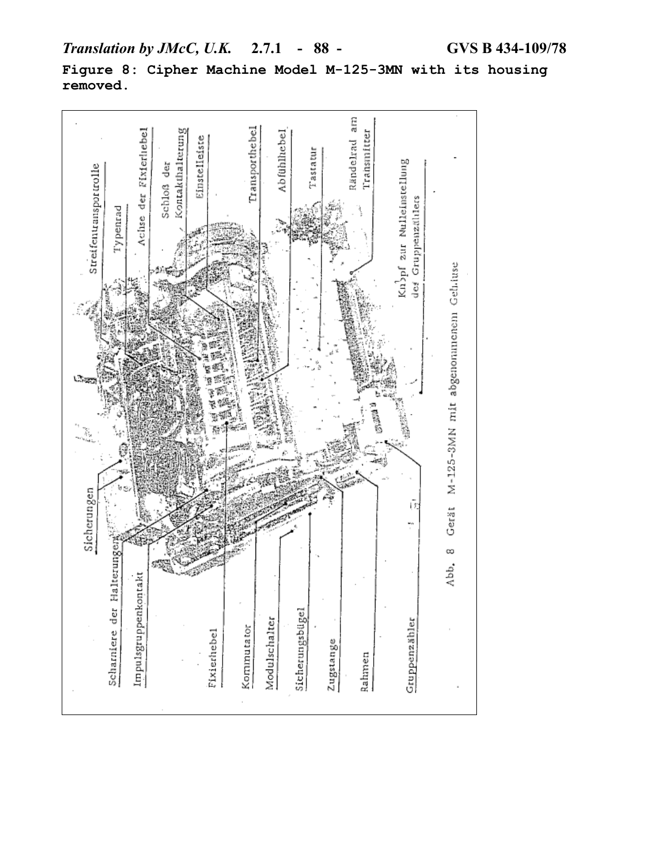

**Figure 8: Cipher Machine Model M-125-3MN with its housing removed.**

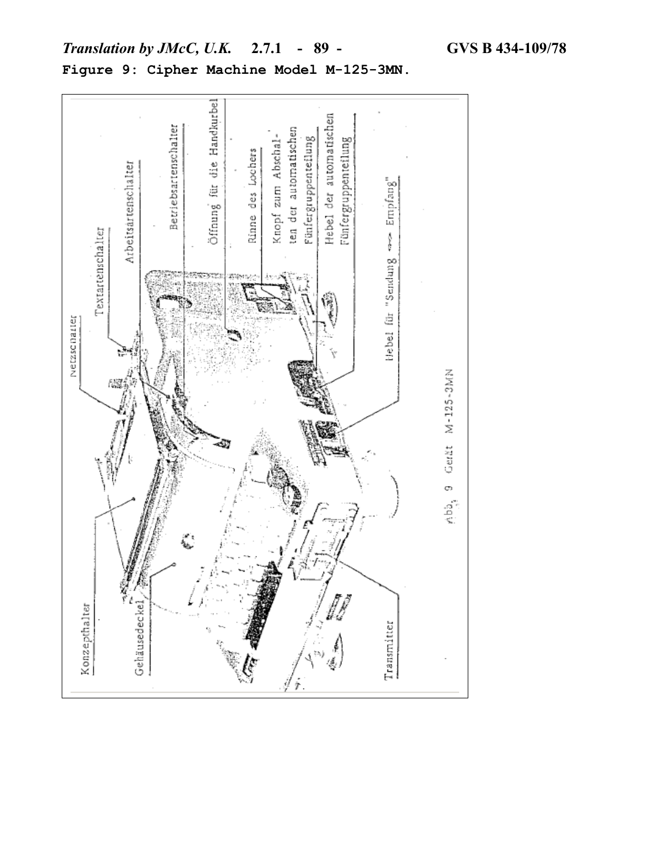

# *Translation by JMcC, U.K.* **2.7.1 - 89 - GVS B 434-109/78 Figure 9: Cipher Machine Model M-125-3MN.**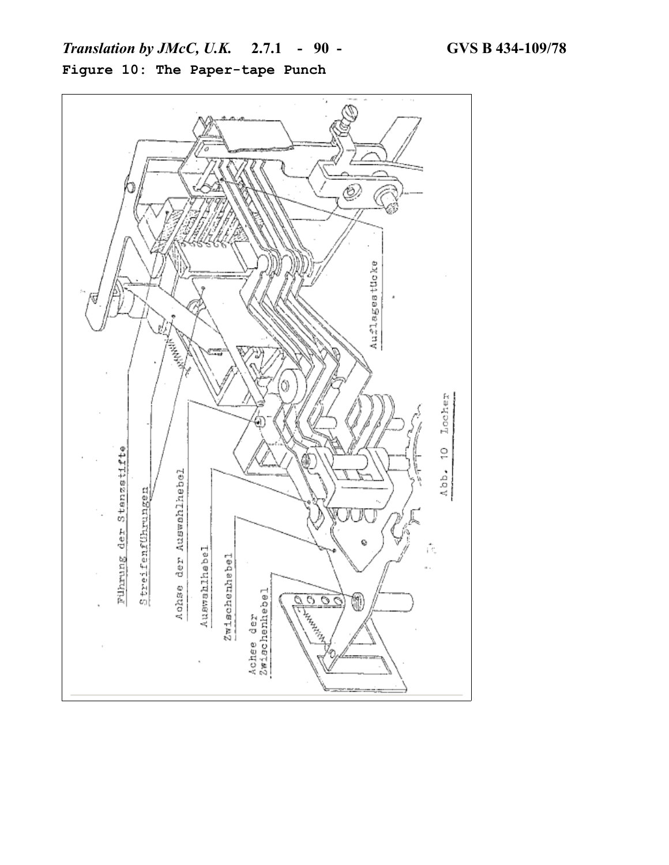

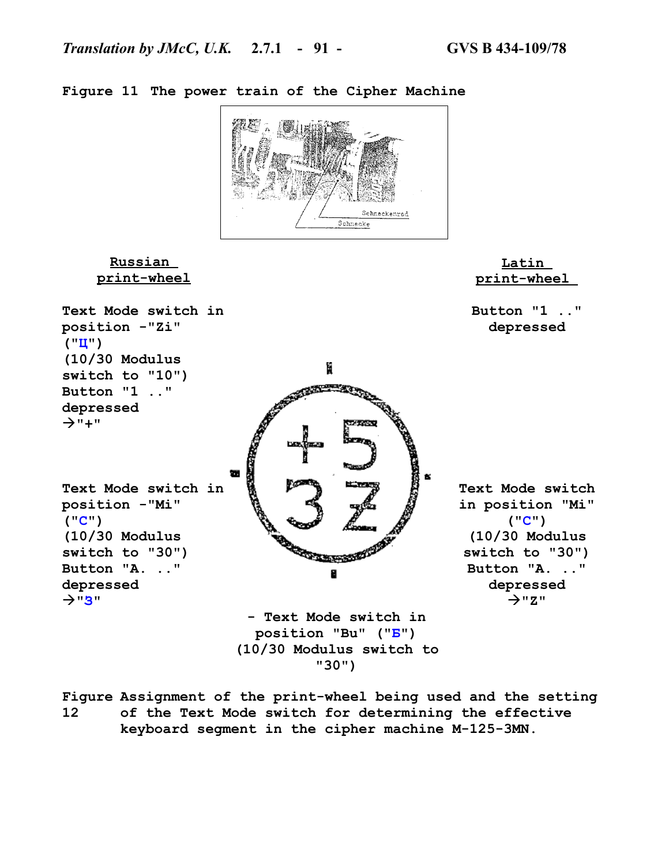

**Figure 11 The power train of the Cipher Machine**

**Figure Assignment of the print-wheel being used and the setting 12 of the Text Mode switch for determining the effective keyboard segment in the cipher machine M-125-3MN.**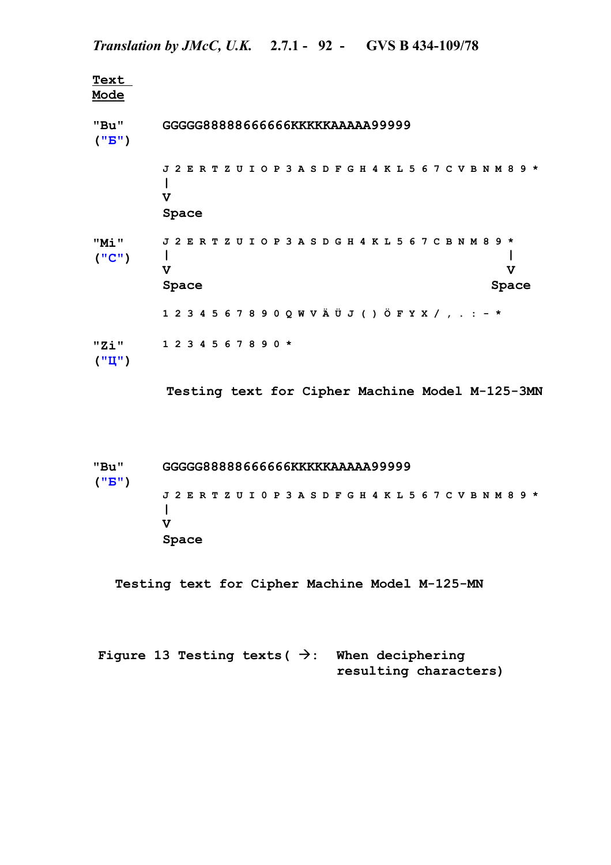**Text Mode "Bu" ("Б") GGGGG88888666666KKKKKAAAAA99999 J 2 E R T Z U I O P 3 A S D F G H 4 K L 5 6 7 C V B N M 8 9 \* | V Space "Mi" ("С") J 2 E R T Z U I O P 3 A S D G H 4 K L 5 6 7 C B N M 8 9 \* | | V V** Space Space Space Space Space Space Space Space Space Space Space Space Space Space Space Space Space Space Space Space Space Space Space Space Space Space Space Space Space Space Space Space Space Space Space Space Space **1 2 3 4 5 6 7 8 9 0 Q W V Ä Ü J ( ) Ö F Y X / , . : - \* "Zi" ("Ц") 1 2 3 4 5 6 7 8 9 0 \***

**Testing text for Cipher Machine Model M-125-3MN**

**"Bu" ("Б") GGGGG88888666666KKKKKAAAAA99999 J 2 E R T Z U I 0 P 3 A S D F G H 4 K L 5 6 7 C V B N M 8 9 \* | V Space**

 **Testing text for Cipher Machine Model M-125-MN**

Figure 13 Testing texts ( $\rightarrow$ : When deciphering **resulting characters)**

# *Translation by JMcC, U.K.* **2.7.1 - 92 - GVS B 434-109/78**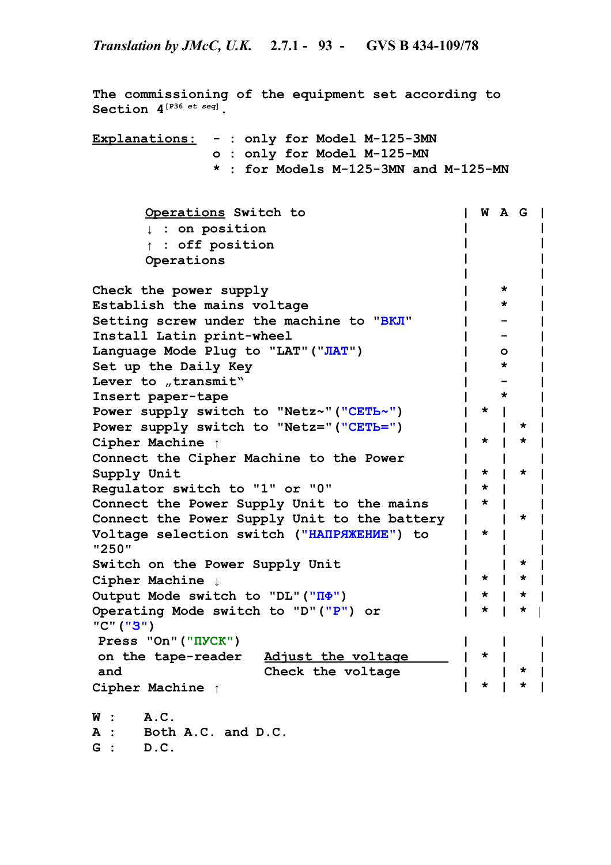**The commissioning of the equipment set according to Section 4[P36** *et seq***]. Explanations: - : only for Model M-125-3MN o : only for Model M-125-MN \* : for Models M-125-3MN and M-125-MN Operations Switch to ↓ : on position ↑ : off position Operations | | | | | W A G | | | | | Check the power supply | \* | Establish the mains voltage | \* | Setting screw under the machine to "ВКЛ" | - | Install Latin print-wheel | - | Language Mode Plug to "LAT"("ЛАТ") | o | Set up the Daily Key | \* | Lever** to *"*transmit" **1 1 1 1 Insert paper-tape | \* | Power supply switch to "Netz~"("СЕТЬ~") | \* | | Power supply switch to "Netz="("СЕТЬ=") | | \* | Cipher Machine ↑ | \* | \* | Connect the Cipher Machine to the Power Supply Unit | | \* | | \* | | Regulator switch to "1" or "0" | \* | | Connect the Power Supply Unit to the mains | \* | | Connect the Power Supply Unit to the battery | | \* | Voltage selection switch ("НАПРЯЖЕНИЕ") to "250" | | \* | | | |** Switch on the Power Supply Unit  $|$   $|$   $|$   $|$   $|$   $|$ **Cipher Machine ↓ | \* | \* | Output Mode switch to "DL"("ПФ") | \* | \* | Operating Mode switch to "D"("Р") or "C"("З") | \* | \*** | **Press "On"("ПУСК") on the tape-reader and Adjust the voltage Check the voltage | | | \* | | | \* | | | Cipher Machine ↑ | \* | \* | W : A.C. A : Both A.C. and D.C. G : D.C.**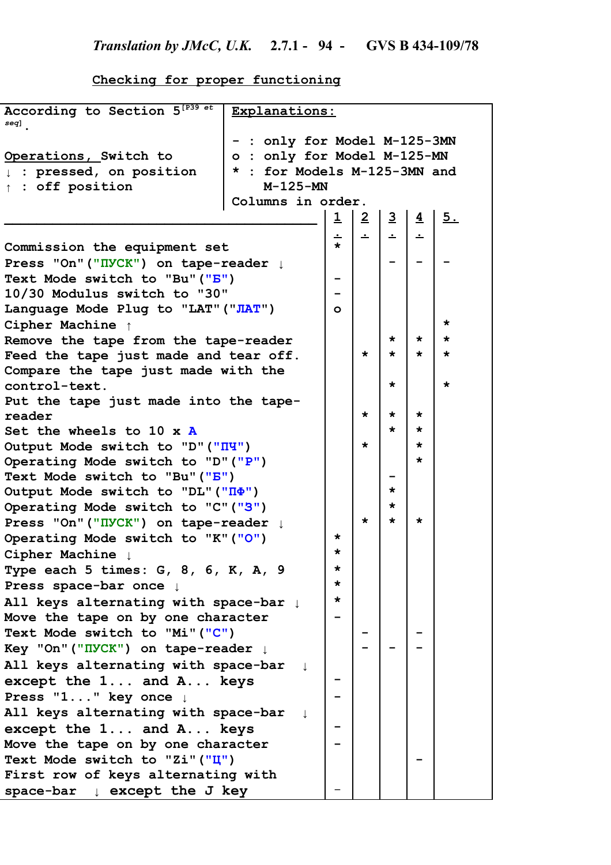**Checking for proper functioning**

| According to Section 5 <sup>[P39 et</sup><br>seq] | Explanations:                |                         |                |                |                |         |
|---------------------------------------------------|------------------------------|-------------------------|----------------|----------------|----------------|---------|
|                                                   | - : only for Model M-125-3MN |                         |                |                |                |         |
| Operations, Switch to                             | o : only for Model M-125-MN  |                         |                |                |                |         |
| : pressed, on position<br>$\mathbf{L}$            | * : for Models M-125-3MN and |                         |                |                |                |         |
| $\uparrow$ : off position                         | $M-125-MN$                   |                         |                |                |                |         |
|                                                   | Columns in order.            |                         |                |                |                |         |
|                                                   |                              | $\overline{\mathbf{1}}$ | $\overline{2}$ | $\overline{3}$ | $\overline{4}$ | 5.      |
|                                                   |                              |                         |                |                |                |         |
| Commission the equipment set                      |                              | ∸<br>$\star$            | ∸              | ∸              | ∸              |         |
| Press "On" ("IVCK") on tape-reader $\downarrow$   |                              |                         |                |                |                |         |
| Text Mode switch to "Bu" ("B")                    |                              |                         |                |                |                |         |
| 10/30 Modulus switch to "30"                      |                              |                         |                |                |                |         |
| Language Mode Plug to "LAT" ("JIAT")              |                              | $\circ$                 |                |                |                |         |
| Cipher Machine 1                                  |                              |                         |                |                |                | $\star$ |
| Remove the tape from the tape-reader              |                              |                         |                | $\star$        | *              | $\star$ |
| Feed the tape just made and tear off.             |                              |                         | $\star$        | $\star$        | *              | $\star$ |
| Compare the tape just made with the               |                              |                         |                |                |                |         |
| control-text.                                     |                              |                         |                | $\star$        |                | $\star$ |
| Put the tape just made into the tape-             |                              |                         |                |                |                |         |
| reader                                            |                              |                         | $\star$        | *              | $\star$        |         |
| Set the wheels to 10 $\times$ A                   |                              |                         |                | $\star$        | *              |         |
| Output Mode switch to "D" ("IIY")                 |                              |                         | $\star$        |                | *              |         |
| Operating Mode switch to "D" ("P")                |                              |                         |                |                | *              |         |
| Text Mode switch to "Bu" ("B")                    |                              |                         |                |                |                |         |
| Output Mode switch to "DL" ("II )                 |                              |                         |                | $\star$        |                |         |
| Operating Mode switch to "C" ("3")                |                              |                         |                | *              |                |         |
| Press "On" ("IVCK") on tape-reader $\downarrow$   |                              |                         | $\star$        | $\star$        | *              |         |
| Operating Mode switch to "K" ("O")                |                              | $\star$                 |                |                |                |         |
| Cipher Machine                                    |                              | $\star$                 |                |                |                |         |
| Type each 5 times: G, 8, 6, K, A, 9               |                              | $\star$                 |                |                |                |         |
| Press space-bar once $\downarrow$                 |                              | $\star$                 |                |                |                |         |
| All keys alternating with space-bar 1             |                              | *                       |                |                |                |         |
| Move the tape on by one character                 |                              |                         |                |                |                |         |
| Text Mode switch to "Mi" ("C")                    |                              |                         |                |                |                |         |
|                                                   |                              |                         |                |                |                |         |
| Key "On" ("IIVCK") on tape-reader ↓               |                              |                         |                |                |                |         |
| All keys alternating with space-bar               |                              |                         |                |                |                |         |
| except the 1 and A keys                           |                              |                         |                |                |                |         |
| Press "1" key once $\downarrow$                   |                              |                         |                |                |                |         |
| All keys alternating with space-bar               |                              |                         |                |                |                |         |
| except the 1 and A keys                           |                              |                         |                |                |                |         |
| Move the tape on by one character                 |                              |                         |                |                |                |         |
| Text Mode switch to "Zi" ("Ц")                    |                              |                         |                |                |                |         |
| First row of keys alternating with                |                              |                         |                |                |                |         |
| space-bar $\downarrow$ except the J key           |                              |                         |                |                |                |         |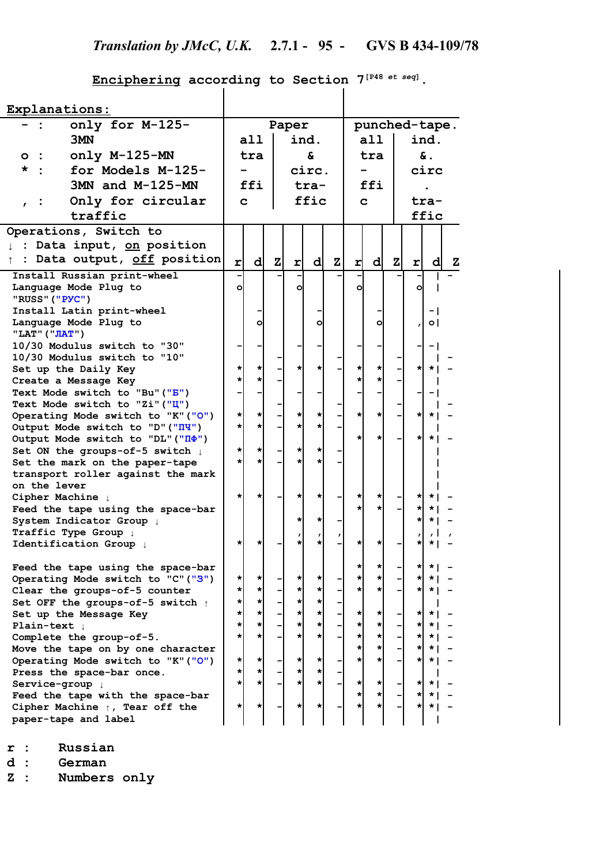# **Enciphering according to Section 7[P48** *et seq***].**

| Explanations:                                                       |           |          |              |                    |               |              |               |               |              |                |                      |   |
|---------------------------------------------------------------------|-----------|----------|--------------|--------------------|---------------|--------------|---------------|---------------|--------------|----------------|----------------------|---|
| only for M-125-                                                     |           | Paper    |              |                    | punched-tape. |              |               |               |              |                |                      |   |
| 3MN                                                                 |           | a11      |              |                    | ind.          |              |               | all           |              |                | ind.                 |   |
| only M-125-MN<br>$\circ\colon$                                      | £.<br>tra |          |              | & .<br>tra         |               |              |               |               |              |                |                      |   |
| $\star$ :<br>for Models M-125-                                      |           |          |              |                    | circ.         |              |               |               |              | circ           |                      |   |
| 3MN and M-125-MN                                                    |           | ffi      |              |                    | tra-          |              |               | ffi           |              |                |                      |   |
|                                                                     |           |          |              |                    |               |              |               |               |              |                |                      |   |
| Only for circular                                                   | C.        |          |              |                    | ffic          |              |               | C.            |              | tra-           |                      |   |
| traffic                                                             |           |          |              |                    |               |              |               |               |              |                | ffic                 |   |
| Operations, Switch to                                               |           |          |              |                    |               |              |               |               |              |                |                      |   |
| : Data input, on position<br>T.                                     |           |          |              |                    |               |              |               |               |              |                |                      |   |
| : Data output, off position<br>$\uparrow$                           | rl        | d        | $\mathbf{z}$ | r                  | d             | $\mathbf{z}$ | r             | d             | $\mathbf{z}$ | $\mathbf{r}$   | $\mathbf{d}$         | z |
| Install Russian print-wheel                                         |           |          |              |                    |               |              |               |               |              |                |                      |   |
| Language Mode Plug to                                               | o         |          |              | o                  |               |              | ol            |               |              | $\circ$        |                      |   |
| "RUSS" ("PYC")                                                      |           |          |              |                    |               |              |               |               |              |                |                      |   |
| Install Latin print-wheel                                           |           |          |              |                    |               |              |               |               |              |                | $-1$                 |   |
| Language Mode Plug to                                               |           | ٥        |              |                    | O             |              |               | o             |              |                | $\circ$              |   |
| "LAT" ("JIAT")<br>10/30 Modulus switch to "30"                      |           |          |              |                    |               |              |               |               |              |                |                      |   |
| 10/30 Modulus switch to "10"                                        |           |          |              |                    |               |              |               |               |              |                | - 1                  |   |
| Set up the Daily Key                                                | $\star$   | $^\star$ |              | $\star$            | *             |              | *             | $\star$       |              | ∗I             | $\star$              |   |
| Create a Message Key                                                | $\star$   | $\star$  |              |                    |               |              | *۱            | $\star$       |              |                |                      |   |
| Text Mode switch to "Bu" ("B")                                      |           |          |              |                    |               |              |               |               |              |                | - 1                  |   |
| Text Mode switch to "Zi" ("Ц")                                      |           |          |              |                    |               |              |               |               |              |                |                      |   |
| Operating Mode switch to "K" ("O")                                  | *         | *        |              | $\star$            | *             |              | *۱            | $\star$       |              | *              | $\star$              |   |
| Output Mode switch to "D" ("III")                                   | $\star$   | $\star$  |              | $\star$            | $\star$       |              |               |               |              |                |                      |   |
| Output Mode switch to "DL" ("II )                                   |           |          |              |                    |               |              | *۱            | 치             |              | $\star$        | * I                  |   |
| Set ON the groups-of-5 switch $\downarrow$                          | *         | *        |              | $\star$<br>$\star$ | $\star$       |              |               |               |              |                |                      |   |
| Set the mark on the paper-tape<br>transport roller against the mark |           |          |              |                    |               |              |               |               |              |                |                      |   |
| on the lever                                                        |           |          |              |                    |               |              |               |               |              |                |                      |   |
| Cipher Machine !                                                    | *         |          |              | $\star$            | *             |              | *l            | *             |              | *              | $\star$              |   |
| Feed the tape using the space-bar                                   |           |          |              |                    |               |              | *۱            | $\star$       |              |                | *                    |   |
| System Indicator Group !                                            |           |          |              | $\star$            | *             |              |               |               |              |                | * I                  |   |
| Traffic Type Group $\downarrow$                                     |           |          |              |                    |               |              |               |               |              |                |                      |   |
| Identification Group !                                              | *         | $\star$  |              | *                  | $\star$       |              | *۱            | $\star$       |              |                | * I                  |   |
| Feed the tape using the space-bar                                   |           |          |              |                    |               |              | $^\star$      |               |              | $\star$        | $\star$              |   |
| Operating Mode switch to "C" ("3")                                  | *         |          |              |                    |               |              | *             | $\star$       |              | $\star$        | $\star$              |   |
| Clear the groups-of-5 counter                                       | *         |          |              | *                  | $\star$       |              | *۱            | *۱            |              | *              | * I                  |   |
| Set OFF the groups-of-5 switch $\uparrow$                           | *         | $\star$  |              |                    | $\star$       |              |               |               |              |                |                      |   |
| Set up the Message Key                                              | *<br>*    | *<br>*   |              | *                  | $\star$<br>*  |              | *l<br>$\star$ | * <br>$\star$ |              | * <br>$^\star$ | $\star$  <br>$\star$ |   |
| Plain-text $\downarrow$<br>Complete the group-of-5.                 | $\star$   | $\star$  |              | $\star$            | $\star$       |              | *۱            | $\star$       |              | $\star$        | * I                  |   |
| Move the tape on by one character                                   |           |          |              |                    |               |              | *۱            | $\star$       |              | $\star$        | * I                  |   |
| Operating Mode switch to "K" ("O")                                  | $\star$   | $\star$  |              | $\star$            | $^\star$      |              | *۱            | *۱            |              | *              | * I                  |   |
| Press the space-bar once.                                           | $\star$   | *        |              | $\star$            | $\star$       |              |               |               |              |                |                      |   |
| Service-group                                                       | $\star$   | $\star$  |              | $\star$            | $\star$       |              | *۱            | $\star$       |              | $\star$        | $\star$ 1            |   |
| Feed the tape with the space-bar                                    |           |          |              |                    |               |              | *۱            | *۱            |              | $\star$        | * 1                  |   |
| Cipher Machine $\uparrow$ , Tear off the                            | *         |          |              | $\star$            | *             |              | ∗l            | *۱            |              | $\star$        | *                    |   |
| paper-tape and label                                                |           |          |              |                    |               |              |               |               |              |                |                      |   |

**r : Russian**

**d : German**

**Z : Numbers only**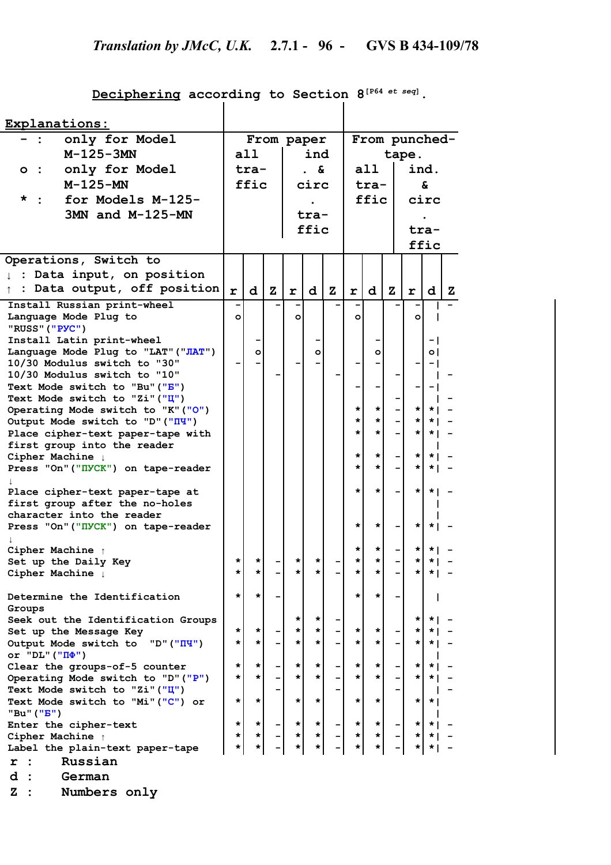# **Deciphering according to Section 8[P64** *et seq***].**

| Explanations:                                                |         |         |              |            |         |           |               |         |           |        |              |   |  |
|--------------------------------------------------------------|---------|---------|--------------|------------|---------|-----------|---------------|---------|-----------|--------|--------------|---|--|
| only for Model                                               |         |         |              | From paper |         |           | From punched- |         |           |        |              |   |  |
| $M-125-3MN$                                                  |         | a11     |              | ind        |         |           | tape.         |         |           |        |              |   |  |
| only for Model<br>$\circ\colon$                              |         | tra-    |              |            | &.      |           | a11           |         |           |        | ind.         |   |  |
| $M-125-MN$                                                   |         | ffic    |              |            | circ    |           |               |         |           |        | <u>&amp;</u> |   |  |
|                                                              |         |         |              |            |         |           |               | tra-    |           |        |              |   |  |
| for Models M-125-<br>*                                       |         |         |              |            |         |           |               | ffic    |           |        | circ         |   |  |
| 3MN and M-125-MN                                             |         |         |              |            | tra-    |           |               |         |           |        |              |   |  |
|                                                              |         |         |              |            | ffic    |           |               |         |           |        | tra-         |   |  |
|                                                              |         |         |              |            |         |           |               |         |           |        | ffic         |   |  |
| Operations, Switch to                                        |         |         |              |            |         |           |               |         |           |        |              |   |  |
| Data input, on position<br>$\ddot{\cdot}$                    |         |         |              |            |         |           |               |         |           |        |              |   |  |
| Data output, off position                                    |         |         |              |            |         |           |               |         |           |        |              |   |  |
|                                                              | r       | d       | $\mathbf{z}$ | r          | d       | ${\bf z}$ | r             | d       | ${\bf z}$ | r      | d            | z |  |
| Install Russian print-wheel                                  |         |         |              |            |         |           |               |         |           |        |              |   |  |
| Language Mode Plug to                                        | $\circ$ |         |              | O          |         |           | $\circ$       |         |           | O      |              |   |  |
| "RUSS" ("PYC")                                               |         |         |              |            |         |           |               |         |           |        |              |   |  |
| Install Latin print-wheel                                    |         |         |              |            |         |           |               |         |           |        | - 1          |   |  |
| Language Mode Plug to "LAT" ("JIAT")                         |         | $\circ$ |              |            | $\circ$ |           |               | $\circ$ |           |        | οI           |   |  |
| 10/30 Modulus switch to "30"<br>10/30 Modulus switch to "10" |         |         |              |            |         |           |               |         |           |        | - 1          |   |  |
| Text Mode switch to "Bu" ("B")                               |         |         |              |            |         |           |               |         |           |        |              |   |  |
| Text Mode switch to "Zi" ("I")                               |         |         |              |            |         |           |               |         |           |        | - 1          |   |  |
| Operating Mode switch to "K" ("O")                           |         |         |              |            |         |           | *             | *       |           | *      |              |   |  |
| Output Mode switch to "D" ("III")                            |         |         |              |            |         |           | *             | $\star$ |           | *      | * 1          |   |  |
| Place cipher-text paper-tape with                            |         |         |              |            |         |           | *             | *       |           | *      | * I          |   |  |
| first group into the reader                                  |         |         |              |            |         |           |               |         |           |        |              |   |  |
| Cipher Machine $\downarrow$                                  |         |         |              |            |         |           | *             | *       |           | *      | $\star$ 1    |   |  |
| Press "On" ("IIVCK") on tape-reader                          |         |         |              |            |         |           | $\star$       | *       |           | *      | * 1          |   |  |
|                                                              |         |         |              |            |         |           |               |         |           |        |              |   |  |
| Place cipher-text paper-tape at                              |         |         |              |            |         |           | *             | *       |           | *      | $\star$      |   |  |
| first group after the no-holes                               |         |         |              |            |         |           |               |         |           |        |              |   |  |
| character into the reader                                    |         |         |              |            |         |           |               |         |           |        |              |   |  |
| Press "On" ("IVCK") on tape-reader                           |         |         |              |            |         |           | *             | *       |           | *      | $\star$      |   |  |
|                                                              |         |         |              |            |         |           |               |         |           |        |              |   |  |
| Cipher Machine $\uparrow$                                    |         |         |              |            |         |           | *             | *       |           | *      |              |   |  |
| Set up the Daily Key                                         | *       | *       |              | *          | $\star$ |           | *             | *       |           | *      | * 1          |   |  |
| Cipher Machine !                                             | *       | *       |              | *          | *       |           | *             | *       |           | *      | * I          |   |  |
|                                                              |         |         |              |            |         |           |               |         |           |        |              |   |  |
| Determine the Identification                                 | *       | *       |              |            |         |           | *             | *       |           |        |              |   |  |
| Groups                                                       |         |         |              | *          |         |           |               |         |           |        |              |   |  |
| Seek out the Identification Groups                           | $\star$ | *       |              | *          | *<br>*  |           | *             | *       |           | *<br>* | * I          |   |  |
| Set up the Message Key<br>Output Mode switch to "D" ("IIY")  | $\star$ | *       |              | *          | *       |           | *             | *       |           | *      | ∗ ।          |   |  |
| or "DL" (" $\Pi\Phi$ ")                                      |         |         |              |            |         |           |               |         |           |        | ∗ ।          |   |  |
| Clear the groups-of-5 counter                                | *       | *       |              | *          | *       |           | *             | *       |           | *      | * 1          |   |  |
| Operating Mode switch to "D" ("P")                           | *       | *       |              | *          | $\star$ |           | *             | *       |           | *      | *            |   |  |
| Text Mode switch to "Zi"("Ц")                                |         |         |              |            |         |           |               |         |           |        |              |   |  |
| Text Mode switch to "Mi" ("C") or                            | *       | *       |              | *          | *       |           | $\star$       | *       |           | *      | * I          |   |  |
| "Bu" (" <mark>B"</mark> )                                    |         |         |              |            |         |           |               |         |           |        |              |   |  |
| Enter the cipher-text                                        | *       | *       |              | *          | *       |           | $\star$       | *       |           | *      | $\star$      |   |  |
| Cipher Machine $\uparrow$                                    | *       | *       |              | *          | *       |           | *             | *       |           | *      |              |   |  |
| Label the plain-text paper-tape                              | *       | *       |              | *          | *       |           | *             | *       |           |        |              |   |  |
| Russian<br>r                                                 |         |         |              |            |         |           |               |         |           |        |              |   |  |
| d<br>German                                                  |         |         |              |            |         |           |               |         |           |        |              |   |  |
|                                                              |         |         |              |            |         |           |               |         |           |        |              |   |  |

**Z : Numbers only**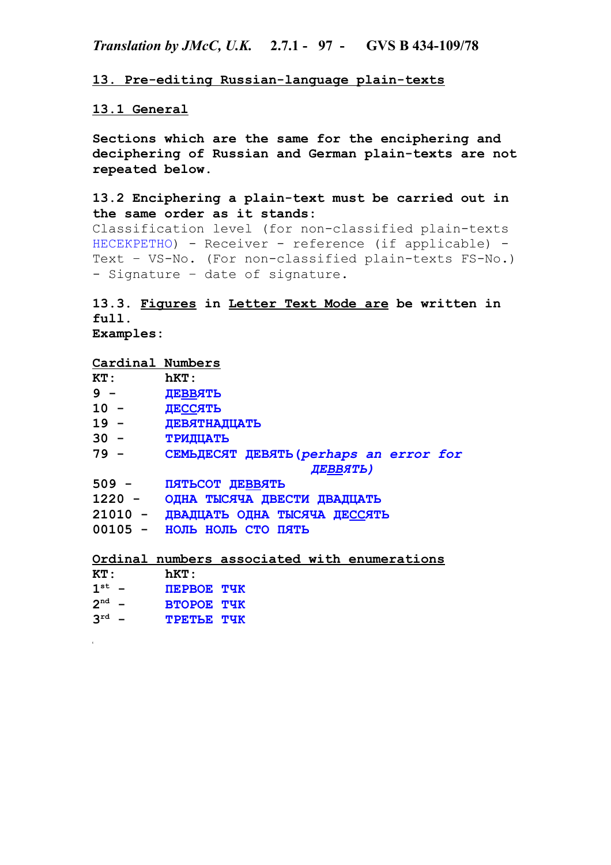*Translation by JMcC, U.K.* **2.7.1 - 97 - GVS B 434-109/78**

**13. Pre-editing Russian-language plain-texts**

# **13.1 General**

**Sections which are the same for the enciphering and deciphering of Russian and German plain-texts are not repeated below.**

# **13.2 Enciphering a plain-text must be carried out in the same order as it stands:**

Classification level (for non-classified plain-texts НЕСЕКРЕТНО) - Receiver - reference (if applicable) - Text – VS-No. (For non-classified plain-texts FS-No.) - Signature – date of signature.

# **13.3. Figures in Letter Text Mode are be written in full. Examples:**

### **Cardinal Numbers**

| $\mathtt{KT}$ : | hKT:                                         |
|-----------------|----------------------------------------------|
| $9 -$           | ДЕВВЯТЬ                                      |
| $10 -$          | ДЕССЯТЬ                                      |
| 19 -            | ДЕВЯТНАДЦАТЬ                                 |
| $30 -$          | <b>ТРИДЦАТЬ</b>                              |
| 79 -            | CEMLДЕСЯТ ДЕВЯТЬ (perhaps an error for       |
|                 | ДЕВВЯТЬ)                                     |
| 509 -           | ПЯТЬСОТ ДЕВВЯТЬ                              |
| 1220 -          | ОДНА ТЫСЯЧА ДВЕСТИ ДВАДЦАТЬ                  |
|                 | 21010 - ДВАДЦАТЬ ОДНА ТЫСЯЧА ДЕССЯТЬ         |
|                 | 00105 - НОЛЬ НОЛЬ СТО ПЯТЬ                   |
|                 |                                              |
|                 | Ordinal numbers associated with enumerations |
| ---             | ----                                         |

| $\mathtt{KT}$ : | hKT: |  |
|-----------------|------|--|
|                 |      |  |

- $1^{\text{st}}$  **st - ПЕРВОЕ ТЧК**
- **2 nd ВТОРОЕ ТЧК**
- **3 rd - ТРЕТЬЕ ТЧК**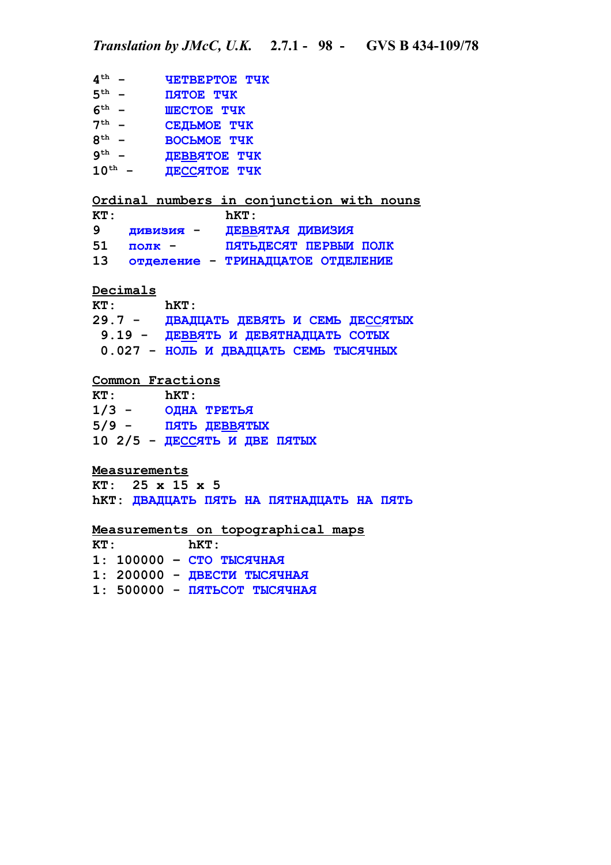```
4
th - ЧЕТВЕРТОЕ ТЧК
5
th - ПЯТОЕ ТЧК
6
th - ШЕСТОЕ ТЧК
7
th - СЕДЬМОЕ ТЧК
8
th - ВОСЬМОЕ ТЧК
9
th - ДЕВВЯТОЕ ТЧК
10th - ДЕССЯТОЕ ТЧК
Ordinal numbers in conjunction with nouns
KT: hKT:
9 дивизия - ДЕВВЯТАЯ ДИВИЗИЯ
51 полк - ПЯТЬДЕСЯТ ПЕРВЫИ ПОЛК
13 отделение - ТРИНАДЦАТОЕ ОТДЕЛЕНИЕ
Decimals
KT: hKT:
29.7 - ДВАДЦАТЬ ДЕВЯТЬ И СЕМЬ ДЕССЯТЫХ
 9.19 - ДЕВВЯТЬ И ДЕВЯТНАДЦАТЬ СОТЫХ
 0.027 - НОЛЬ И ДВАДЦАТЬ СЕМЬ ТЫСЯЧНЫХ
 Common Fractions
KT: hKT:
1/3 - ОДНА ТРЕТЬЯ
5/9 - ПЯТЬ ДЕВВЯТЫХ
10 2/5 - ДЕССЯТЬ И ДВЕ ПЯТЫХ
Measurements
KT: 25 x 15 x 5
hKT: ДВАДЦАТЬ ПЯТЬ НА ПЯТНАДЦАТЬ НА ПЯТЬ
Measurements on topographical maps
KT: hKT:
1: 100000 – CТО ТЫСЯЧНАЯ
1: 200000 - ДВЕСТИ ТЫСЯЧНАЯ
1: 500000 - ПЯТЬСОТ ТЫСЯЧНАЯ
```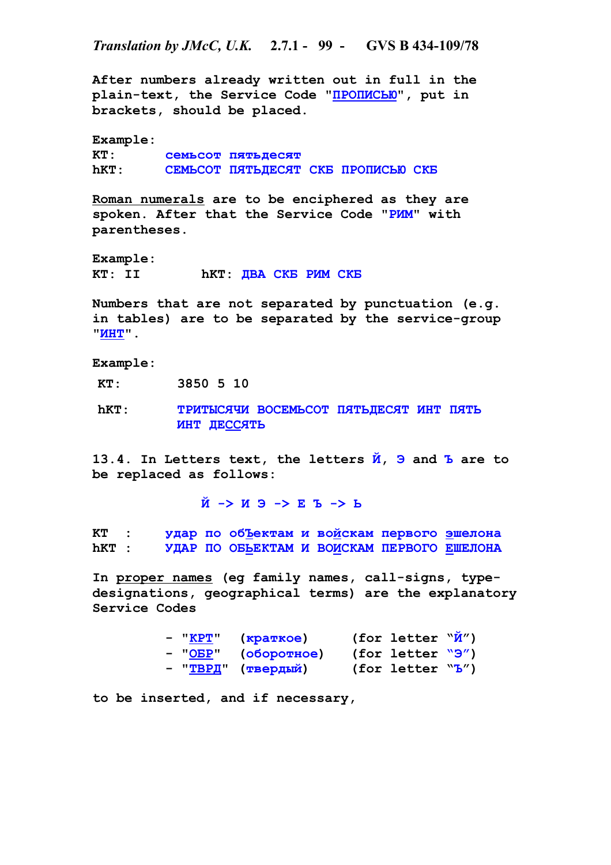*Translation by JMcC, U.K.* **2.7.1 - 99 - GVS B 434-109/78**

**After numbers already written out in full in the plain-text, the Service Code "ПРОПИСЬЮ", put in brackets, should be placed.**

**Example: KT: семьсот пятьдесят hKT: СЕМЬСОТ ПЯТЬДЕСЯТ СКБ ПРОПИСЬЮ СКБ**

**Roman numerals are to be enciphered as they are spoken. After that the Service Code "РИМ" with parentheses.**

**Example: KT: II hKT: ДВА СКБ РИМ СКБ**

**Numbers that are not separated by punctuation (e.g. in tables) are to be separated by the service-group "ИНТ".**

**Example:**

**KT: 3850 5 10**

**hKT: ТРИТЫСЯЧИ ВОСЕМЬСОТ ПЯТЬДЕСЯТ ИНТ ПЯТЬ ИНТ ДЕССЯТЬ**

**13.4. In Letters text, the letters Й, Э and Ъ are to be replaced as follows:**

**Й -> И Э -> Е Ъ -> Ь**

**KT : удар по обЪектам и войскам первого эшелона hKT : УДАР ПО ОБЬЕКТАМ И ВОИСКАМ ПЕРВОГО ЕШЕЛОНА**

**In proper names (eg family names, call-signs, typedesignations, geographical terms) are the explanatory Service Codes**

| - "KPT" | (краткое)           | (for letter $\mathbb{W}(M'')$ |  |
|---------|---------------------|-------------------------------|--|
|         | - "ОБР" (оборотное) | $(for$ letter $\sqrt{9}$ )    |  |
|         | - "ТВРД" (твердый)  | $(for$ letter $``b'')$        |  |

**to be inserted, and if necessary,**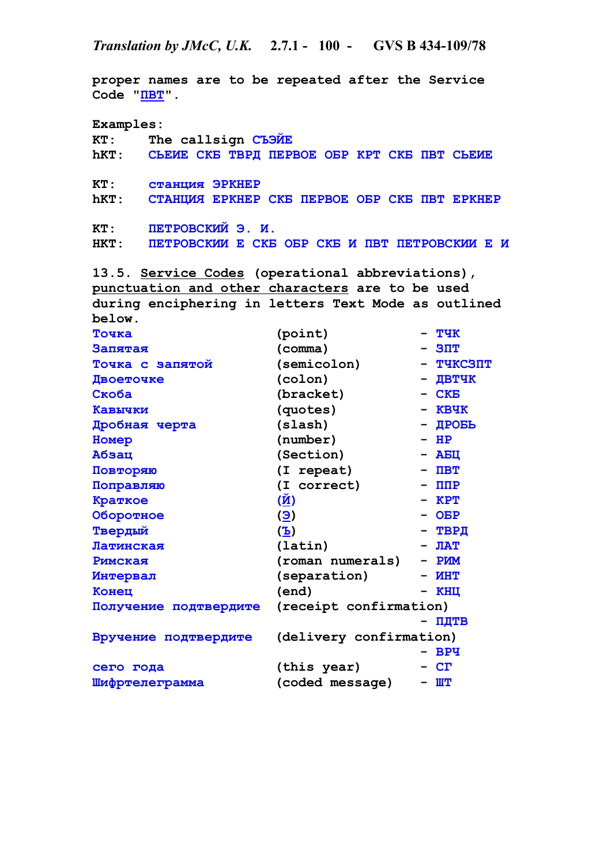**proper names are to be repeated after the Service Code "ПВТ". Examples: KT: The callsign СЪЭЙЕ hKT: СЬЕИЕ СКБ ТВРД ПЕРВОЕ ОБР КРТ СКБ ПВТ СЬЕИЕ KT: станция ЭРКНЕР hKT: СТАНЦИЯ ЕРКНЕР СКБ ПЕРВОЕ ОБР СКБ ПВТ ЕРКНЕР KT: ПЕТРОВСКИЙ Э. И. HKT: ПЕТРОВСКИИ Е СКБ ОБР СКБ И ПВТ ПЕТРОВСКИИ Е И 13.5. Service Codes (operational abbreviations), punctuation and other characters are to be used during enciphering in letters Text Mode as outlined below. Точка (point) - ТЧК Запятая (comma) - ЗПТ Точка с запятой (semicolon) - ТЧКСЗПТ Двоеточке (colon) - ДВТЧК Скоба (bracket) - СКБ Кавычки (quotes) - КВЧК Дробная черта (slash) - ДРОБЬ Номер (number) - НР Абзац (Section) - АБЦ Повторяю (I repeat) - ПВТ Поправляю (I correct) - ППР Краткое (Й) - КРТ Оборотное (Э) - ОБР Твердый (Ъ) - ТВРД Латинская (latin) - ЛАТ Римская (roman numerals) - РИМ Интервал (separation) - ИНТ Конец (end) - КНЦ Получение подтвердите (receipt confirmation) - ПДТВ Вручение подтвердите (delivery confirmation) - ВРЧ сего года (this year) - СГ Шифртелеграмма (coded message) - ШТ**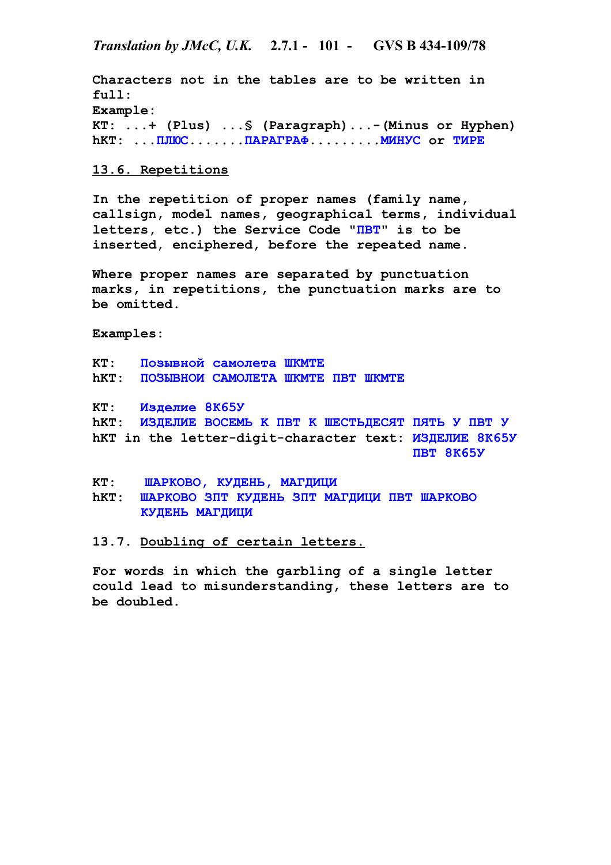**Characters not in the tables are to be written in full: Example: KT: ...+ (Plus) ...§ (Paragraph)...-(Minus or Hyphen) hKT: ...ПЛЮС.......ПАРАГРАФ.........МИНУС or ТИРЕ**

# **13.6. Repetitions**

**In the repetition of proper names (family name, callsign, model names, geographical terms, individual letters, etc.) the Service Code "ПВТ" is to be inserted, enciphered, before the repeated name.**

**Where proper names are separated by punctuation marks, in repetitions, the punctuation marks are to be omitted.**

**Examples:**

**KT: Позывной самолета ШКМТЕ hKT: ПОЗЫВНОИ САМОЛЕТА ШКМТЕ ПВТ ШКМТЕ**

**KT: Изделие 8К65У hKT: ИЗДЕЛИЕ ВОСЕМЬ K ПВТ K ШЕСТЬДЕСЯТ ПЯТЬ У ПВТ У hKT in the letter-digit-character text: ИЗДЕЛИЕ 8К65У ПВТ 8К65У**

**KT: ШАРКОВО, КУДЕНЬ, МАГДИЦИ hKT: ШАРКОВО ЗПТ КУДЕНЬ ЗПТ МАГДИЦИ ПВТ ШАРКОВО КУДЕНЬ МАГДИЦИ**

**13.7. Doubling of certain letters.**

**For words in which the garbling of a single letter could lead to misunderstanding, these letters are to be doubled.**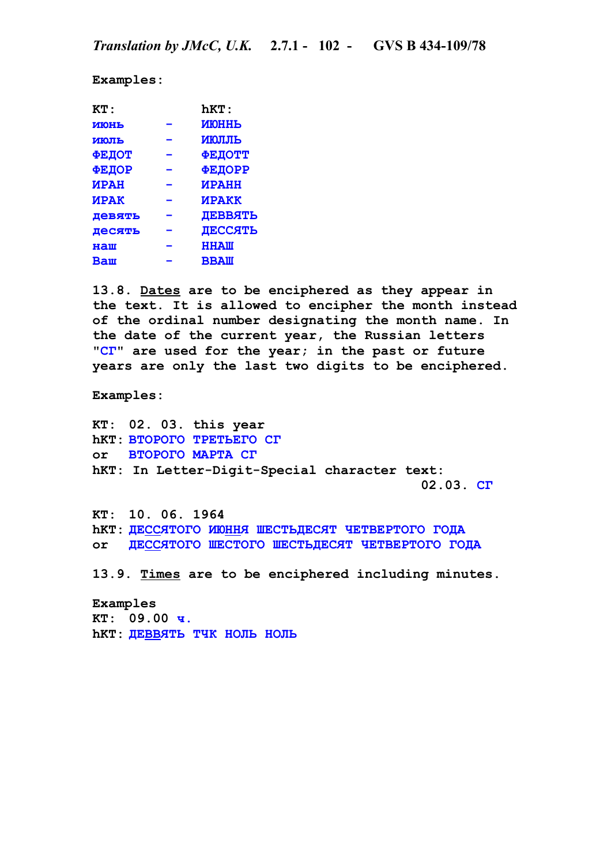**Examples:**

| KT:                | <b>hKT:</b>    |
|--------------------|----------------|
| <b>MIOHL</b>       | <b>MIOHHL</b>  |
| ИЮЛЬ               | <b>ИЮЛЛЬ</b>   |
| <b>ФЕДОТ</b>       | <b>ФЕДОТТ</b>  |
| <b>ФЕДОР</b>       | <b>ФЕДОРР</b>  |
| <b><i>MPAH</i></b> | <b>ИРАНН</b>   |
| <b><i>MPAK</i></b> | <b>ИРАКК</b>   |
| Девять             | <b>JEBBATL</b> |
| Десять             | ДЕССЯТЬ        |
| HallI              | <b>HHAM</b>    |
| <b>Baw</b>         | <b>BBAII</b>   |
|                    |                |

**13.8. Dates are to be enciphered as they appear in the text. It is allowed to encipher the month instead of the ordinal number designating the month name. In the date of the current year, the Russian letters "СГ" are used for the year; in the past or future years are only the last two digits to be enciphered.**

**Examples:**

**KT: 02. 03. this year hKT: ВТОРОГО ТРЕТЬЕГО СГ or ВТОРОГО МАРТА СГ hKT: In Letter-Digit-Special character text: 02.03. СГ**

**KT: 10. 06. 1964 hKT: ДЕССЯТОГО ИЮННЯ ШЕСТЬДЕСЯТ ЧЕТВЕРТОГО ГОДА or ДЕССЯТОГО ШЕСТОГО ШЕСТЬДЕСЯТ ЧЕТВЕРТОГО ГОДА**

**13.9. Times are to be enciphered including minutes.**

**Examples KT: 09.00 ч. hKT: ДЕВВЯТЬ ТЧК НОЛЬ НОЛЬ**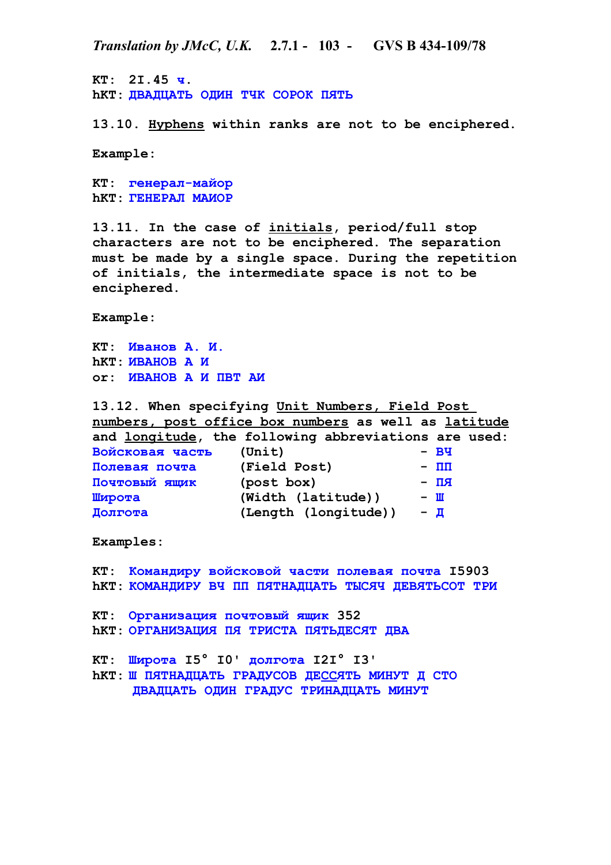**KT: 2I.45 ч. hKT: ДВАДЦАТЬ ОДИН ТЧК СОРОК ПЯТЬ**

**13.10. Hyphens within ranks are not to be enciphered.**

**Example:**

**KT: генерал-майор hKT: ГЕНЕРАЛ МАИОР**

**13.11. In the case of initials, period/full stop characters are not to be enciphered. The separation must be made by a single space. During the repetition of initials, the intermediate space is not to be enciphered.**

**Example:**

**KT: Иванов А. И. hKT: ИВАНОВ А И or: ИВАНОВ А И ПВТ АИ**

**13.12. When specifying Unit Numbers, Field Post numbers, post office box numbers as well as latitude and longitude, the following abbreviations are used: Войсковая часть (Unit) - ВЧ Полевая почта (Field Post) - ПП Почтовый ящик (post box) - ПЯ Широта (Width (latitude)) - Ш Долгота (Length (longitude)) - Д**

**Examples:**

**KT: Командиру войсковой части полевая почта I5903 hKT: КОМАНДИРУ ВЧ ПП ПЯТНАДЦАТЬ ТЫСЯЧ ДЕВЯТЬСОТ ТРИ**

**KT: Организация почтовый ящик 352 hKT: ОРГАНИЗАЦИЯ ПЯ ТРИСТА ПЯТЬДЕСЯТ ДВА**

**KT: Широта I5° I0' долгота I2I° I3' hKT: Ш ПЯТНАДЦАТЬ ГРАДУСОВ ДЕССЯТЬ МИНУТ Д СТО ДВАДЦАТЬ ОДИН ГРАДУС ТРИНАДЦАТЬ МИНУТ**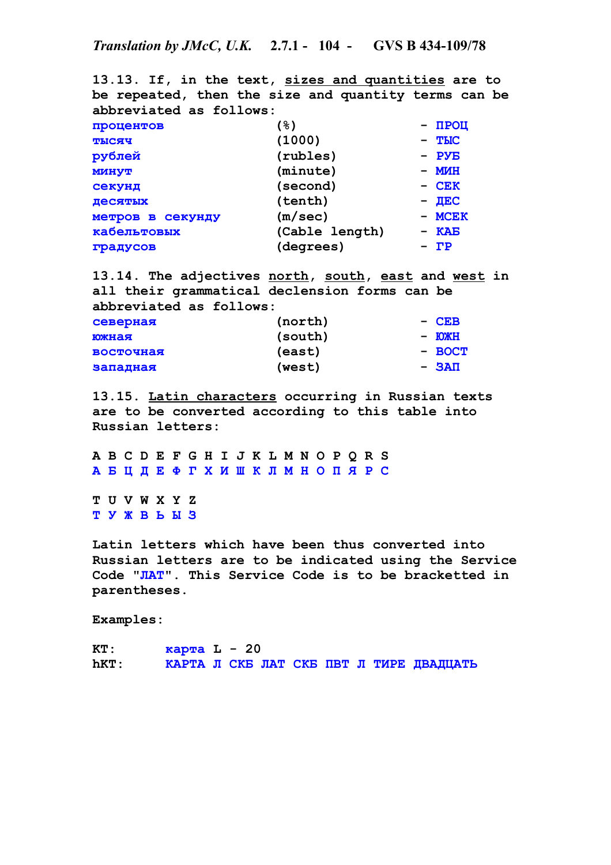**13.13. If, in the text, sizes and quantities are to be repeated, then the size and quantity terms can be abbreviated as follows: процентов (%) - ПРОЦ тысяч (1000) - ТЫС рублей (rubles) - РУБ минут (minute) - МИН секунд (second) - СЕК десятых (tenth) - ДЕС метров в секунду (m/sec) - МСЕК кабельтовых (Cable length) - КАБ градусов (degrees) - ГР**

**13.14. The adjectives north, south, east and west in all their grammatical declension forms can be abbreviated as follows: северная (north) - СЕВ южная (south) - ЮЖН восточная (east) - ВОСТ западная (west) - ЗАП**

**13.15. Latin characters occurring in Russian texts are to be converted according to this table into Russian letters:**

**A B C D E F G H I J K L M N O P Q R S А Б Ц Д Е Ф Г Х И Ш К Л М Н О П Я Р С**

**T U V W X Y Z T У Ж В Ь Ы З**

**Latin letters which have been thus converted into Russian letters are to be indicated using the Service Code "ЛАТ". This Service Code is to be bracketted in parentheses.**

**Examples:**

**KT: карта L - 20 hKT: КАРТА Л СКБ ЛАТ СКБ ПВТ Л ТИРЕ ДВАДЦАТЬ**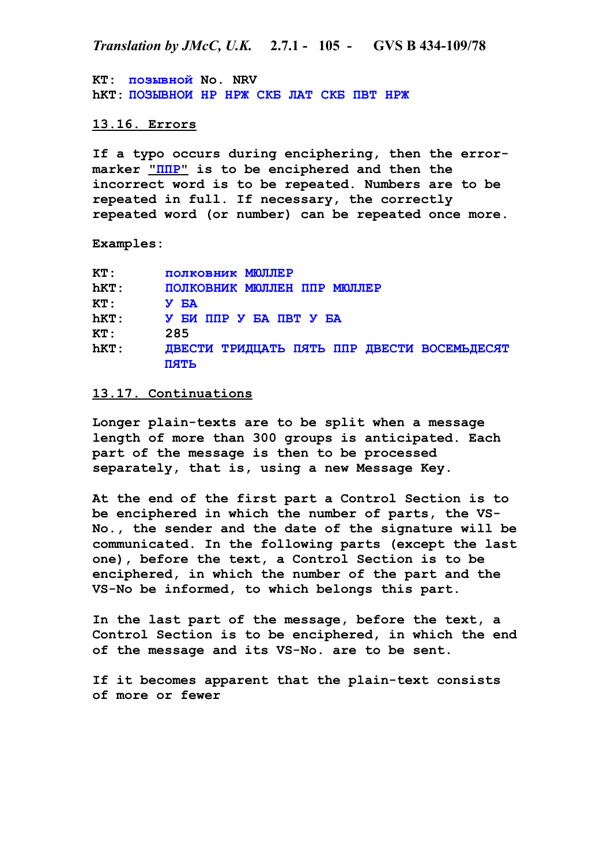**KT: позывной No. NRV hKT: ПОЗЫВНОИ НР НРЖ СКБ ЛАТ СКБ ПВТ НРЖ**

# **13.16. Errors**

**If a typo occurs during enciphering, then the errormarker " ППР" is to be enciphered and then the incorrect word is to be repeated. Numbers are to be repeated in full. If necessary, the correctly repeated word (or number) can be repeated once more.**

**Examples:**

| KT:  | полковник МЮЛЛЕР                                    |
|------|-----------------------------------------------------|
| hKT: | ПОЛКОВНИК МЮЛЛЕН ППР МЮЛЛЕР                         |
| KT:  | <b>Y EA</b>                                         |
| hKT: | У БИ ППР У БА ПВТ У БА                              |
| KT:  | 285                                                 |
| hKT: | ДВЕСТИ ТРИДЦАТЬ ПЯТЬ ППР ДВЕСТИ ВОСЕМЬДЕСЯТ<br>пять |

#### **13.17. Continuations**

**Longer plain-texts are to be split when a message length of more than 300 groups is anticipated. Each part of the message is then to be processed separately, that is, using a new Message Key.**

**At the end of the first part a Control Section is to be enciphered in which the number of parts, the VS-No., the sender and the date of the signature will be communicated. In the following parts (except the last one), before the text, a Control Section is to be enciphered, in which the number of the part and the VS-No be informed, to which belongs this part.**

**In the last part of the message, before the text, a Control Section is to be enciphered, in which the end of the message and its VS-No. are to be sent.**

**If it becomes apparent that the plain-text consists of more or fewer**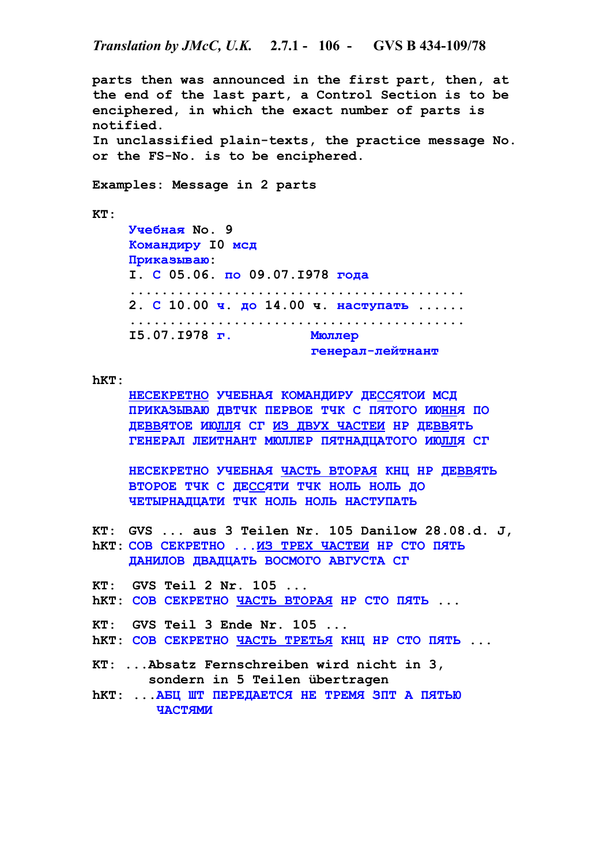**parts then was announced in the first part, then, at the end of the last part, a Control Section is to be enciphered, in which the exact number of parts is notified. In unclassified plain-texts, the practice message No. or the FS-No. is to be enciphered. Examples: Message in 2 parts KT: Учебная No. 9 Командиру I0 мсд Приказываю: I. С 05.06. по 09.07.I978 года .......................................... 2. С 10.00 ч. до 14.00 ч. наступать ...... .......................................... I5.07.I978 г. Мюллер генерал-лейтнант hKT: НЕСЕКРЕТНО УЧЕБНАЯ КОМАНДИРУ ДЕССЯТОИ МСД ПРИКАЗЫВАЮ ДВТЧК ПЕРВОЕ ТЧК С ПЯТОГО ИЮННЯ ПО ДЕВВЯТОЕ ИЮЛЛЯ СГ ИЗ ДВУХ ЧАСТЕИ НР ДЕВВЯТЬ ГЕНЕРАЛ ЛЕИТНАНТ МЮЛЛЕР ПЯТНАДЦАТОГО ИЮЛЛЯ СГ НЕСЕКРЕТНО УЧЕБНАЯ ЧАСТЬ ВТОРАЯ КНЦ НР ДЕВВЯТЬ ВТОРОЕ ТЧК С ДЕССЯТИ ТЧК НОЛЬ НОЛЬ ДО ЧЕТЫРНАДЦАТИ ТЧК НОЛЬ НОЛЬ НАСТУПАТЬ KT: GVS ... aus 3 Teilen Nr. 105 Danilow 28.08.d. J, hKT: СОВ СЕКРЕТНО ...ИЗ ТРЕХ ЧАСТЕИ НР СТО ПЯТЬ ДАНИЛОВ ДВАДЦАТЬ ВОСМОГО АВГУСТА СГ KT: GVS Teil 2 Nr. 105 ... hKT: СОВ СЕКРЕТНО ЧАСТЬ ВТОРАЯ НР СТО ПЯТЬ ... KT: GVS Teil 3 Ende Nr. 105 ... hKT: СОВ СЕКРЕТНО ЧАСТЬ ТРЕТЬЯ КНЦ НР СТО ПЯТЬ ... KT: ...Absatz Fernschreiben wird nicht in 3, sondern in 5 Teilen übertragen hKT: ...АБЦ ШТ ПЕРЕДАЕТСЯ НЕ ТРЕМЯ ЗПТ А ПЯТЬЮ ЧАСТЯМИ**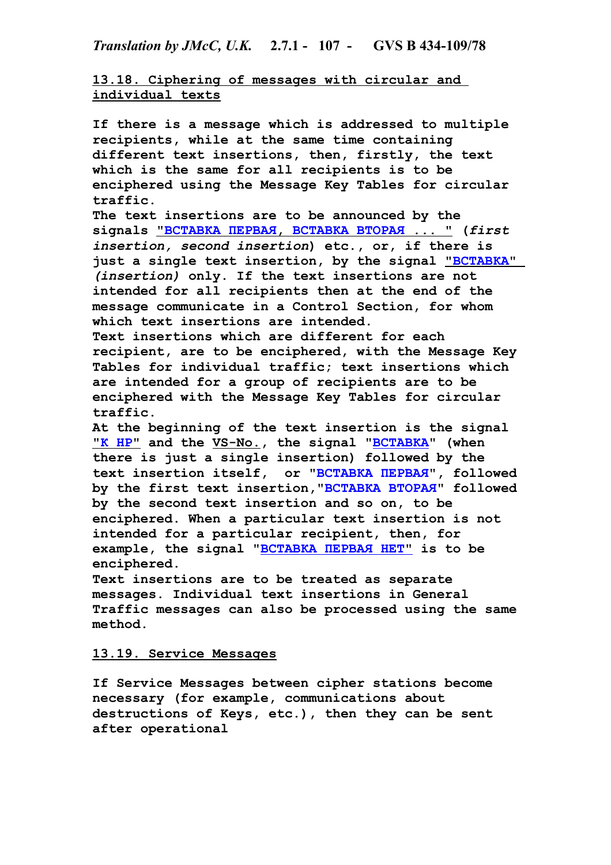*Translation by JMcC, U.K.* **2.7.1 - 107 - GVS B 434-109/78**

**13.18. Ciphering of messages with circular and individual texts**

**If there is a message which is addressed to multiple recipients, while at the same time containing different text insertions, then, firstly, the text which is the same for all recipients is to be enciphered using the Message Key Tables for circular traffic.**

**The text insertions are to be announced by the signals " ВСТАВКА ПЕРВАЯ , ВСТАВКА ВТОРАЯ ... " (***first insertion, second insertion***) etc., or, if there is**  just a single text insertion, by the signal **"BCTABKA"** *(insertion)* **only. If the text insertions are not intended for all recipients then at the end of the message communicate in a Control Section, for whom which text insertions are intended.**

**Text insertions which are different for each recipient, are to be enciphered, with the Message Key Tables for individual traffic; text insertions which are intended for a group of recipients are to be enciphered with the Message Key Tables for circular traffic.**

**At the beginning of the text insertion is the signal "К НР" and the VS-No., the signal "ВСТАВКА" (when there is just a single insertion) followed by the text insertion itself, or "ВСТАВКА ПЕРВАЯ", followed by the first text insertion,"ВСТАВКА ВТОРАЯ" followed by the second text insertion and so on, to be enciphered. When a particular text insertion is not intended for a particular recipient, then, for example, the signal " ВСТАВКА ПЕРВАЯ НЕТ" is to be enciphered.** 

**Text insertions are to be treated as separate messages. Individual text insertions in General Traffic messages can also be processed using the same method.**

# **13.19. Service Messages**

**If Service Messages between cipher stations become necessary (for example, communications about destructions of Keys, etc.), then they can be sent after operational**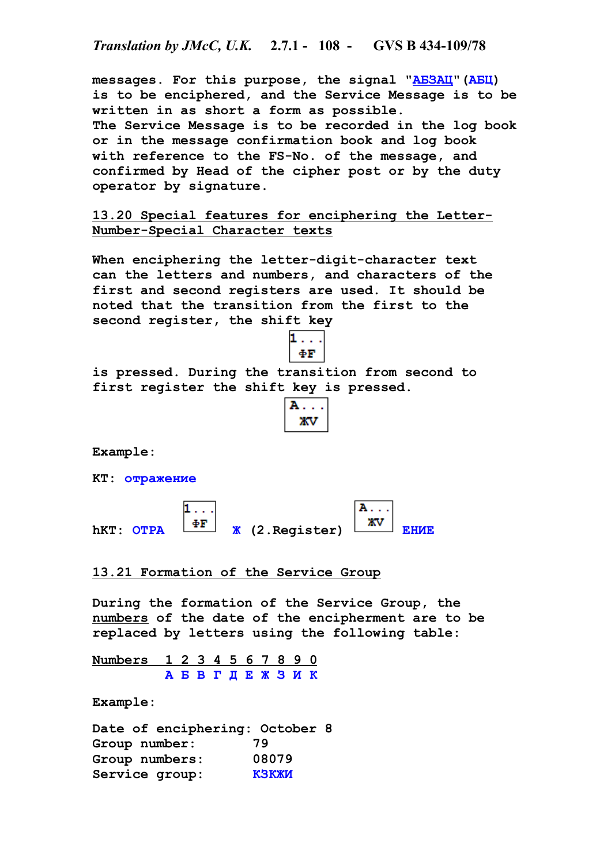*Translation by JMcC, U.K.* **2.7.1 - 108 - GVS B 434-109/78**

**messages. For this purpose, the signal "АБЗАЦ"(АБЦ) is to be enciphered, and the Service Message is to be written in as short a form as possible. The Service Message is to be recorded in the log book or in the message confirmation book and log book with reference to the FS-No. of the message, and confirmed by Head of the cipher post or by the duty operator by signature.**

**13.20 Special features for enciphering the Letter-Number-Special Character texts**

**When enciphering the letter-digit-character text can the letters and numbers, and characters of the first and second registers are used. It should be noted that the transition from the first to the second register, the shift key** 



**is pressed. During the transition from second to first register the shift key is pressed.**



**Example:**

**KT: отражение**

A. . . **hKT: OTPA**  $\frac{\Phi \mathbf{F}}{k}$  (2.Register)  $\frac{X \mathbf{V}}{k}$  EHME

**13.21 Formation of the Service Group**

**During the formation of the Service Group, the numbers of the date of the encipherment are to be replaced by letters using the following table:**

 **Numbers 1 2 3 4 5 6 7 8 9 0 А Б В Г Д Е Ж З И К**

**Example:**

**Date of enciphering: October 8 Group number: 79 Group numbers: 08079 Service group: КЗКЖИ**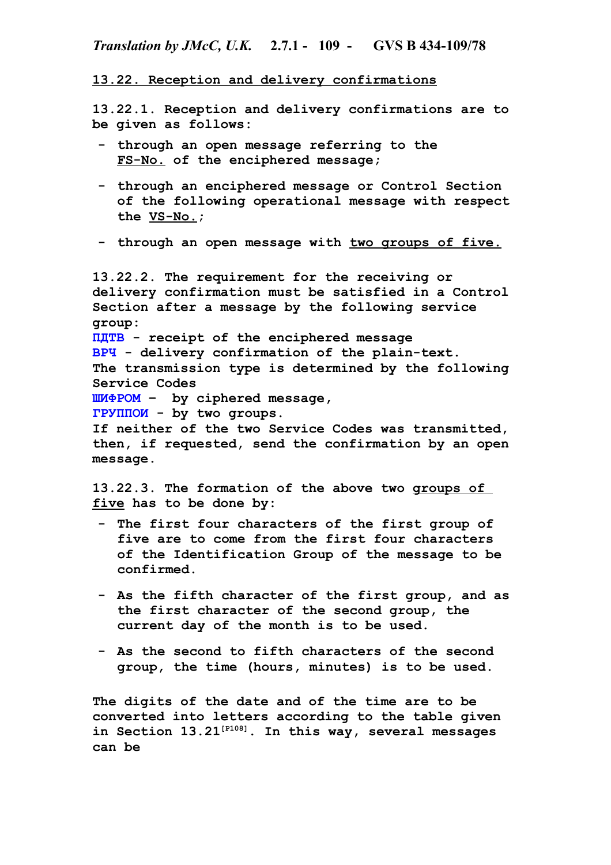## **13.22. Reception and delivery confirmations**

**13.22.1. Reception and delivery confirmations are to be given as follows:**

- **- through an open message referring to the FS-No. of the enciphered message;**
- **- through an enciphered message or Control Section of the following operational message with respect the VS-No.;**
- **- through an open message with two groups of five.**

**13.22.2. The requirement for the receiving or delivery confirmation must be satisfied in a Control Section after a message by the following service group: ПДТВ - receipt of the enciphered message ВРЧ - delivery confirmation of the plain-text. The transmission type is determined by the following Service Codes ШИФРОМ – by ciphered message, ГРУППОИ - by two groups. If neither of the two Service Codes was transmitted, then, if requested, send the confirmation by an open message.**

**13.22.3. The formation of the above two groups of five has to be done by:**

- **- The first four characters of the first group of five are to come from the first four characters of the Identification Group of the message to be confirmed.**
- **- As the fifth character of the first group, and as the first character of the second group, the current day of the month is to be used.**
- **- As the second to fifth characters of the second group, the time (hours, minutes) is to be used.**

**The digits of the date and of the time are to be converted into letters according to the table given in Section 13.21[P108]. In this way, several messages can be**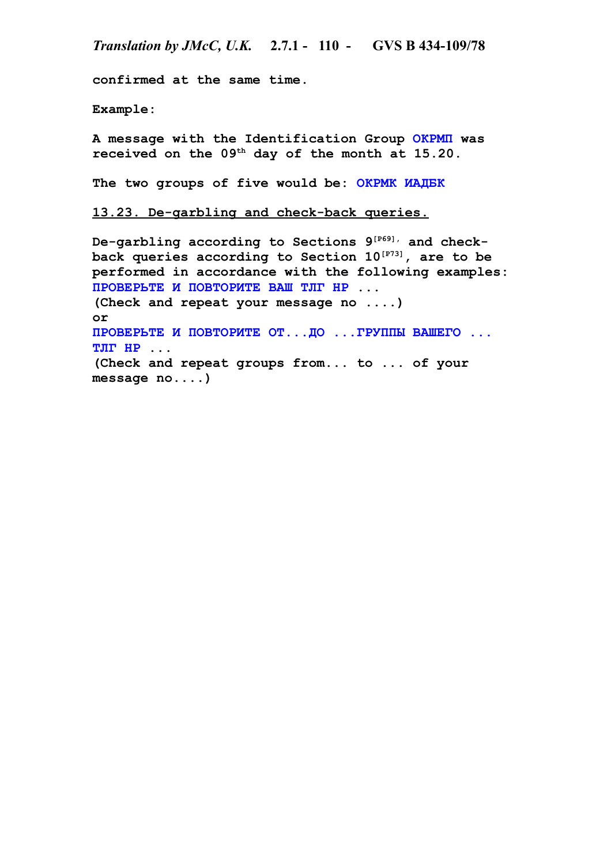**confirmed at the same time.**

**Example:**

**A message with the Identification Group ОКРМП was received on the 09th day of the month at 15.20.**

**The two groups of five would be: ОКРМК ИАДБК**

**13.23. De-garbling and check-back queries.**

**De-garbling according to Sections 9[P69], and checkback queries according to Section 10[P73], are to be performed in accordance with the following examples: ПРОВЕРЬТЕ И ПОВТОРИТЕ ВАШ ТЛГ НР ... (Check and repeat your message no ....) or ПРОВЕРЬТЕ И ПОВТОРИТЕ ОТ...ДО ...ГРУППЫ ВАШЕГО ... ТЛГ НР ... (Check and repeat groups from... to ... of your message no....)**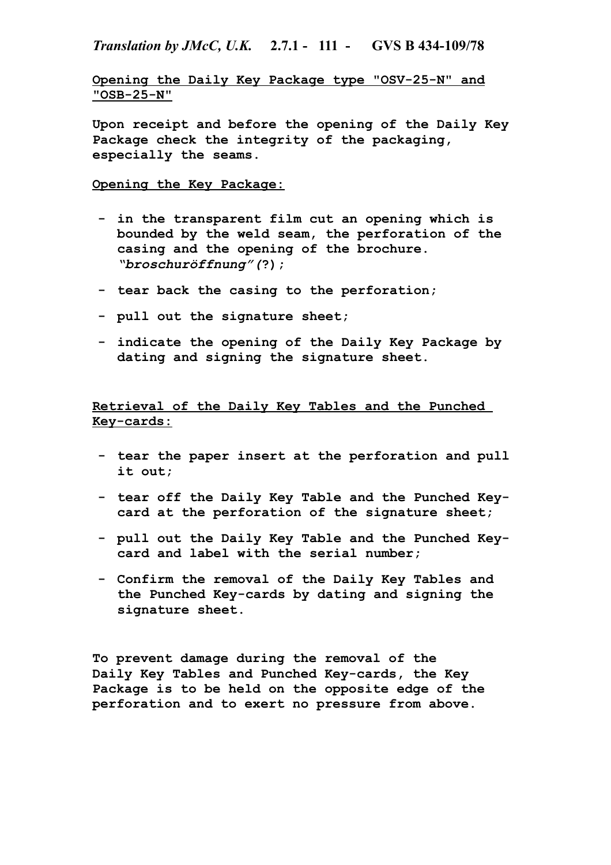## *Translation by JMcC, U.K.* **2.7.1 - 111 - GVS B 434-109/78**

**Opening the Daily Key Package type "OSV-25-N" and "OSB-25-N"**

**Upon receipt and before the opening of the Daily Key Package check the integrity of the packaging, especially the seams.**

## **Opening the Key Package:**

- **- in the transparent film cut an opening which is bounded by the weld seam, the perforation of the casing and the opening of the brochure.**  *"broschuröffnung"(***?);**
- **- tear back the casing to the perforation;**
- **- pull out the signature sheet;**
- **- indicate the opening of the Daily Key Package by dating and signing the signature sheet.**

**Retrieval of the Daily Key Tables and the Punched Key-cards:**

- **- tear the paper insert at the perforation and pull it out;**
- **- tear off the Daily Key Table and the Punched Keycard at the perforation of the signature sheet;**
- **- pull out the Daily Key Table and the Punched Keycard and label with the serial number;**
- **- Confirm the removal of the Daily Key Tables and the Punched Key-cards by dating and signing the signature sheet.**

**To prevent damage during the removal of the Daily Key Tables and Punched Key-cards, the Key Package is to be held on the opposite edge of the perforation and to exert no pressure from above.**